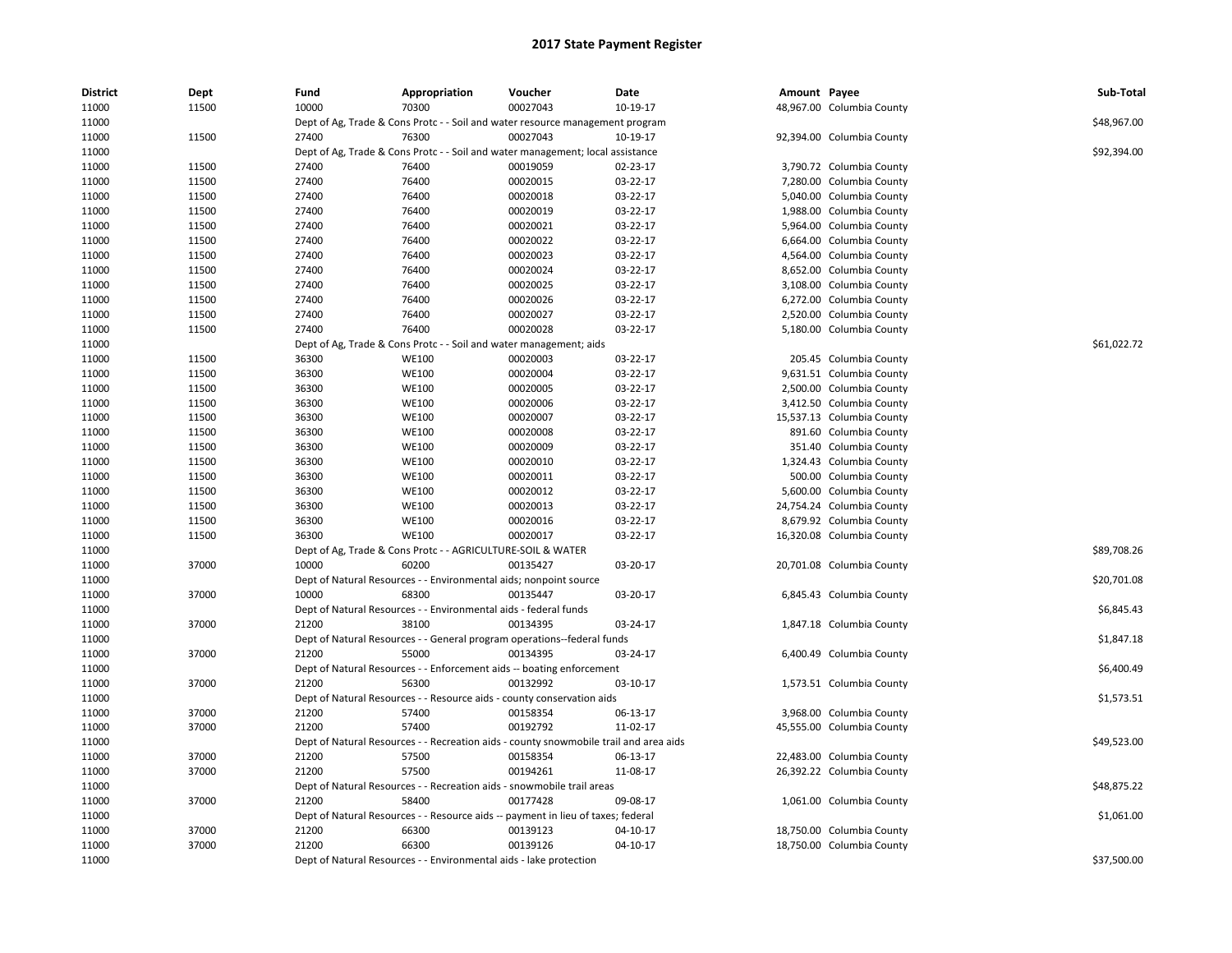| <b>District</b> | Dept  | Fund  | Appropriation                                                      | Voucher                                                                               | Date     | Amount Payee |                           | Sub-Total   |
|-----------------|-------|-------|--------------------------------------------------------------------|---------------------------------------------------------------------------------------|----------|--------------|---------------------------|-------------|
| 11000           | 11500 | 10000 | 70300                                                              | 00027043                                                                              | 10-19-17 |              | 48,967.00 Columbia County |             |
| 11000           |       |       |                                                                    | Dept of Ag, Trade & Cons Protc - - Soil and water resource management program         |          |              |                           | \$48,967.00 |
| 11000           | 11500 | 27400 | 76300                                                              | 00027043                                                                              | 10-19-17 |              | 92,394.00 Columbia County |             |
| 11000           |       |       |                                                                    | Dept of Ag, Trade & Cons Protc - - Soil and water management; local assistance        |          |              |                           | \$92,394.00 |
| 11000           | 11500 | 27400 | 76400                                                              | 00019059                                                                              | 02-23-17 |              | 3,790.72 Columbia County  |             |
| 11000           | 11500 | 27400 | 76400                                                              | 00020015                                                                              | 03-22-17 |              | 7,280.00 Columbia County  |             |
| 11000           | 11500 | 27400 | 76400                                                              | 00020018                                                                              | 03-22-17 |              | 5,040.00 Columbia County  |             |
| 11000           | 11500 | 27400 | 76400                                                              | 00020019                                                                              | 03-22-17 |              | 1,988.00 Columbia County  |             |
| 11000           | 11500 | 27400 | 76400                                                              | 00020021                                                                              | 03-22-17 |              | 5,964.00 Columbia County  |             |
| 11000           | 11500 | 27400 | 76400                                                              | 00020022                                                                              | 03-22-17 |              | 6,664.00 Columbia County  |             |
| 11000           | 11500 | 27400 | 76400                                                              | 00020023                                                                              | 03-22-17 |              | 4,564.00 Columbia County  |             |
| 11000           | 11500 | 27400 | 76400                                                              | 00020024                                                                              | 03-22-17 |              | 8,652.00 Columbia County  |             |
| 11000           | 11500 | 27400 | 76400                                                              | 00020025                                                                              | 03-22-17 |              | 3,108.00 Columbia County  |             |
| 11000           | 11500 | 27400 | 76400                                                              | 00020026                                                                              | 03-22-17 |              | 6,272.00 Columbia County  |             |
| 11000           | 11500 | 27400 | 76400                                                              | 00020027                                                                              | 03-22-17 |              | 2,520.00 Columbia County  |             |
| 11000           | 11500 | 27400 | 76400                                                              | 00020028                                                                              | 03-22-17 |              | 5,180.00 Columbia County  |             |
| 11000           |       |       |                                                                    | Dept of Ag, Trade & Cons Protc - - Soil and water management; aids                    |          |              |                           | \$61,022.72 |
| 11000           | 11500 | 36300 | <b>WE100</b>                                                       | 00020003                                                                              | 03-22-17 |              | 205.45 Columbia County    |             |
| 11000           | 11500 | 36300 | <b>WE100</b>                                                       | 00020004                                                                              | 03-22-17 |              | 9,631.51 Columbia County  |             |
| 11000           | 11500 | 36300 | <b>WE100</b>                                                       | 00020005                                                                              | 03-22-17 |              | 2,500.00 Columbia County  |             |
| 11000           | 11500 | 36300 | <b>WE100</b>                                                       | 00020006                                                                              | 03-22-17 |              | 3,412.50 Columbia County  |             |
| 11000           | 11500 | 36300 | <b>WE100</b>                                                       | 00020007                                                                              | 03-22-17 |              | 15,537.13 Columbia County |             |
| 11000           | 11500 | 36300 | <b>WE100</b>                                                       | 00020008                                                                              | 03-22-17 |              | 891.60 Columbia County    |             |
| 11000           | 11500 | 36300 | <b>WE100</b>                                                       | 00020009                                                                              | 03-22-17 |              | 351.40 Columbia County    |             |
| 11000           | 11500 | 36300 | <b>WE100</b>                                                       | 00020010                                                                              | 03-22-17 |              | 1,324.43 Columbia County  |             |
| 11000           | 11500 | 36300 | <b>WE100</b>                                                       | 00020011                                                                              | 03-22-17 |              | 500.00 Columbia County    |             |
| 11000           | 11500 | 36300 | <b>WE100</b>                                                       | 00020012                                                                              | 03-22-17 |              | 5,600.00 Columbia County  |             |
| 11000           | 11500 | 36300 | <b>WE100</b>                                                       | 00020013                                                                              | 03-22-17 |              | 24,754.24 Columbia County |             |
| 11000           | 11500 | 36300 | <b>WE100</b>                                                       | 00020016                                                                              | 03-22-17 |              | 8,679.92 Columbia County  |             |
| 11000           | 11500 | 36300 | <b>WE100</b>                                                       | 00020017                                                                              | 03-22-17 |              | 16,320.08 Columbia County |             |
| 11000           |       |       | Dept of Ag, Trade & Cons Protc - - AGRICULTURE-SOIL & WATER        |                                                                                       |          |              |                           | \$89,708.26 |
| 11000           | 37000 | 10000 | 60200                                                              | 00135427                                                                              | 03-20-17 |              | 20,701.08 Columbia County |             |
| 11000           |       |       | Dept of Natural Resources - - Environmental aids; nonpoint source  |                                                                                       |          |              |                           | \$20,701.08 |
| 11000           | 37000 | 10000 | 68300                                                              | 00135447                                                                              | 03-20-17 |              | 6,845.43 Columbia County  |             |
| 11000           |       |       | Dept of Natural Resources - - Environmental aids - federal funds   |                                                                                       |          |              |                           | \$6,845.43  |
| 11000           | 37000 | 21200 | 38100                                                              | 00134395                                                                              | 03-24-17 |              | 1,847.18 Columbia County  |             |
| 11000           |       |       |                                                                    | Dept of Natural Resources - - General program operations--federal funds               |          |              |                           | \$1,847.18  |
| 11000           | 37000 | 21200 | 55000                                                              | 00134395                                                                              | 03-24-17 |              | 6,400.49 Columbia County  |             |
| 11000           |       |       |                                                                    | Dept of Natural Resources - - Enforcement aids -- boating enforcement                 |          |              |                           | \$6,400.49  |
| 11000           | 37000 | 21200 | 56300                                                              | 00132992                                                                              | 03-10-17 |              | 1,573.51 Columbia County  |             |
| 11000           |       |       |                                                                    | Dept of Natural Resources - - Resource aids - county conservation aids                |          |              |                           | \$1,573.51  |
| 11000           | 37000 | 21200 | 57400                                                              | 00158354                                                                              | 06-13-17 |              | 3,968.00 Columbia County  |             |
| 11000           | 37000 | 21200 | 57400                                                              | 00192792                                                                              | 11-02-17 |              | 45,555.00 Columbia County |             |
| 11000           |       |       |                                                                    | Dept of Natural Resources - - Recreation aids - county snowmobile trail and area aids |          |              |                           | \$49,523.00 |
| 11000           | 37000 | 21200 | 57500                                                              | 00158354                                                                              | 06-13-17 |              | 22,483.00 Columbia County |             |
| 11000           | 37000 | 21200 | 57500                                                              | 00194261                                                                              | 11-08-17 |              | 26,392.22 Columbia County |             |
| 11000           |       |       |                                                                    | Dept of Natural Resources - - Recreation aids - snowmobile trail areas                |          |              |                           | \$48,875.22 |
| 11000           | 37000 | 21200 | 58400                                                              | 00177428                                                                              | 09-08-17 |              | 1,061.00 Columbia County  |             |
| 11000           |       |       |                                                                    | Dept of Natural Resources - - Resource aids -- payment in lieu of taxes; federal      |          |              |                           | \$1,061.00  |
| 11000           | 37000 | 21200 | 66300                                                              | 00139123                                                                              | 04-10-17 |              | 18,750.00 Columbia County |             |
| 11000           | 37000 | 21200 | 66300                                                              | 00139126                                                                              | 04-10-17 |              | 18,750.00 Columbia County |             |
| 11000           |       |       | Dept of Natural Resources - - Environmental aids - lake protection |                                                                                       |          |              |                           | \$37,500.00 |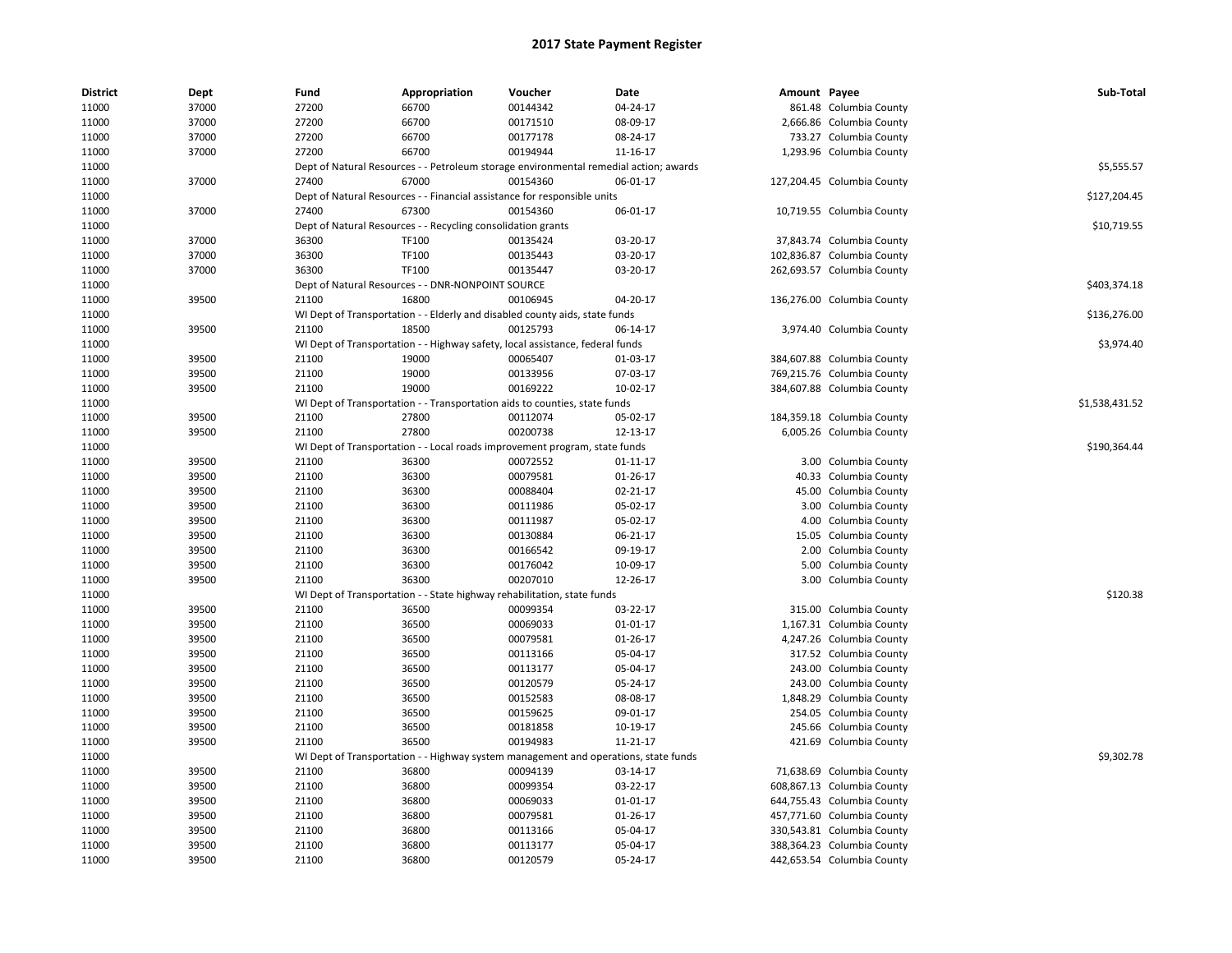| 37000<br>27200<br>66700<br>861.48 Columbia County<br>11000<br>00144342<br>04-24-17<br>11000<br>37000<br>27200<br>66700<br>00171510<br>08-09-17<br>2,666.86 Columbia County<br>27200<br>00177178<br>11000<br>37000<br>66700<br>08-24-17<br>733.27 Columbia County<br>37000<br>27200<br>66700<br>00194944<br>11-16-17<br>1,293.96 Columbia County<br>11000<br>\$5,555.57<br>11000<br>Dept of Natural Resources - - Petroleum storage environmental remedial action; awards<br>37000<br>27400<br>67000<br>00154360<br>06-01-17<br>11000<br>127,204.45 Columbia County<br>11000<br>Dept of Natural Resources - - Financial assistance for responsible units<br>\$127,204.45<br>37000<br>27400<br>67300<br>00154360<br>06-01-17<br>11000<br>10,719.55 Columbia County<br>11000<br>Dept of Natural Resources - - Recycling consolidation grants<br>\$10,719.55<br><b>TF100</b><br>11000<br>37000<br>36300<br>00135424<br>03-20-17<br>37,843.74 Columbia County<br>37000<br>36300<br>03-20-17<br>11000<br>TF100<br>00135443<br>102,836.87 Columbia County<br>11000<br>37000<br>36300<br>TF100<br>00135447<br>03-20-17<br>262,693.57 Columbia County<br>\$403,374.18<br>11000<br>Dept of Natural Resources - - DNR-NONPOINT SOURCE<br>39500<br>21100<br>16800<br>00106945<br>04-20-17<br>11000<br>136,276.00 Columbia County<br>\$136,276.00<br>11000<br>WI Dept of Transportation - - Elderly and disabled county aids, state funds<br>11000<br>39500<br>21100<br>18500<br>00125793<br>06-14-17<br>3,974.40 Columbia County<br>11000<br>WI Dept of Transportation - - Highway safety, local assistance, federal funds<br>\$3,974.40<br>11000<br>39500<br>21100<br>19000<br>00065407<br>01-03-17<br>384,607.88 Columbia County<br>39500<br>19000<br>00133956<br>07-03-17<br>11000<br>21100<br>769,215.76 Columbia County<br>19000<br>00169222<br>11000<br>39500<br>21100<br>10-02-17<br>384,607.88 Columbia County<br>WI Dept of Transportation - - Transportation aids to counties, state funds<br>\$1,538,431.52<br>11000<br>11000<br>39500<br>21100<br>27800<br>00112074<br>05-02-17<br>184,359.18 Columbia County<br>21100<br>27800<br>00200738<br>12-13-17<br>11000<br>39500<br>6,005.26 Columbia County<br>\$190,364.44<br>11000<br>WI Dept of Transportation - - Local roads improvement program, state funds<br>11000<br>39500<br>21100<br>36300<br>00072552<br>3.00 Columbia County<br>01-11-17<br>11000<br>39500<br>21100<br>36300<br>00079581<br>01-26-17<br>40.33 Columbia County<br>11000<br>39500<br>21100<br>00088404<br>02-21-17<br>36300<br>45.00 Columbia County<br>11000<br>39500<br>21100<br>36300<br>00111986<br>05-02-17<br>3.00 Columbia County<br>36300<br>00111987<br>05-02-17<br>11000<br>39500<br>21100<br>4.00 Columbia County<br>11000<br>39500<br>21100<br>36300<br>00130884<br>06-21-17<br>15.05 Columbia County<br>39500<br>21100<br>36300<br>00166542<br>09-19-17<br>2.00 Columbia County<br>11000<br>39500<br>21100<br>36300<br>00176042<br>10-09-17<br>11000<br>5.00 Columbia County<br>00207010<br>11000<br>39500<br>21100<br>36300<br>12-26-17<br>3.00 Columbia County<br>11000<br>WI Dept of Transportation - - State highway rehabilitation, state funds<br>\$120.38<br>11000<br>39500<br>00099354<br>03-22-17<br>21100<br>36500<br>315.00 Columbia County<br>00069033<br>$01 - 01 - 17$<br>11000<br>39500<br>21100<br>36500<br>1,167.31 Columbia County<br>11000<br>39500<br>21100<br>36500<br>00079581<br>01-26-17<br>4,247.26 Columbia County<br>11000<br>39500<br>21100<br>36500<br>00113166<br>05-04-17<br>317.52 Columbia County<br>39500<br>21100<br>36500<br>00113177<br>05-04-17<br>243.00 Columbia County<br>11000<br>00120579<br>11000<br>39500<br>21100<br>36500<br>05-24-17<br>243.00 Columbia County<br>39500<br>21100<br>36500<br>00152583<br>08-08-17<br>11000<br>1,848.29 Columbia County<br>11000<br>39500<br>21100<br>36500<br>00159625<br>09-01-17<br>254.05 Columbia County<br>11000<br>39500<br>21100<br>36500<br>00181858<br>10-19-17<br>245.66 Columbia County<br>21100<br>36500<br>00194983<br>11-21-17<br>11000<br>39500<br>421.69 Columbia County<br>\$9,302.78<br>11000<br>WI Dept of Transportation - - Highway system management and operations, state funds<br>00094139<br>11000<br>39500<br>21100<br>36800<br>03-14-17<br>71,638.69 Columbia County<br>11000<br>39500<br>21100<br>36800<br>00099354<br>03-22-17<br>608,867.13 Columbia County<br>39500<br>21100<br>00069033<br>644,755.43 Columbia County<br>11000<br>36800<br>01-01-17<br>11000<br>39500<br>21100<br>36800<br>00079581<br>01-26-17<br>457,771.60 Columbia County<br>11000<br>39500<br>21100<br>36800<br>00113166<br>05-04-17<br>330,543.81 Columbia County<br>11000<br>39500<br>21100<br>36800<br>00113177<br>05-04-17<br>388,364.23 Columbia County<br>39500<br>21100<br>00120579<br>05-24-17<br>11000<br>36800<br>442,653.54 Columbia County | <b>District</b> | Dept | Fund | Appropriation | Voucher | Date | Amount Payee | Sub-Total |
|--------------------------------------------------------------------------------------------------------------------------------------------------------------------------------------------------------------------------------------------------------------------------------------------------------------------------------------------------------------------------------------------------------------------------------------------------------------------------------------------------------------------------------------------------------------------------------------------------------------------------------------------------------------------------------------------------------------------------------------------------------------------------------------------------------------------------------------------------------------------------------------------------------------------------------------------------------------------------------------------------------------------------------------------------------------------------------------------------------------------------------------------------------------------------------------------------------------------------------------------------------------------------------------------------------------------------------------------------------------------------------------------------------------------------------------------------------------------------------------------------------------------------------------------------------------------------------------------------------------------------------------------------------------------------------------------------------------------------------------------------------------------------------------------------------------------------------------------------------------------------------------------------------------------------------------------------------------------------------------------------------------------------------------------------------------------------------------------------------------------------------------------------------------------------------------------------------------------------------------------------------------------------------------------------------------------------------------------------------------------------------------------------------------------------------------------------------------------------------------------------------------------------------------------------------------------------------------------------------------------------------------------------------------------------------------------------------------------------------------------------------------------------------------------------------------------------------------------------------------------------------------------------------------------------------------------------------------------------------------------------------------------------------------------------------------------------------------------------------------------------------------------------------------------------------------------------------------------------------------------------------------------------------------------------------------------------------------------------------------------------------------------------------------------------------------------------------------------------------------------------------------------------------------------------------------------------------------------------------------------------------------------------------------------------------------------------------------------------------------------------------------------------------------------------------------------------------------------------------------------------------------------------------------------------------------------------------------------------------------------------------------------------------------------------------------------------------------------------------------------------------------------------------------------------------------------------------------------------------------------------------------------------------------------------------------------------------------------------------------------------------------------------------------------------------------------------------------------------------------------------------------------------------------------------------------------------------------------------------------------------------------------------------------------------------------------------------------------------------------------------------------------------------------------------------------------------------------------------------------------------------|-----------------|------|------|---------------|---------|------|--------------|-----------|
|                                                                                                                                                                                                                                                                                                                                                                                                                                                                                                                                                                                                                                                                                                                                                                                                                                                                                                                                                                                                                                                                                                                                                                                                                                                                                                                                                                                                                                                                                                                                                                                                                                                                                                                                                                                                                                                                                                                                                                                                                                                                                                                                                                                                                                                                                                                                                                                                                                                                                                                                                                                                                                                                                                                                                                                                                                                                                                                                                                                                                                                                                                                                                                                                                                                                                                                                                                                                                                                                                                                                                                                                                                                                                                                                                                                                                                                                                                                                                                                                                                                                                                                                                                                                                                                                                                                                                                                                                                                                                                                                                                                                                                                                                                                                                                                                                                                                                |                 |      |      |               |         |      |              |           |
|                                                                                                                                                                                                                                                                                                                                                                                                                                                                                                                                                                                                                                                                                                                                                                                                                                                                                                                                                                                                                                                                                                                                                                                                                                                                                                                                                                                                                                                                                                                                                                                                                                                                                                                                                                                                                                                                                                                                                                                                                                                                                                                                                                                                                                                                                                                                                                                                                                                                                                                                                                                                                                                                                                                                                                                                                                                                                                                                                                                                                                                                                                                                                                                                                                                                                                                                                                                                                                                                                                                                                                                                                                                                                                                                                                                                                                                                                                                                                                                                                                                                                                                                                                                                                                                                                                                                                                                                                                                                                                                                                                                                                                                                                                                                                                                                                                                                                |                 |      |      |               |         |      |              |           |
|                                                                                                                                                                                                                                                                                                                                                                                                                                                                                                                                                                                                                                                                                                                                                                                                                                                                                                                                                                                                                                                                                                                                                                                                                                                                                                                                                                                                                                                                                                                                                                                                                                                                                                                                                                                                                                                                                                                                                                                                                                                                                                                                                                                                                                                                                                                                                                                                                                                                                                                                                                                                                                                                                                                                                                                                                                                                                                                                                                                                                                                                                                                                                                                                                                                                                                                                                                                                                                                                                                                                                                                                                                                                                                                                                                                                                                                                                                                                                                                                                                                                                                                                                                                                                                                                                                                                                                                                                                                                                                                                                                                                                                                                                                                                                                                                                                                                                |                 |      |      |               |         |      |              |           |
|                                                                                                                                                                                                                                                                                                                                                                                                                                                                                                                                                                                                                                                                                                                                                                                                                                                                                                                                                                                                                                                                                                                                                                                                                                                                                                                                                                                                                                                                                                                                                                                                                                                                                                                                                                                                                                                                                                                                                                                                                                                                                                                                                                                                                                                                                                                                                                                                                                                                                                                                                                                                                                                                                                                                                                                                                                                                                                                                                                                                                                                                                                                                                                                                                                                                                                                                                                                                                                                                                                                                                                                                                                                                                                                                                                                                                                                                                                                                                                                                                                                                                                                                                                                                                                                                                                                                                                                                                                                                                                                                                                                                                                                                                                                                                                                                                                                                                |                 |      |      |               |         |      |              |           |
|                                                                                                                                                                                                                                                                                                                                                                                                                                                                                                                                                                                                                                                                                                                                                                                                                                                                                                                                                                                                                                                                                                                                                                                                                                                                                                                                                                                                                                                                                                                                                                                                                                                                                                                                                                                                                                                                                                                                                                                                                                                                                                                                                                                                                                                                                                                                                                                                                                                                                                                                                                                                                                                                                                                                                                                                                                                                                                                                                                                                                                                                                                                                                                                                                                                                                                                                                                                                                                                                                                                                                                                                                                                                                                                                                                                                                                                                                                                                                                                                                                                                                                                                                                                                                                                                                                                                                                                                                                                                                                                                                                                                                                                                                                                                                                                                                                                                                |                 |      |      |               |         |      |              |           |
|                                                                                                                                                                                                                                                                                                                                                                                                                                                                                                                                                                                                                                                                                                                                                                                                                                                                                                                                                                                                                                                                                                                                                                                                                                                                                                                                                                                                                                                                                                                                                                                                                                                                                                                                                                                                                                                                                                                                                                                                                                                                                                                                                                                                                                                                                                                                                                                                                                                                                                                                                                                                                                                                                                                                                                                                                                                                                                                                                                                                                                                                                                                                                                                                                                                                                                                                                                                                                                                                                                                                                                                                                                                                                                                                                                                                                                                                                                                                                                                                                                                                                                                                                                                                                                                                                                                                                                                                                                                                                                                                                                                                                                                                                                                                                                                                                                                                                |                 |      |      |               |         |      |              |           |
|                                                                                                                                                                                                                                                                                                                                                                                                                                                                                                                                                                                                                                                                                                                                                                                                                                                                                                                                                                                                                                                                                                                                                                                                                                                                                                                                                                                                                                                                                                                                                                                                                                                                                                                                                                                                                                                                                                                                                                                                                                                                                                                                                                                                                                                                                                                                                                                                                                                                                                                                                                                                                                                                                                                                                                                                                                                                                                                                                                                                                                                                                                                                                                                                                                                                                                                                                                                                                                                                                                                                                                                                                                                                                                                                                                                                                                                                                                                                                                                                                                                                                                                                                                                                                                                                                                                                                                                                                                                                                                                                                                                                                                                                                                                                                                                                                                                                                |                 |      |      |               |         |      |              |           |
|                                                                                                                                                                                                                                                                                                                                                                                                                                                                                                                                                                                                                                                                                                                                                                                                                                                                                                                                                                                                                                                                                                                                                                                                                                                                                                                                                                                                                                                                                                                                                                                                                                                                                                                                                                                                                                                                                                                                                                                                                                                                                                                                                                                                                                                                                                                                                                                                                                                                                                                                                                                                                                                                                                                                                                                                                                                                                                                                                                                                                                                                                                                                                                                                                                                                                                                                                                                                                                                                                                                                                                                                                                                                                                                                                                                                                                                                                                                                                                                                                                                                                                                                                                                                                                                                                                                                                                                                                                                                                                                                                                                                                                                                                                                                                                                                                                                                                |                 |      |      |               |         |      |              |           |
|                                                                                                                                                                                                                                                                                                                                                                                                                                                                                                                                                                                                                                                                                                                                                                                                                                                                                                                                                                                                                                                                                                                                                                                                                                                                                                                                                                                                                                                                                                                                                                                                                                                                                                                                                                                                                                                                                                                                                                                                                                                                                                                                                                                                                                                                                                                                                                                                                                                                                                                                                                                                                                                                                                                                                                                                                                                                                                                                                                                                                                                                                                                                                                                                                                                                                                                                                                                                                                                                                                                                                                                                                                                                                                                                                                                                                                                                                                                                                                                                                                                                                                                                                                                                                                                                                                                                                                                                                                                                                                                                                                                                                                                                                                                                                                                                                                                                                |                 |      |      |               |         |      |              |           |
|                                                                                                                                                                                                                                                                                                                                                                                                                                                                                                                                                                                                                                                                                                                                                                                                                                                                                                                                                                                                                                                                                                                                                                                                                                                                                                                                                                                                                                                                                                                                                                                                                                                                                                                                                                                                                                                                                                                                                                                                                                                                                                                                                                                                                                                                                                                                                                                                                                                                                                                                                                                                                                                                                                                                                                                                                                                                                                                                                                                                                                                                                                                                                                                                                                                                                                                                                                                                                                                                                                                                                                                                                                                                                                                                                                                                                                                                                                                                                                                                                                                                                                                                                                                                                                                                                                                                                                                                                                                                                                                                                                                                                                                                                                                                                                                                                                                                                |                 |      |      |               |         |      |              |           |
|                                                                                                                                                                                                                                                                                                                                                                                                                                                                                                                                                                                                                                                                                                                                                                                                                                                                                                                                                                                                                                                                                                                                                                                                                                                                                                                                                                                                                                                                                                                                                                                                                                                                                                                                                                                                                                                                                                                                                                                                                                                                                                                                                                                                                                                                                                                                                                                                                                                                                                                                                                                                                                                                                                                                                                                                                                                                                                                                                                                                                                                                                                                                                                                                                                                                                                                                                                                                                                                                                                                                                                                                                                                                                                                                                                                                                                                                                                                                                                                                                                                                                                                                                                                                                                                                                                                                                                                                                                                                                                                                                                                                                                                                                                                                                                                                                                                                                |                 |      |      |               |         |      |              |           |
|                                                                                                                                                                                                                                                                                                                                                                                                                                                                                                                                                                                                                                                                                                                                                                                                                                                                                                                                                                                                                                                                                                                                                                                                                                                                                                                                                                                                                                                                                                                                                                                                                                                                                                                                                                                                                                                                                                                                                                                                                                                                                                                                                                                                                                                                                                                                                                                                                                                                                                                                                                                                                                                                                                                                                                                                                                                                                                                                                                                                                                                                                                                                                                                                                                                                                                                                                                                                                                                                                                                                                                                                                                                                                                                                                                                                                                                                                                                                                                                                                                                                                                                                                                                                                                                                                                                                                                                                                                                                                                                                                                                                                                                                                                                                                                                                                                                                                |                 |      |      |               |         |      |              |           |
|                                                                                                                                                                                                                                                                                                                                                                                                                                                                                                                                                                                                                                                                                                                                                                                                                                                                                                                                                                                                                                                                                                                                                                                                                                                                                                                                                                                                                                                                                                                                                                                                                                                                                                                                                                                                                                                                                                                                                                                                                                                                                                                                                                                                                                                                                                                                                                                                                                                                                                                                                                                                                                                                                                                                                                                                                                                                                                                                                                                                                                                                                                                                                                                                                                                                                                                                                                                                                                                                                                                                                                                                                                                                                                                                                                                                                                                                                                                                                                                                                                                                                                                                                                                                                                                                                                                                                                                                                                                                                                                                                                                                                                                                                                                                                                                                                                                                                |                 |      |      |               |         |      |              |           |
|                                                                                                                                                                                                                                                                                                                                                                                                                                                                                                                                                                                                                                                                                                                                                                                                                                                                                                                                                                                                                                                                                                                                                                                                                                                                                                                                                                                                                                                                                                                                                                                                                                                                                                                                                                                                                                                                                                                                                                                                                                                                                                                                                                                                                                                                                                                                                                                                                                                                                                                                                                                                                                                                                                                                                                                                                                                                                                                                                                                                                                                                                                                                                                                                                                                                                                                                                                                                                                                                                                                                                                                                                                                                                                                                                                                                                                                                                                                                                                                                                                                                                                                                                                                                                                                                                                                                                                                                                                                                                                                                                                                                                                                                                                                                                                                                                                                                                |                 |      |      |               |         |      |              |           |
|                                                                                                                                                                                                                                                                                                                                                                                                                                                                                                                                                                                                                                                                                                                                                                                                                                                                                                                                                                                                                                                                                                                                                                                                                                                                                                                                                                                                                                                                                                                                                                                                                                                                                                                                                                                                                                                                                                                                                                                                                                                                                                                                                                                                                                                                                                                                                                                                                                                                                                                                                                                                                                                                                                                                                                                                                                                                                                                                                                                                                                                                                                                                                                                                                                                                                                                                                                                                                                                                                                                                                                                                                                                                                                                                                                                                                                                                                                                                                                                                                                                                                                                                                                                                                                                                                                                                                                                                                                                                                                                                                                                                                                                                                                                                                                                                                                                                                |                 |      |      |               |         |      |              |           |
|                                                                                                                                                                                                                                                                                                                                                                                                                                                                                                                                                                                                                                                                                                                                                                                                                                                                                                                                                                                                                                                                                                                                                                                                                                                                                                                                                                                                                                                                                                                                                                                                                                                                                                                                                                                                                                                                                                                                                                                                                                                                                                                                                                                                                                                                                                                                                                                                                                                                                                                                                                                                                                                                                                                                                                                                                                                                                                                                                                                                                                                                                                                                                                                                                                                                                                                                                                                                                                                                                                                                                                                                                                                                                                                                                                                                                                                                                                                                                                                                                                                                                                                                                                                                                                                                                                                                                                                                                                                                                                                                                                                                                                                                                                                                                                                                                                                                                |                 |      |      |               |         |      |              |           |
|                                                                                                                                                                                                                                                                                                                                                                                                                                                                                                                                                                                                                                                                                                                                                                                                                                                                                                                                                                                                                                                                                                                                                                                                                                                                                                                                                                                                                                                                                                                                                                                                                                                                                                                                                                                                                                                                                                                                                                                                                                                                                                                                                                                                                                                                                                                                                                                                                                                                                                                                                                                                                                                                                                                                                                                                                                                                                                                                                                                                                                                                                                                                                                                                                                                                                                                                                                                                                                                                                                                                                                                                                                                                                                                                                                                                                                                                                                                                                                                                                                                                                                                                                                                                                                                                                                                                                                                                                                                                                                                                                                                                                                                                                                                                                                                                                                                                                |                 |      |      |               |         |      |              |           |
|                                                                                                                                                                                                                                                                                                                                                                                                                                                                                                                                                                                                                                                                                                                                                                                                                                                                                                                                                                                                                                                                                                                                                                                                                                                                                                                                                                                                                                                                                                                                                                                                                                                                                                                                                                                                                                                                                                                                                                                                                                                                                                                                                                                                                                                                                                                                                                                                                                                                                                                                                                                                                                                                                                                                                                                                                                                                                                                                                                                                                                                                                                                                                                                                                                                                                                                                                                                                                                                                                                                                                                                                                                                                                                                                                                                                                                                                                                                                                                                                                                                                                                                                                                                                                                                                                                                                                                                                                                                                                                                                                                                                                                                                                                                                                                                                                                                                                |                 |      |      |               |         |      |              |           |
|                                                                                                                                                                                                                                                                                                                                                                                                                                                                                                                                                                                                                                                                                                                                                                                                                                                                                                                                                                                                                                                                                                                                                                                                                                                                                                                                                                                                                                                                                                                                                                                                                                                                                                                                                                                                                                                                                                                                                                                                                                                                                                                                                                                                                                                                                                                                                                                                                                                                                                                                                                                                                                                                                                                                                                                                                                                                                                                                                                                                                                                                                                                                                                                                                                                                                                                                                                                                                                                                                                                                                                                                                                                                                                                                                                                                                                                                                                                                                                                                                                                                                                                                                                                                                                                                                                                                                                                                                                                                                                                                                                                                                                                                                                                                                                                                                                                                                |                 |      |      |               |         |      |              |           |
|                                                                                                                                                                                                                                                                                                                                                                                                                                                                                                                                                                                                                                                                                                                                                                                                                                                                                                                                                                                                                                                                                                                                                                                                                                                                                                                                                                                                                                                                                                                                                                                                                                                                                                                                                                                                                                                                                                                                                                                                                                                                                                                                                                                                                                                                                                                                                                                                                                                                                                                                                                                                                                                                                                                                                                                                                                                                                                                                                                                                                                                                                                                                                                                                                                                                                                                                                                                                                                                                                                                                                                                                                                                                                                                                                                                                                                                                                                                                                                                                                                                                                                                                                                                                                                                                                                                                                                                                                                                                                                                                                                                                                                                                                                                                                                                                                                                                                |                 |      |      |               |         |      |              |           |
|                                                                                                                                                                                                                                                                                                                                                                                                                                                                                                                                                                                                                                                                                                                                                                                                                                                                                                                                                                                                                                                                                                                                                                                                                                                                                                                                                                                                                                                                                                                                                                                                                                                                                                                                                                                                                                                                                                                                                                                                                                                                                                                                                                                                                                                                                                                                                                                                                                                                                                                                                                                                                                                                                                                                                                                                                                                                                                                                                                                                                                                                                                                                                                                                                                                                                                                                                                                                                                                                                                                                                                                                                                                                                                                                                                                                                                                                                                                                                                                                                                                                                                                                                                                                                                                                                                                                                                                                                                                                                                                                                                                                                                                                                                                                                                                                                                                                                |                 |      |      |               |         |      |              |           |
|                                                                                                                                                                                                                                                                                                                                                                                                                                                                                                                                                                                                                                                                                                                                                                                                                                                                                                                                                                                                                                                                                                                                                                                                                                                                                                                                                                                                                                                                                                                                                                                                                                                                                                                                                                                                                                                                                                                                                                                                                                                                                                                                                                                                                                                                                                                                                                                                                                                                                                                                                                                                                                                                                                                                                                                                                                                                                                                                                                                                                                                                                                                                                                                                                                                                                                                                                                                                                                                                                                                                                                                                                                                                                                                                                                                                                                                                                                                                                                                                                                                                                                                                                                                                                                                                                                                                                                                                                                                                                                                                                                                                                                                                                                                                                                                                                                                                                |                 |      |      |               |         |      |              |           |
|                                                                                                                                                                                                                                                                                                                                                                                                                                                                                                                                                                                                                                                                                                                                                                                                                                                                                                                                                                                                                                                                                                                                                                                                                                                                                                                                                                                                                                                                                                                                                                                                                                                                                                                                                                                                                                                                                                                                                                                                                                                                                                                                                                                                                                                                                                                                                                                                                                                                                                                                                                                                                                                                                                                                                                                                                                                                                                                                                                                                                                                                                                                                                                                                                                                                                                                                                                                                                                                                                                                                                                                                                                                                                                                                                                                                                                                                                                                                                                                                                                                                                                                                                                                                                                                                                                                                                                                                                                                                                                                                                                                                                                                                                                                                                                                                                                                                                |                 |      |      |               |         |      |              |           |
|                                                                                                                                                                                                                                                                                                                                                                                                                                                                                                                                                                                                                                                                                                                                                                                                                                                                                                                                                                                                                                                                                                                                                                                                                                                                                                                                                                                                                                                                                                                                                                                                                                                                                                                                                                                                                                                                                                                                                                                                                                                                                                                                                                                                                                                                                                                                                                                                                                                                                                                                                                                                                                                                                                                                                                                                                                                                                                                                                                                                                                                                                                                                                                                                                                                                                                                                                                                                                                                                                                                                                                                                                                                                                                                                                                                                                                                                                                                                                                                                                                                                                                                                                                                                                                                                                                                                                                                                                                                                                                                                                                                                                                                                                                                                                                                                                                                                                |                 |      |      |               |         |      |              |           |
|                                                                                                                                                                                                                                                                                                                                                                                                                                                                                                                                                                                                                                                                                                                                                                                                                                                                                                                                                                                                                                                                                                                                                                                                                                                                                                                                                                                                                                                                                                                                                                                                                                                                                                                                                                                                                                                                                                                                                                                                                                                                                                                                                                                                                                                                                                                                                                                                                                                                                                                                                                                                                                                                                                                                                                                                                                                                                                                                                                                                                                                                                                                                                                                                                                                                                                                                                                                                                                                                                                                                                                                                                                                                                                                                                                                                                                                                                                                                                                                                                                                                                                                                                                                                                                                                                                                                                                                                                                                                                                                                                                                                                                                                                                                                                                                                                                                                                |                 |      |      |               |         |      |              |           |
|                                                                                                                                                                                                                                                                                                                                                                                                                                                                                                                                                                                                                                                                                                                                                                                                                                                                                                                                                                                                                                                                                                                                                                                                                                                                                                                                                                                                                                                                                                                                                                                                                                                                                                                                                                                                                                                                                                                                                                                                                                                                                                                                                                                                                                                                                                                                                                                                                                                                                                                                                                                                                                                                                                                                                                                                                                                                                                                                                                                                                                                                                                                                                                                                                                                                                                                                                                                                                                                                                                                                                                                                                                                                                                                                                                                                                                                                                                                                                                                                                                                                                                                                                                                                                                                                                                                                                                                                                                                                                                                                                                                                                                                                                                                                                                                                                                                                                |                 |      |      |               |         |      |              |           |
|                                                                                                                                                                                                                                                                                                                                                                                                                                                                                                                                                                                                                                                                                                                                                                                                                                                                                                                                                                                                                                                                                                                                                                                                                                                                                                                                                                                                                                                                                                                                                                                                                                                                                                                                                                                                                                                                                                                                                                                                                                                                                                                                                                                                                                                                                                                                                                                                                                                                                                                                                                                                                                                                                                                                                                                                                                                                                                                                                                                                                                                                                                                                                                                                                                                                                                                                                                                                                                                                                                                                                                                                                                                                                                                                                                                                                                                                                                                                                                                                                                                                                                                                                                                                                                                                                                                                                                                                                                                                                                                                                                                                                                                                                                                                                                                                                                                                                |                 |      |      |               |         |      |              |           |
|                                                                                                                                                                                                                                                                                                                                                                                                                                                                                                                                                                                                                                                                                                                                                                                                                                                                                                                                                                                                                                                                                                                                                                                                                                                                                                                                                                                                                                                                                                                                                                                                                                                                                                                                                                                                                                                                                                                                                                                                                                                                                                                                                                                                                                                                                                                                                                                                                                                                                                                                                                                                                                                                                                                                                                                                                                                                                                                                                                                                                                                                                                                                                                                                                                                                                                                                                                                                                                                                                                                                                                                                                                                                                                                                                                                                                                                                                                                                                                                                                                                                                                                                                                                                                                                                                                                                                                                                                                                                                                                                                                                                                                                                                                                                                                                                                                                                                |                 |      |      |               |         |      |              |           |
|                                                                                                                                                                                                                                                                                                                                                                                                                                                                                                                                                                                                                                                                                                                                                                                                                                                                                                                                                                                                                                                                                                                                                                                                                                                                                                                                                                                                                                                                                                                                                                                                                                                                                                                                                                                                                                                                                                                                                                                                                                                                                                                                                                                                                                                                                                                                                                                                                                                                                                                                                                                                                                                                                                                                                                                                                                                                                                                                                                                                                                                                                                                                                                                                                                                                                                                                                                                                                                                                                                                                                                                                                                                                                                                                                                                                                                                                                                                                                                                                                                                                                                                                                                                                                                                                                                                                                                                                                                                                                                                                                                                                                                                                                                                                                                                                                                                                                |                 |      |      |               |         |      |              |           |
|                                                                                                                                                                                                                                                                                                                                                                                                                                                                                                                                                                                                                                                                                                                                                                                                                                                                                                                                                                                                                                                                                                                                                                                                                                                                                                                                                                                                                                                                                                                                                                                                                                                                                                                                                                                                                                                                                                                                                                                                                                                                                                                                                                                                                                                                                                                                                                                                                                                                                                                                                                                                                                                                                                                                                                                                                                                                                                                                                                                                                                                                                                                                                                                                                                                                                                                                                                                                                                                                                                                                                                                                                                                                                                                                                                                                                                                                                                                                                                                                                                                                                                                                                                                                                                                                                                                                                                                                                                                                                                                                                                                                                                                                                                                                                                                                                                                                                |                 |      |      |               |         |      |              |           |
|                                                                                                                                                                                                                                                                                                                                                                                                                                                                                                                                                                                                                                                                                                                                                                                                                                                                                                                                                                                                                                                                                                                                                                                                                                                                                                                                                                                                                                                                                                                                                                                                                                                                                                                                                                                                                                                                                                                                                                                                                                                                                                                                                                                                                                                                                                                                                                                                                                                                                                                                                                                                                                                                                                                                                                                                                                                                                                                                                                                                                                                                                                                                                                                                                                                                                                                                                                                                                                                                                                                                                                                                                                                                                                                                                                                                                                                                                                                                                                                                                                                                                                                                                                                                                                                                                                                                                                                                                                                                                                                                                                                                                                                                                                                                                                                                                                                                                |                 |      |      |               |         |      |              |           |
|                                                                                                                                                                                                                                                                                                                                                                                                                                                                                                                                                                                                                                                                                                                                                                                                                                                                                                                                                                                                                                                                                                                                                                                                                                                                                                                                                                                                                                                                                                                                                                                                                                                                                                                                                                                                                                                                                                                                                                                                                                                                                                                                                                                                                                                                                                                                                                                                                                                                                                                                                                                                                                                                                                                                                                                                                                                                                                                                                                                                                                                                                                                                                                                                                                                                                                                                                                                                                                                                                                                                                                                                                                                                                                                                                                                                                                                                                                                                                                                                                                                                                                                                                                                                                                                                                                                                                                                                                                                                                                                                                                                                                                                                                                                                                                                                                                                                                |                 |      |      |               |         |      |              |           |
|                                                                                                                                                                                                                                                                                                                                                                                                                                                                                                                                                                                                                                                                                                                                                                                                                                                                                                                                                                                                                                                                                                                                                                                                                                                                                                                                                                                                                                                                                                                                                                                                                                                                                                                                                                                                                                                                                                                                                                                                                                                                                                                                                                                                                                                                                                                                                                                                                                                                                                                                                                                                                                                                                                                                                                                                                                                                                                                                                                                                                                                                                                                                                                                                                                                                                                                                                                                                                                                                                                                                                                                                                                                                                                                                                                                                                                                                                                                                                                                                                                                                                                                                                                                                                                                                                                                                                                                                                                                                                                                                                                                                                                                                                                                                                                                                                                                                                |                 |      |      |               |         |      |              |           |
|                                                                                                                                                                                                                                                                                                                                                                                                                                                                                                                                                                                                                                                                                                                                                                                                                                                                                                                                                                                                                                                                                                                                                                                                                                                                                                                                                                                                                                                                                                                                                                                                                                                                                                                                                                                                                                                                                                                                                                                                                                                                                                                                                                                                                                                                                                                                                                                                                                                                                                                                                                                                                                                                                                                                                                                                                                                                                                                                                                                                                                                                                                                                                                                                                                                                                                                                                                                                                                                                                                                                                                                                                                                                                                                                                                                                                                                                                                                                                                                                                                                                                                                                                                                                                                                                                                                                                                                                                                                                                                                                                                                                                                                                                                                                                                                                                                                                                |                 |      |      |               |         |      |              |           |
|                                                                                                                                                                                                                                                                                                                                                                                                                                                                                                                                                                                                                                                                                                                                                                                                                                                                                                                                                                                                                                                                                                                                                                                                                                                                                                                                                                                                                                                                                                                                                                                                                                                                                                                                                                                                                                                                                                                                                                                                                                                                                                                                                                                                                                                                                                                                                                                                                                                                                                                                                                                                                                                                                                                                                                                                                                                                                                                                                                                                                                                                                                                                                                                                                                                                                                                                                                                                                                                                                                                                                                                                                                                                                                                                                                                                                                                                                                                                                                                                                                                                                                                                                                                                                                                                                                                                                                                                                                                                                                                                                                                                                                                                                                                                                                                                                                                                                |                 |      |      |               |         |      |              |           |
|                                                                                                                                                                                                                                                                                                                                                                                                                                                                                                                                                                                                                                                                                                                                                                                                                                                                                                                                                                                                                                                                                                                                                                                                                                                                                                                                                                                                                                                                                                                                                                                                                                                                                                                                                                                                                                                                                                                                                                                                                                                                                                                                                                                                                                                                                                                                                                                                                                                                                                                                                                                                                                                                                                                                                                                                                                                                                                                                                                                                                                                                                                                                                                                                                                                                                                                                                                                                                                                                                                                                                                                                                                                                                                                                                                                                                                                                                                                                                                                                                                                                                                                                                                                                                                                                                                                                                                                                                                                                                                                                                                                                                                                                                                                                                                                                                                                                                |                 |      |      |               |         |      |              |           |
|                                                                                                                                                                                                                                                                                                                                                                                                                                                                                                                                                                                                                                                                                                                                                                                                                                                                                                                                                                                                                                                                                                                                                                                                                                                                                                                                                                                                                                                                                                                                                                                                                                                                                                                                                                                                                                                                                                                                                                                                                                                                                                                                                                                                                                                                                                                                                                                                                                                                                                                                                                                                                                                                                                                                                                                                                                                                                                                                                                                                                                                                                                                                                                                                                                                                                                                                                                                                                                                                                                                                                                                                                                                                                                                                                                                                                                                                                                                                                                                                                                                                                                                                                                                                                                                                                                                                                                                                                                                                                                                                                                                                                                                                                                                                                                                                                                                                                |                 |      |      |               |         |      |              |           |
|                                                                                                                                                                                                                                                                                                                                                                                                                                                                                                                                                                                                                                                                                                                                                                                                                                                                                                                                                                                                                                                                                                                                                                                                                                                                                                                                                                                                                                                                                                                                                                                                                                                                                                                                                                                                                                                                                                                                                                                                                                                                                                                                                                                                                                                                                                                                                                                                                                                                                                                                                                                                                                                                                                                                                                                                                                                                                                                                                                                                                                                                                                                                                                                                                                                                                                                                                                                                                                                                                                                                                                                                                                                                                                                                                                                                                                                                                                                                                                                                                                                                                                                                                                                                                                                                                                                                                                                                                                                                                                                                                                                                                                                                                                                                                                                                                                                                                |                 |      |      |               |         |      |              |           |
|                                                                                                                                                                                                                                                                                                                                                                                                                                                                                                                                                                                                                                                                                                                                                                                                                                                                                                                                                                                                                                                                                                                                                                                                                                                                                                                                                                                                                                                                                                                                                                                                                                                                                                                                                                                                                                                                                                                                                                                                                                                                                                                                                                                                                                                                                                                                                                                                                                                                                                                                                                                                                                                                                                                                                                                                                                                                                                                                                                                                                                                                                                                                                                                                                                                                                                                                                                                                                                                                                                                                                                                                                                                                                                                                                                                                                                                                                                                                                                                                                                                                                                                                                                                                                                                                                                                                                                                                                                                                                                                                                                                                                                                                                                                                                                                                                                                                                |                 |      |      |               |         |      |              |           |
|                                                                                                                                                                                                                                                                                                                                                                                                                                                                                                                                                                                                                                                                                                                                                                                                                                                                                                                                                                                                                                                                                                                                                                                                                                                                                                                                                                                                                                                                                                                                                                                                                                                                                                                                                                                                                                                                                                                                                                                                                                                                                                                                                                                                                                                                                                                                                                                                                                                                                                                                                                                                                                                                                                                                                                                                                                                                                                                                                                                                                                                                                                                                                                                                                                                                                                                                                                                                                                                                                                                                                                                                                                                                                                                                                                                                                                                                                                                                                                                                                                                                                                                                                                                                                                                                                                                                                                                                                                                                                                                                                                                                                                                                                                                                                                                                                                                                                |                 |      |      |               |         |      |              |           |
|                                                                                                                                                                                                                                                                                                                                                                                                                                                                                                                                                                                                                                                                                                                                                                                                                                                                                                                                                                                                                                                                                                                                                                                                                                                                                                                                                                                                                                                                                                                                                                                                                                                                                                                                                                                                                                                                                                                                                                                                                                                                                                                                                                                                                                                                                                                                                                                                                                                                                                                                                                                                                                                                                                                                                                                                                                                                                                                                                                                                                                                                                                                                                                                                                                                                                                                                                                                                                                                                                                                                                                                                                                                                                                                                                                                                                                                                                                                                                                                                                                                                                                                                                                                                                                                                                                                                                                                                                                                                                                                                                                                                                                                                                                                                                                                                                                                                                |                 |      |      |               |         |      |              |           |
|                                                                                                                                                                                                                                                                                                                                                                                                                                                                                                                                                                                                                                                                                                                                                                                                                                                                                                                                                                                                                                                                                                                                                                                                                                                                                                                                                                                                                                                                                                                                                                                                                                                                                                                                                                                                                                                                                                                                                                                                                                                                                                                                                                                                                                                                                                                                                                                                                                                                                                                                                                                                                                                                                                                                                                                                                                                                                                                                                                                                                                                                                                                                                                                                                                                                                                                                                                                                                                                                                                                                                                                                                                                                                                                                                                                                                                                                                                                                                                                                                                                                                                                                                                                                                                                                                                                                                                                                                                                                                                                                                                                                                                                                                                                                                                                                                                                                                |                 |      |      |               |         |      |              |           |
|                                                                                                                                                                                                                                                                                                                                                                                                                                                                                                                                                                                                                                                                                                                                                                                                                                                                                                                                                                                                                                                                                                                                                                                                                                                                                                                                                                                                                                                                                                                                                                                                                                                                                                                                                                                                                                                                                                                                                                                                                                                                                                                                                                                                                                                                                                                                                                                                                                                                                                                                                                                                                                                                                                                                                                                                                                                                                                                                                                                                                                                                                                                                                                                                                                                                                                                                                                                                                                                                                                                                                                                                                                                                                                                                                                                                                                                                                                                                                                                                                                                                                                                                                                                                                                                                                                                                                                                                                                                                                                                                                                                                                                                                                                                                                                                                                                                                                |                 |      |      |               |         |      |              |           |
|                                                                                                                                                                                                                                                                                                                                                                                                                                                                                                                                                                                                                                                                                                                                                                                                                                                                                                                                                                                                                                                                                                                                                                                                                                                                                                                                                                                                                                                                                                                                                                                                                                                                                                                                                                                                                                                                                                                                                                                                                                                                                                                                                                                                                                                                                                                                                                                                                                                                                                                                                                                                                                                                                                                                                                                                                                                                                                                                                                                                                                                                                                                                                                                                                                                                                                                                                                                                                                                                                                                                                                                                                                                                                                                                                                                                                                                                                                                                                                                                                                                                                                                                                                                                                                                                                                                                                                                                                                                                                                                                                                                                                                                                                                                                                                                                                                                                                |                 |      |      |               |         |      |              |           |
|                                                                                                                                                                                                                                                                                                                                                                                                                                                                                                                                                                                                                                                                                                                                                                                                                                                                                                                                                                                                                                                                                                                                                                                                                                                                                                                                                                                                                                                                                                                                                                                                                                                                                                                                                                                                                                                                                                                                                                                                                                                                                                                                                                                                                                                                                                                                                                                                                                                                                                                                                                                                                                                                                                                                                                                                                                                                                                                                                                                                                                                                                                                                                                                                                                                                                                                                                                                                                                                                                                                                                                                                                                                                                                                                                                                                                                                                                                                                                                                                                                                                                                                                                                                                                                                                                                                                                                                                                                                                                                                                                                                                                                                                                                                                                                                                                                                                                |                 |      |      |               |         |      |              |           |
|                                                                                                                                                                                                                                                                                                                                                                                                                                                                                                                                                                                                                                                                                                                                                                                                                                                                                                                                                                                                                                                                                                                                                                                                                                                                                                                                                                                                                                                                                                                                                                                                                                                                                                                                                                                                                                                                                                                                                                                                                                                                                                                                                                                                                                                                                                                                                                                                                                                                                                                                                                                                                                                                                                                                                                                                                                                                                                                                                                                                                                                                                                                                                                                                                                                                                                                                                                                                                                                                                                                                                                                                                                                                                                                                                                                                                                                                                                                                                                                                                                                                                                                                                                                                                                                                                                                                                                                                                                                                                                                                                                                                                                                                                                                                                                                                                                                                                |                 |      |      |               |         |      |              |           |
|                                                                                                                                                                                                                                                                                                                                                                                                                                                                                                                                                                                                                                                                                                                                                                                                                                                                                                                                                                                                                                                                                                                                                                                                                                                                                                                                                                                                                                                                                                                                                                                                                                                                                                                                                                                                                                                                                                                                                                                                                                                                                                                                                                                                                                                                                                                                                                                                                                                                                                                                                                                                                                                                                                                                                                                                                                                                                                                                                                                                                                                                                                                                                                                                                                                                                                                                                                                                                                                                                                                                                                                                                                                                                                                                                                                                                                                                                                                                                                                                                                                                                                                                                                                                                                                                                                                                                                                                                                                                                                                                                                                                                                                                                                                                                                                                                                                                                |                 |      |      |               |         |      |              |           |
|                                                                                                                                                                                                                                                                                                                                                                                                                                                                                                                                                                                                                                                                                                                                                                                                                                                                                                                                                                                                                                                                                                                                                                                                                                                                                                                                                                                                                                                                                                                                                                                                                                                                                                                                                                                                                                                                                                                                                                                                                                                                                                                                                                                                                                                                                                                                                                                                                                                                                                                                                                                                                                                                                                                                                                                                                                                                                                                                                                                                                                                                                                                                                                                                                                                                                                                                                                                                                                                                                                                                                                                                                                                                                                                                                                                                                                                                                                                                                                                                                                                                                                                                                                                                                                                                                                                                                                                                                                                                                                                                                                                                                                                                                                                                                                                                                                                                                |                 |      |      |               |         |      |              |           |
|                                                                                                                                                                                                                                                                                                                                                                                                                                                                                                                                                                                                                                                                                                                                                                                                                                                                                                                                                                                                                                                                                                                                                                                                                                                                                                                                                                                                                                                                                                                                                                                                                                                                                                                                                                                                                                                                                                                                                                                                                                                                                                                                                                                                                                                                                                                                                                                                                                                                                                                                                                                                                                                                                                                                                                                                                                                                                                                                                                                                                                                                                                                                                                                                                                                                                                                                                                                                                                                                                                                                                                                                                                                                                                                                                                                                                                                                                                                                                                                                                                                                                                                                                                                                                                                                                                                                                                                                                                                                                                                                                                                                                                                                                                                                                                                                                                                                                |                 |      |      |               |         |      |              |           |
|                                                                                                                                                                                                                                                                                                                                                                                                                                                                                                                                                                                                                                                                                                                                                                                                                                                                                                                                                                                                                                                                                                                                                                                                                                                                                                                                                                                                                                                                                                                                                                                                                                                                                                                                                                                                                                                                                                                                                                                                                                                                                                                                                                                                                                                                                                                                                                                                                                                                                                                                                                                                                                                                                                                                                                                                                                                                                                                                                                                                                                                                                                                                                                                                                                                                                                                                                                                                                                                                                                                                                                                                                                                                                                                                                                                                                                                                                                                                                                                                                                                                                                                                                                                                                                                                                                                                                                                                                                                                                                                                                                                                                                                                                                                                                                                                                                                                                |                 |      |      |               |         |      |              |           |
|                                                                                                                                                                                                                                                                                                                                                                                                                                                                                                                                                                                                                                                                                                                                                                                                                                                                                                                                                                                                                                                                                                                                                                                                                                                                                                                                                                                                                                                                                                                                                                                                                                                                                                                                                                                                                                                                                                                                                                                                                                                                                                                                                                                                                                                                                                                                                                                                                                                                                                                                                                                                                                                                                                                                                                                                                                                                                                                                                                                                                                                                                                                                                                                                                                                                                                                                                                                                                                                                                                                                                                                                                                                                                                                                                                                                                                                                                                                                                                                                                                                                                                                                                                                                                                                                                                                                                                                                                                                                                                                                                                                                                                                                                                                                                                                                                                                                                |                 |      |      |               |         |      |              |           |
|                                                                                                                                                                                                                                                                                                                                                                                                                                                                                                                                                                                                                                                                                                                                                                                                                                                                                                                                                                                                                                                                                                                                                                                                                                                                                                                                                                                                                                                                                                                                                                                                                                                                                                                                                                                                                                                                                                                                                                                                                                                                                                                                                                                                                                                                                                                                                                                                                                                                                                                                                                                                                                                                                                                                                                                                                                                                                                                                                                                                                                                                                                                                                                                                                                                                                                                                                                                                                                                                                                                                                                                                                                                                                                                                                                                                                                                                                                                                                                                                                                                                                                                                                                                                                                                                                                                                                                                                                                                                                                                                                                                                                                                                                                                                                                                                                                                                                |                 |      |      |               |         |      |              |           |
|                                                                                                                                                                                                                                                                                                                                                                                                                                                                                                                                                                                                                                                                                                                                                                                                                                                                                                                                                                                                                                                                                                                                                                                                                                                                                                                                                                                                                                                                                                                                                                                                                                                                                                                                                                                                                                                                                                                                                                                                                                                                                                                                                                                                                                                                                                                                                                                                                                                                                                                                                                                                                                                                                                                                                                                                                                                                                                                                                                                                                                                                                                                                                                                                                                                                                                                                                                                                                                                                                                                                                                                                                                                                                                                                                                                                                                                                                                                                                                                                                                                                                                                                                                                                                                                                                                                                                                                                                                                                                                                                                                                                                                                                                                                                                                                                                                                                                |                 |      |      |               |         |      |              |           |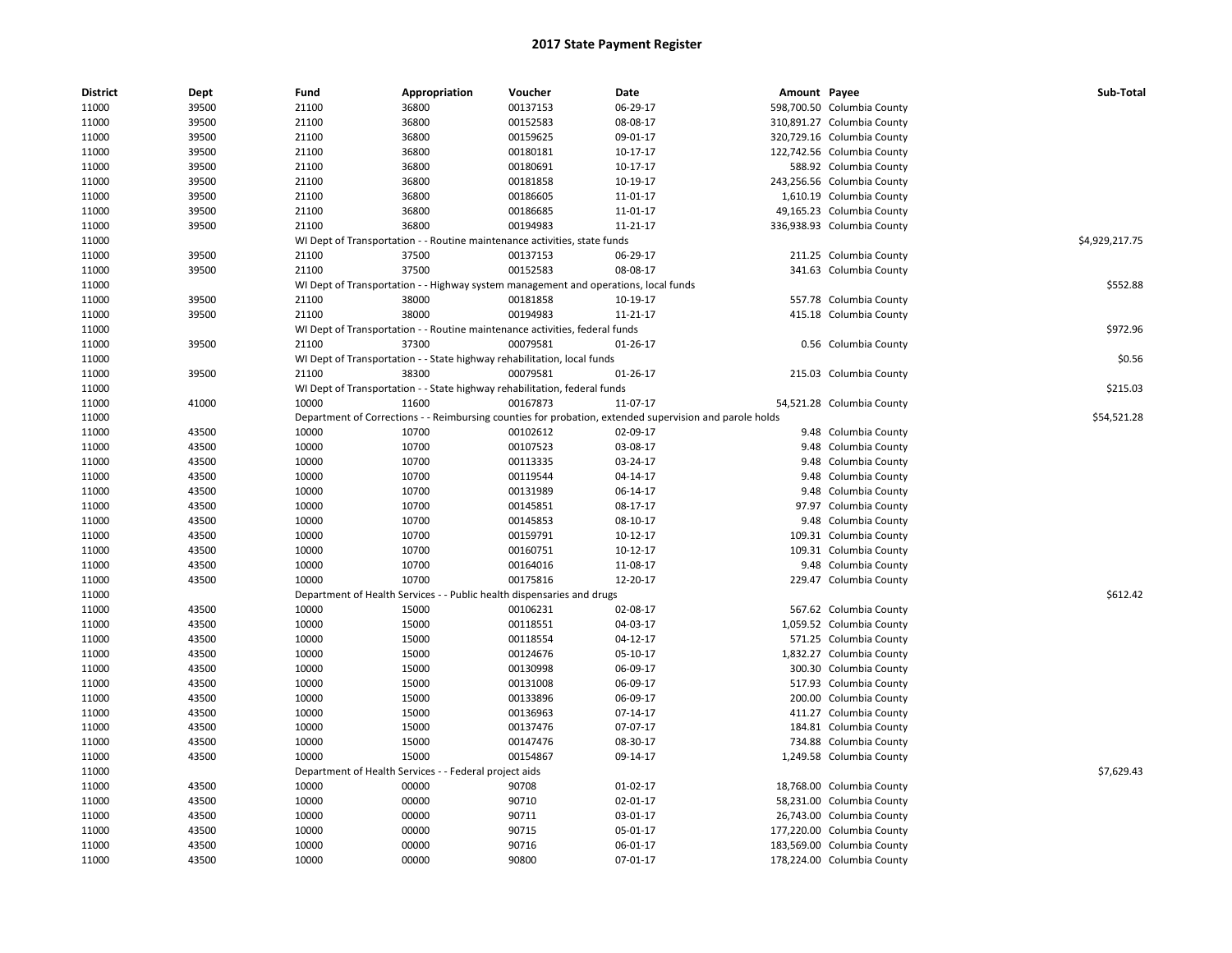| <b>District</b> | Dept  | Fund                          | Appropriation          | Voucher                                                                             | Date                                                                                                    | Amount Payee |                            | Sub-Total      |
|-----------------|-------|-------------------------------|------------------------|-------------------------------------------------------------------------------------|---------------------------------------------------------------------------------------------------------|--------------|----------------------------|----------------|
| 11000           | 39500 | 21100                         | 36800                  | 00137153                                                                            | 06-29-17                                                                                                |              | 598,700.50 Columbia County |                |
| 11000           | 39500 | 21100                         | 36800                  | 00152583                                                                            | 08-08-17                                                                                                |              | 310,891.27 Columbia County |                |
| 11000           | 39500 | 21100                         | 36800                  | 00159625                                                                            | 09-01-17                                                                                                |              | 320,729.16 Columbia County |                |
| 11000           | 39500 | 21100                         | 36800                  | 00180181                                                                            | 10-17-17                                                                                                |              | 122,742.56 Columbia County |                |
| 11000           | 39500 | 21100                         | 36800                  | 00180691                                                                            | 10-17-17                                                                                                |              | 588.92 Columbia County     |                |
| 11000           | 39500 | 21100                         | 36800                  | 00181858                                                                            | 10-19-17                                                                                                |              | 243,256.56 Columbia County |                |
| 11000           | 39500 | 21100                         | 36800                  | 00186605                                                                            | 11-01-17                                                                                                |              | 1,610.19 Columbia County   |                |
| 11000           | 39500 | 21100                         | 36800                  | 00186685                                                                            | 11-01-17                                                                                                |              | 49,165.23 Columbia County  |                |
| 11000           | 39500 | 21100                         | 36800                  | 00194983                                                                            | 11-21-17                                                                                                |              | 336,938.93 Columbia County |                |
| 11000           |       |                               |                        | WI Dept of Transportation - - Routine maintenance activities, state funds           |                                                                                                         |              |                            | \$4,929,217.75 |
| 11000           | 39500 | 21100                         | 37500                  | 00137153                                                                            | 06-29-17                                                                                                |              | 211.25 Columbia County     |                |
| 11000           | 39500 | 21100                         | 37500                  | 00152583                                                                            | 08-08-17                                                                                                |              | 341.63 Columbia County     |                |
| 11000           |       |                               |                        | WI Dept of Transportation - - Highway system management and operations, local funds |                                                                                                         |              |                            | \$552.88       |
| 11000           | 39500 | 21100                         | 38000                  | 00181858                                                                            | 10-19-17                                                                                                |              | 557.78 Columbia County     |                |
| 11000           | 39500 | 21100                         | 38000                  | 00194983                                                                            | 11-21-17                                                                                                |              | 415.18 Columbia County     |                |
| 11000           |       |                               |                        | WI Dept of Transportation - - Routine maintenance activities, federal funds         |                                                                                                         |              |                            | \$972.96       |
| 11000           | 39500 | 21100                         | 37300                  | 00079581                                                                            | 01-26-17                                                                                                |              | 0.56 Columbia County       |                |
| 11000           |       |                               |                        | WI Dept of Transportation - - State highway rehabilitation, local funds             |                                                                                                         |              |                            | \$0.56         |
| 11000           | 39500 | 21100                         | 38300                  | 00079581                                                                            | 01-26-17                                                                                                |              | 215.03 Columbia County     |                |
| 11000           |       |                               |                        | WI Dept of Transportation - - State highway rehabilitation, federal funds           |                                                                                                         |              |                            | \$215.03       |
| 11000           | 41000 | 10000                         | 11600                  | 00167873                                                                            | 11-07-17                                                                                                |              | 54,521.28 Columbia County  |                |
| 11000           |       |                               |                        |                                                                                     | Department of Corrections - - Reimbursing counties for probation, extended supervision and parole holds |              |                            | \$54,521.28    |
| 11000           | 43500 | 10000                         | 10700                  | 00102612                                                                            | 02-09-17                                                                                                |              | 9.48 Columbia County       |                |
| 11000           | 43500 | 10000                         | 10700                  | 00107523                                                                            | 03-08-17                                                                                                |              | 9.48 Columbia County       |                |
| 11000           | 43500 | 10000                         | 10700                  | 00113335                                                                            | 03-24-17                                                                                                |              | 9.48 Columbia County       |                |
| 11000           | 43500 | 10000                         | 10700                  | 00119544                                                                            | 04-14-17                                                                                                |              | 9.48 Columbia County       |                |
| 11000           | 43500 | 10000                         | 10700                  | 00131989                                                                            | 06-14-17                                                                                                |              | 9.48 Columbia County       |                |
| 11000           | 43500 | 10000                         | 10700                  | 00145851                                                                            | 08-17-17                                                                                                |              | 97.97 Columbia County      |                |
| 11000           | 43500 | 10000                         | 10700                  | 00145853                                                                            | 08-10-17                                                                                                |              | 9.48 Columbia County       |                |
| 11000           | 43500 | 10000                         | 10700                  | 00159791                                                                            | 10-12-17                                                                                                |              | 109.31 Columbia County     |                |
| 11000           | 43500 | 10000                         | 10700                  | 00160751                                                                            | 10-12-17                                                                                                |              | 109.31 Columbia County     |                |
| 11000           | 43500 | 10000                         | 10700                  | 00164016                                                                            | 11-08-17                                                                                                |              | 9.48 Columbia County       |                |
| 11000           | 43500 | 10000                         | 10700                  | 00175816                                                                            | 12-20-17                                                                                                |              | 229.47 Columbia County     |                |
| 11000           |       |                               |                        | Department of Health Services - - Public health dispensaries and drugs              |                                                                                                         |              |                            | \$612.42       |
| 11000           | 43500 | 10000                         | 15000                  | 00106231                                                                            | 02-08-17                                                                                                |              | 567.62 Columbia County     |                |
| 11000           | 43500 | 10000                         | 15000                  | 00118551                                                                            | 04-03-17                                                                                                |              | 1,059.52 Columbia County   |                |
| 11000           | 43500 | 10000                         | 15000                  | 00118554                                                                            | 04-12-17                                                                                                |              | 571.25 Columbia County     |                |
| 11000           | 43500 | 10000                         | 15000                  | 00124676                                                                            | 05-10-17                                                                                                |              | 1,832.27 Columbia County   |                |
| 11000           | 43500 | 10000                         | 15000                  | 00130998                                                                            | 06-09-17                                                                                                |              | 300.30 Columbia County     |                |
| 11000           | 43500 | 10000                         | 15000                  | 00131008                                                                            | 06-09-17                                                                                                |              | 517.93 Columbia County     |                |
| 11000           | 43500 | 10000                         | 15000                  | 00133896                                                                            | 06-09-17                                                                                                |              | 200.00 Columbia County     |                |
| 11000           | 43500 | 10000                         | 15000                  | 00136963                                                                            | 07-14-17                                                                                                |              | 411.27 Columbia County     |                |
| 11000           | 43500 | 10000                         | 15000                  | 00137476                                                                            | 07-07-17                                                                                                |              | 184.81 Columbia County     |                |
| 11000           | 43500 | 10000                         | 15000                  | 00147476                                                                            | 08-30-17                                                                                                |              | 734.88 Columbia County     |                |
| 11000           | 43500 | 10000                         | 15000                  | 00154867                                                                            | 09-14-17                                                                                                |              | 1,249.58 Columbia County   |                |
| 11000           |       | Department of Health Services | - Federal project aids |                                                                                     |                                                                                                         |              |                            | \$7,629.43     |
| 11000           | 43500 | 10000                         | 00000                  | 90708                                                                               | $01-02-17$                                                                                              |              | 18,768.00 Columbia County  |                |
| 11000           | 43500 | 10000                         | 00000                  | 90710                                                                               | 02-01-17                                                                                                |              | 58,231.00 Columbia County  |                |
|                 | 43500 | 10000                         | 00000                  | 90711                                                                               | 03-01-17                                                                                                |              | 26,743.00 Columbia County  |                |
| 11000<br>11000  | 43500 | 10000                         | 00000                  | 90715                                                                               | 05-01-17                                                                                                |              | 177,220.00 Columbia County |                |
| 11000           | 43500 | 10000                         | 00000                  | 90716                                                                               | 06-01-17                                                                                                |              | 183,569.00 Columbia County |                |
|                 |       |                               |                        |                                                                                     |                                                                                                         |              |                            |                |
| 11000           | 43500 | 10000                         | 00000                  | 90800                                                                               | 07-01-17                                                                                                |              | 178,224.00 Columbia County |                |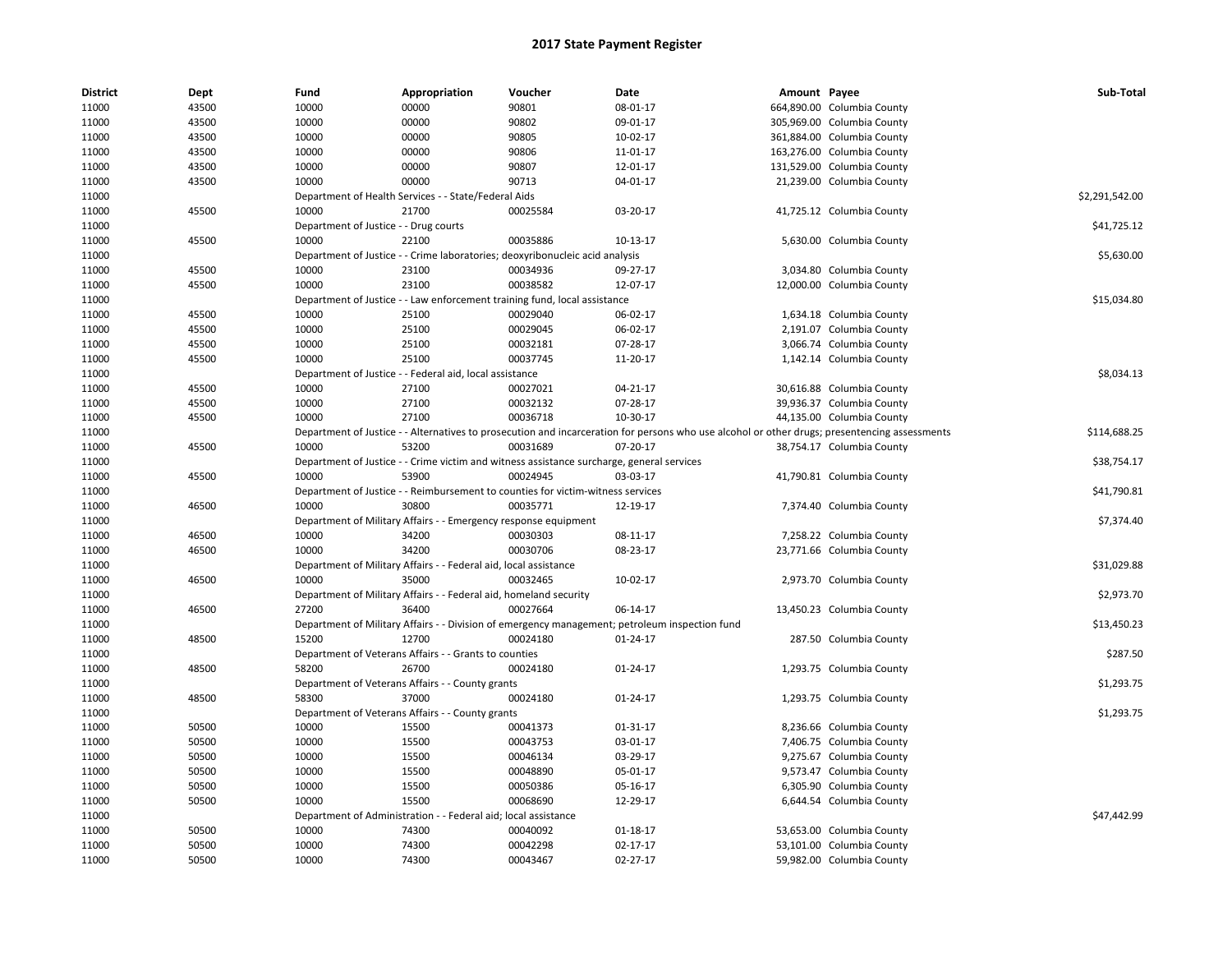| <b>District</b> | Dept  | Fund                                  | Appropriation                                                                             | Voucher  | Date                                                                                                                                          | Amount Payee |                            | Sub-Total      |
|-----------------|-------|---------------------------------------|-------------------------------------------------------------------------------------------|----------|-----------------------------------------------------------------------------------------------------------------------------------------------|--------------|----------------------------|----------------|
| 11000           | 43500 | 10000                                 | 00000                                                                                     | 90801    | 08-01-17                                                                                                                                      |              | 664,890.00 Columbia County |                |
| 11000           | 43500 | 10000                                 | 00000                                                                                     | 90802    | 09-01-17                                                                                                                                      |              | 305,969.00 Columbia County |                |
| 11000           | 43500 | 10000                                 | 00000                                                                                     | 90805    | 10-02-17                                                                                                                                      |              | 361,884.00 Columbia County |                |
| 11000           | 43500 | 10000                                 | 00000                                                                                     | 90806    | 11-01-17                                                                                                                                      |              | 163,276.00 Columbia County |                |
| 11000           | 43500 | 10000                                 | 00000                                                                                     | 90807    | 12-01-17                                                                                                                                      |              | 131,529.00 Columbia County |                |
| 11000           | 43500 | 10000                                 | 00000                                                                                     | 90713    | 04-01-17                                                                                                                                      |              | 21,239.00 Columbia County  |                |
| 11000           |       |                                       | Department of Health Services - - State/Federal Aids                                      |          |                                                                                                                                               |              |                            | \$2,291,542.00 |
| 11000           | 45500 | 10000                                 | 21700                                                                                     | 00025584 | 03-20-17                                                                                                                                      |              | 41,725.12 Columbia County  |                |
| 11000           |       | Department of Justice - - Drug courts |                                                                                           |          |                                                                                                                                               |              |                            | \$41,725.12    |
| 11000           | 45500 | 10000                                 | 22100                                                                                     | 00035886 | 10-13-17                                                                                                                                      |              | 5,630.00 Columbia County   |                |
| 11000           |       |                                       | Department of Justice - - Crime laboratories; deoxyribonucleic acid analysis              |          |                                                                                                                                               |              |                            | \$5,630.00     |
| 11000           | 45500 | 10000                                 | 23100                                                                                     | 00034936 | 09-27-17                                                                                                                                      |              | 3,034.80 Columbia County   |                |
| 11000           | 45500 | 10000                                 | 23100                                                                                     | 00038582 | 12-07-17                                                                                                                                      |              | 12,000.00 Columbia County  |                |
| 11000           |       |                                       | Department of Justice - - Law enforcement training fund, local assistance                 |          |                                                                                                                                               |              |                            | \$15,034.80    |
| 11000           | 45500 | 10000                                 | 25100                                                                                     | 00029040 | 06-02-17                                                                                                                                      |              | 1,634.18 Columbia County   |                |
| 11000           | 45500 | 10000                                 | 25100                                                                                     | 00029045 | 06-02-17                                                                                                                                      |              | 2,191.07 Columbia County   |                |
| 11000           | 45500 | 10000                                 | 25100                                                                                     | 00032181 | 07-28-17                                                                                                                                      |              | 3,066.74 Columbia County   |                |
| 11000           | 45500 | 10000                                 | 25100                                                                                     | 00037745 | 11-20-17                                                                                                                                      |              | 1,142.14 Columbia County   |                |
| 11000           |       |                                       | Department of Justice - - Federal aid, local assistance                                   |          |                                                                                                                                               |              |                            | \$8,034.13     |
| 11000           | 45500 | 10000                                 | 27100                                                                                     | 00027021 | 04-21-17                                                                                                                                      |              | 30,616.88 Columbia County  |                |
| 11000           | 45500 | 10000                                 | 27100                                                                                     | 00032132 | 07-28-17                                                                                                                                      |              | 39,936.37 Columbia County  |                |
| 11000           | 45500 | 10000                                 | 27100                                                                                     | 00036718 | 10-30-17                                                                                                                                      |              | 44,135.00 Columbia County  |                |
| 11000           |       |                                       |                                                                                           |          | Department of Justice - - Alternatives to prosecution and incarceration for persons who use alcohol or other drugs; presentencing assessments |              |                            | \$114,688.25   |
| 11000           | 45500 | 10000                                 | 53200                                                                                     | 00031689 | 07-20-17                                                                                                                                      |              | 38,754.17 Columbia County  |                |
| 11000           |       |                                       | Department of Justice - - Crime victim and witness assistance surcharge, general services |          |                                                                                                                                               |              |                            | \$38,754.17    |
| 11000           | 45500 | 10000                                 | 53900                                                                                     | 00024945 | 03-03-17                                                                                                                                      |              | 41,790.81 Columbia County  |                |
| 11000           |       |                                       | Department of Justice - - Reimbursement to counties for victim-witness services           |          |                                                                                                                                               |              |                            | \$41,790.81    |
| 11000           | 46500 | 10000                                 | 30800                                                                                     | 00035771 | 12-19-17                                                                                                                                      |              | 7,374.40 Columbia County   |                |
| 11000           |       |                                       | Department of Military Affairs - - Emergency response equipment                           |          |                                                                                                                                               |              |                            | \$7,374.40     |
| 11000           | 46500 | 10000                                 | 34200                                                                                     | 00030303 | 08-11-17                                                                                                                                      |              | 7,258.22 Columbia County   |                |
| 11000           | 46500 | 10000                                 | 34200                                                                                     | 00030706 | 08-23-17                                                                                                                                      |              | 23,771.66 Columbia County  |                |
| 11000           |       |                                       | Department of Military Affairs - - Federal aid, local assistance                          |          |                                                                                                                                               |              |                            | \$31.029.88    |
| 11000           | 46500 | 10000                                 | 35000                                                                                     | 00032465 | 10-02-17                                                                                                                                      |              | 2,973.70 Columbia County   |                |
| 11000           |       |                                       | Department of Military Affairs - - Federal aid, homeland security                         |          |                                                                                                                                               |              |                            | \$2,973.70     |
| 11000           | 46500 | 27200                                 | 36400                                                                                     | 00027664 | 06-14-17                                                                                                                                      |              | 13,450.23 Columbia County  |                |
| 11000           |       |                                       |                                                                                           |          | Department of Military Affairs - - Division of emergency management; petroleum inspection fund                                                |              |                            | \$13,450.23    |
| 11000           | 48500 | 15200                                 | 12700                                                                                     | 00024180 | 01-24-17                                                                                                                                      |              | 287.50 Columbia County     |                |
| 11000           |       |                                       | Department of Veterans Affairs - - Grants to counties                                     |          |                                                                                                                                               |              |                            | \$287.50       |
| 11000           | 48500 | 58200                                 | 26700                                                                                     | 00024180 | 01-24-17                                                                                                                                      |              | 1,293.75 Columbia County   |                |
| 11000           |       |                                       | Department of Veterans Affairs - - County grants                                          |          |                                                                                                                                               |              |                            | \$1,293.75     |
| 11000           | 48500 | 58300                                 | 37000                                                                                     | 00024180 | 01-24-17                                                                                                                                      |              | 1,293.75 Columbia County   |                |
| 11000           |       |                                       | Department of Veterans Affairs - - County grants                                          |          |                                                                                                                                               |              |                            | \$1,293.75     |
| 11000           | 50500 | 10000                                 | 15500                                                                                     | 00041373 | 01-31-17                                                                                                                                      |              | 8,236.66 Columbia County   |                |
| 11000           | 50500 | 10000                                 | 15500                                                                                     | 00043753 | 03-01-17                                                                                                                                      |              | 7,406.75 Columbia County   |                |
| 11000           | 50500 | 10000                                 | 15500                                                                                     | 00046134 | 03-29-17                                                                                                                                      |              | 9,275.67 Columbia County   |                |
| 11000           | 50500 | 10000                                 | 15500                                                                                     | 00048890 | 05-01-17                                                                                                                                      |              | 9,573.47 Columbia County   |                |
| 11000           | 50500 | 10000                                 | 15500                                                                                     | 00050386 | 05-16-17                                                                                                                                      |              | 6,305.90 Columbia County   |                |
| 11000           | 50500 | 10000                                 | 15500                                                                                     | 00068690 | 12-29-17                                                                                                                                      |              | 6,644.54 Columbia County   |                |
| 11000           |       |                                       | Department of Administration - - Federal aid; local assistance                            |          |                                                                                                                                               |              |                            | \$47,442.99    |
| 11000           | 50500 | 10000                                 | 74300                                                                                     | 00040092 | 01-18-17                                                                                                                                      |              | 53,653.00 Columbia County  |                |
| 11000           | 50500 | 10000                                 | 74300                                                                                     | 00042298 | 02-17-17                                                                                                                                      |              | 53,101.00 Columbia County  |                |
|                 | 50500 | 10000                                 | 74300                                                                                     | 00043467 | 02-27-17                                                                                                                                      |              |                            |                |
| 11000           |       |                                       |                                                                                           |          |                                                                                                                                               |              | 59,982.00 Columbia County  |                |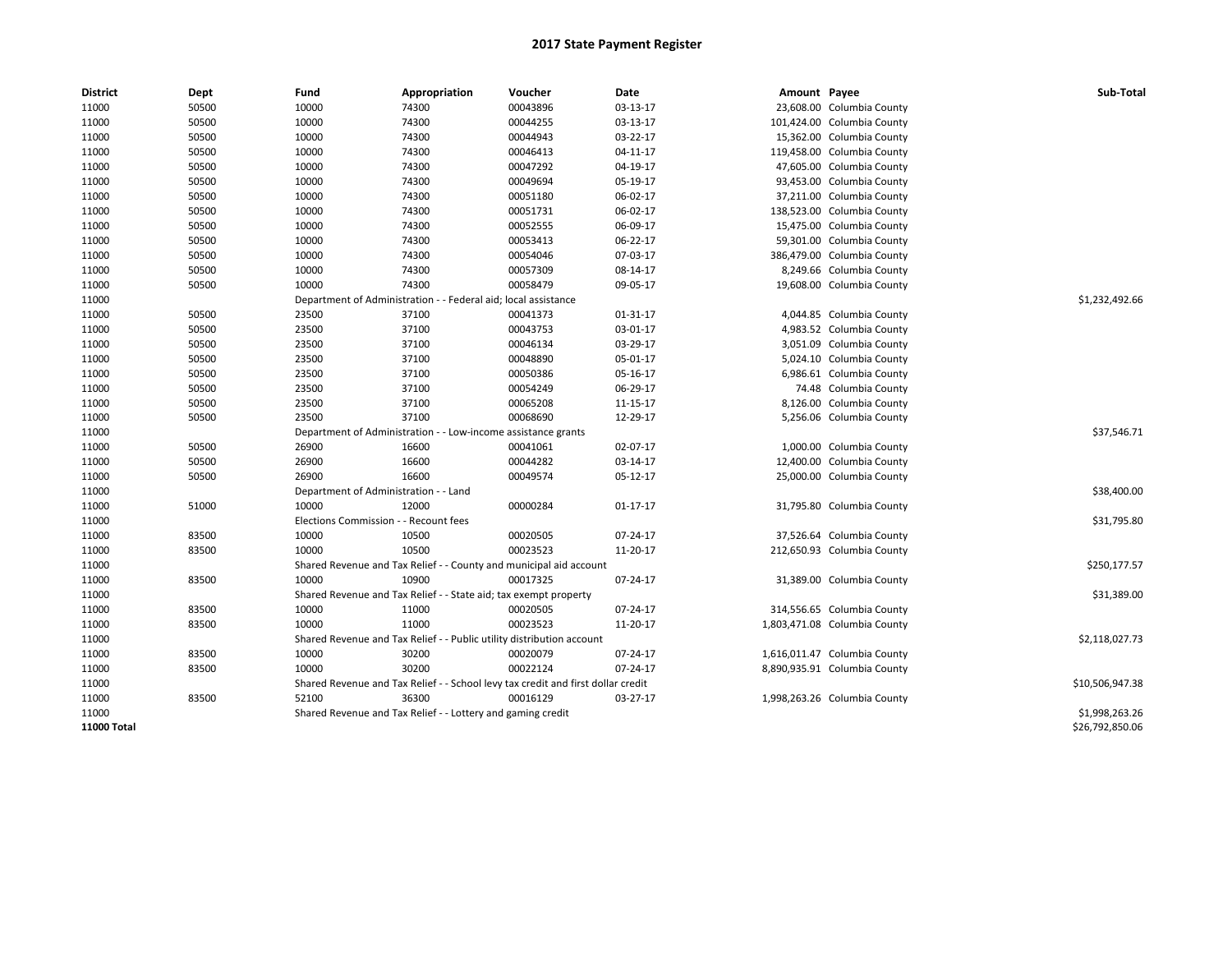| <b>District</b> | Dept  | Fund                         | Appropriation                                                                    | Voucher                       | Date           | Amount Payee |                              | Sub-Total       |
|-----------------|-------|------------------------------|----------------------------------------------------------------------------------|-------------------------------|----------------|--------------|------------------------------|-----------------|
| 11000           | 50500 | 10000                        | 74300                                                                            | 00043896                      | 03-13-17       |              | 23,608.00 Columbia County    |                 |
| 11000           | 50500 | 10000                        | 74300                                                                            | 00044255                      | 03-13-17       |              | 101,424.00 Columbia County   |                 |
| 11000           | 50500 | 10000                        | 74300                                                                            | 00044943                      | 03-22-17       |              | 15,362.00 Columbia County    |                 |
| 11000           | 50500 | 10000                        | 74300                                                                            | 00046413                      | $04-11-17$     |              | 119,458.00 Columbia County   |                 |
| 11000           | 50500 | 10000                        | 74300                                                                            | 00047292                      | 04-19-17       |              | 47,605.00 Columbia County    |                 |
| 11000           | 50500 | 10000                        | 74300                                                                            | 00049694                      | 05-19-17       |              | 93,453.00 Columbia County    |                 |
| 11000           | 50500 | 10000                        | 74300                                                                            | 00051180                      | 06-02-17       |              | 37,211.00 Columbia County    |                 |
| 11000           | 50500 | 10000                        | 74300                                                                            | 00051731                      | 06-02-17       |              | 138,523.00 Columbia County   |                 |
| 11000           | 50500 | 10000                        | 74300                                                                            | 00052555                      | 06-09-17       |              | 15,475.00 Columbia County    |                 |
| 11000           | 50500 | 10000                        | 74300                                                                            | 00053413                      | 06-22-17       |              | 59,301.00 Columbia County    |                 |
| 11000           | 50500 | 10000                        | 74300                                                                            | 00054046                      | 07-03-17       |              | 386,479.00 Columbia County   |                 |
| 11000           | 50500 | 10000                        | 74300                                                                            | 00057309                      | 08-14-17       |              | 8,249.66 Columbia County     |                 |
| 11000           | 50500 | 10000                        | 74300                                                                            | 00058479                      | 09-05-17       |              | 19,608.00 Columbia County    |                 |
| 11000           |       | Department of Administration |                                                                                  | Federal aid; local assistance |                |              |                              | \$1,232,492.66  |
| 11000           | 50500 | 23500                        | 37100                                                                            | 00041373                      | 01-31-17       |              | 4,044.85 Columbia County     |                 |
| 11000           | 50500 | 23500                        | 37100                                                                            | 00043753                      | 03-01-17       |              | 4,983.52 Columbia County     |                 |
| 11000           | 50500 | 23500                        | 37100                                                                            | 00046134                      | 03-29-17       |              | 3,051.09 Columbia County     |                 |
| 11000           | 50500 | 23500                        | 37100                                                                            | 00048890                      | 05-01-17       |              | 5,024.10 Columbia County     |                 |
| 11000           | 50500 | 23500                        | 37100                                                                            | 00050386                      | 05-16-17       |              | 6,986.61 Columbia County     |                 |
| 11000           | 50500 | 23500                        | 37100                                                                            | 00054249                      | 06-29-17       |              | 74.48 Columbia County        |                 |
| 11000           | 50500 | 23500                        | 37100                                                                            | 00065208                      | 11-15-17       |              | 8,126.00 Columbia County     |                 |
| 11000           | 50500 | 23500                        | 37100                                                                            | 00068690                      | 12-29-17       |              | 5,256.06 Columbia County     |                 |
| 11000           |       |                              | Department of Administration - - Low-income assistance grants                    |                               |                |              |                              | \$37,546.71     |
| 11000           | 50500 | 26900                        | 16600                                                                            | 00041061                      | 02-07-17       |              | 1,000.00 Columbia County     |                 |
| 11000           | 50500 | 26900                        | 16600                                                                            | 00044282                      | 03-14-17       |              | 12,400.00 Columbia County    |                 |
| 11000           | 50500 | 26900                        | 16600                                                                            | 00049574                      | $05-12-17$     |              | 25,000.00 Columbia County    |                 |
| 11000           |       |                              | Department of Administration - - Land                                            |                               |                |              |                              | \$38,400.00     |
| 11000           | 51000 | 10000                        | 12000                                                                            | 00000284                      | $01 - 17 - 17$ |              | 31,795.80 Columbia County    |                 |
| 11000           |       |                              | Elections Commission - - Recount fees                                            |                               |                |              |                              | \$31,795.80     |
| 11000           | 83500 | 10000                        | 10500                                                                            | 00020505                      | 07-24-17       |              | 37,526.64 Columbia County    |                 |
| 11000           | 83500 | 10000                        | 10500                                                                            | 00023523                      | 11-20-17       |              | 212,650.93 Columbia County   |                 |
| 11000           |       |                              | Shared Revenue and Tax Relief - - County and municipal aid account               |                               |                |              |                              | \$250,177.57    |
| 11000           | 83500 | 10000                        | 10900                                                                            | 00017325                      | 07-24-17       |              | 31,389.00 Columbia County    |                 |
| 11000           |       |                              | Shared Revenue and Tax Relief - - State aid; tax exempt property                 |                               |                |              |                              | \$31,389.00     |
| 11000           | 83500 | 10000                        | 11000                                                                            | 00020505                      | 07-24-17       |              | 314,556.65 Columbia County   |                 |
| 11000           | 83500 | 10000                        | 11000                                                                            | 00023523                      | 11-20-17       |              | 1,803,471.08 Columbia County |                 |
| 11000           |       |                              | Shared Revenue and Tax Relief - - Public utility distribution account            |                               |                |              |                              | \$2,118,027.73  |
| 11000           | 83500 | 10000                        | 30200                                                                            | 00020079                      | 07-24-17       |              | 1,616,011.47 Columbia County |                 |
| 11000           | 83500 | 10000                        | 30200                                                                            | 00022124                      | 07-24-17       |              | 8,890,935.91 Columbia County |                 |
| 11000           |       |                              | Shared Revenue and Tax Relief - - School levy tax credit and first dollar credit |                               |                |              |                              | \$10,506,947.38 |
| 11000           | 83500 | 52100                        | 36300                                                                            | 00016129                      | 03-27-17       |              | 1,998,263.26 Columbia County |                 |
| 11000           |       |                              | Shared Revenue and Tax Relief - - Lottery and gaming credit                      |                               |                |              |                              | \$1,998,263.26  |
| 11000 Total     |       |                              |                                                                                  |                               |                |              |                              | \$26,792,850.06 |
|                 |       |                              |                                                                                  |                               |                |              |                              |                 |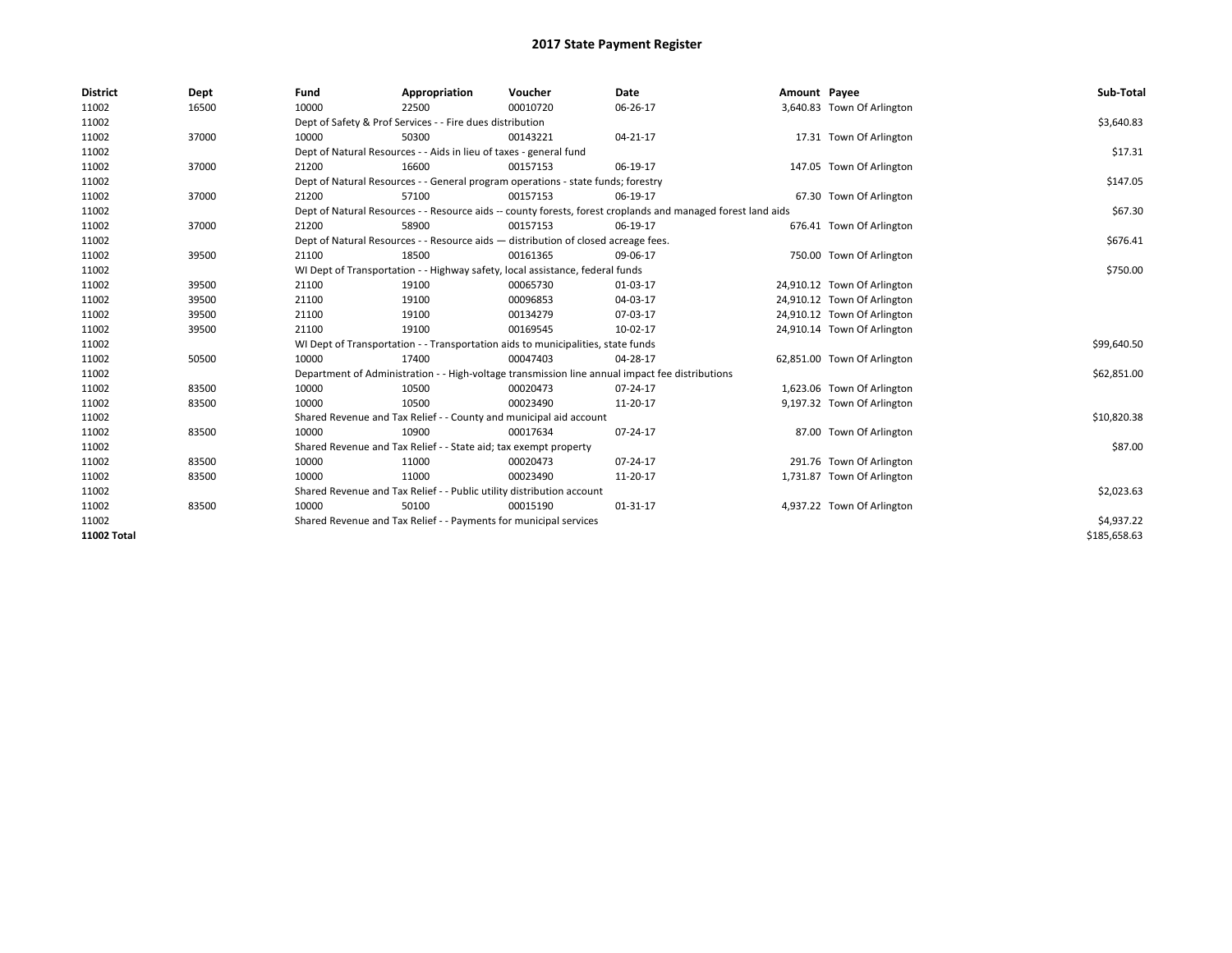| <b>District</b> | Dept  | Fund                                                                                                         | Appropriation                                                                      | Voucher  | Date                                                                                            | Amount Payee |                             | Sub-Total    |
|-----------------|-------|--------------------------------------------------------------------------------------------------------------|------------------------------------------------------------------------------------|----------|-------------------------------------------------------------------------------------------------|--------------|-----------------------------|--------------|
| 11002           | 16500 | 10000                                                                                                        | 22500                                                                              | 00010720 | 06-26-17                                                                                        |              | 3,640.83 Town Of Arlington  |              |
| 11002           |       |                                                                                                              | Dept of Safety & Prof Services - - Fire dues distribution                          |          |                                                                                                 |              |                             | \$3,640.83   |
| 11002           | 37000 | 10000                                                                                                        | 50300                                                                              | 00143221 | 04-21-17                                                                                        |              | 17.31 Town Of Arlington     |              |
| 11002           |       |                                                                                                              | Dept of Natural Resources - - Aids in lieu of taxes - general fund                 |          |                                                                                                 |              |                             | \$17.31      |
| 11002           | 37000 | 21200                                                                                                        | 16600                                                                              | 00157153 | 06-19-17                                                                                        |              | 147.05 Town Of Arlington    |              |
| 11002           |       | Dept of Natural Resources - - General program operations - state funds; forestry                             |                                                                                    | \$147.05 |                                                                                                 |              |                             |              |
| 11002           | 37000 | 21200                                                                                                        | 57100                                                                              | 00157153 | 06-19-17                                                                                        |              | 67.30 Town Of Arlington     |              |
| 11002           |       | Dept of Natural Resources - - Resource aids -- county forests, forest croplands and managed forest land aids |                                                                                    | \$67.30  |                                                                                                 |              |                             |              |
| 11002           | 37000 | 21200                                                                                                        | 58900                                                                              | 00157153 | 06-19-17                                                                                        |              | 676.41 Town Of Arlington    |              |
| 11002           |       |                                                                                                              | Dept of Natural Resources - - Resource aids - distribution of closed acreage fees. |          |                                                                                                 |              |                             | \$676.41     |
| 11002           | 39500 | 21100                                                                                                        | 18500                                                                              | 00161365 | 09-06-17                                                                                        |              | 750.00 Town Of Arlington    |              |
| 11002           |       |                                                                                                              | WI Dept of Transportation - - Highway safety, local assistance, federal funds      |          |                                                                                                 |              |                             | \$750.00     |
| 11002           | 39500 | 21100                                                                                                        | 19100                                                                              | 00065730 | 01-03-17                                                                                        |              | 24,910.12 Town Of Arlington |              |
| 11002           | 39500 | 21100                                                                                                        | 19100                                                                              | 00096853 | 04-03-17                                                                                        |              | 24,910.12 Town Of Arlington |              |
| 11002           | 39500 | 21100                                                                                                        | 19100                                                                              | 00134279 | 07-03-17                                                                                        |              | 24,910.12 Town Of Arlington |              |
| 11002           | 39500 | 21100                                                                                                        | 19100                                                                              | 00169545 | 10-02-17                                                                                        |              | 24,910.14 Town Of Arlington |              |
| 11002           |       |                                                                                                              | WI Dept of Transportation - - Transportation aids to municipalities, state funds   |          |                                                                                                 |              |                             | \$99,640.50  |
| 11002           | 50500 | 10000                                                                                                        | 17400                                                                              | 00047403 | 04-28-17                                                                                        |              | 62,851.00 Town Of Arlington |              |
| 11002           |       |                                                                                                              |                                                                                    |          | Department of Administration - - High-voltage transmission line annual impact fee distributions |              |                             | \$62,851.00  |
| 11002           | 83500 | 10000                                                                                                        | 10500                                                                              | 00020473 | 07-24-17                                                                                        |              | 1,623.06 Town Of Arlington  |              |
| 11002           | 83500 | 10000                                                                                                        | 10500                                                                              | 00023490 | 11-20-17                                                                                        |              | 9,197.32 Town Of Arlington  |              |
| 11002           |       |                                                                                                              | Shared Revenue and Tax Relief - - County and municipal aid account                 |          |                                                                                                 |              |                             | \$10,820.38  |
| 11002           | 83500 | 10000                                                                                                        | 10900                                                                              | 00017634 | 07-24-17                                                                                        |              | 87.00 Town Of Arlington     |              |
| 11002           |       |                                                                                                              | Shared Revenue and Tax Relief - - State aid; tax exempt property                   |          |                                                                                                 |              |                             | \$87.00      |
| 11002           | 83500 | 10000                                                                                                        | 11000                                                                              | 00020473 | 07-24-17                                                                                        |              | 291.76 Town Of Arlington    |              |
| 11002           | 83500 | 10000                                                                                                        | 11000                                                                              | 00023490 | 11-20-17                                                                                        |              | 1,731.87 Town Of Arlington  |              |
| 11002           |       |                                                                                                              | Shared Revenue and Tax Relief - - Public utility distribution account              |          |                                                                                                 |              |                             | \$2,023.63   |
| 11002           | 83500 | 10000                                                                                                        | 50100                                                                              | 00015190 | 01-31-17                                                                                        |              | 4,937.22 Town Of Arlington  |              |
| 11002           |       |                                                                                                              | Shared Revenue and Tax Relief - - Payments for municipal services                  |          |                                                                                                 |              |                             | \$4,937.22   |
| 11002 Total     |       |                                                                                                              |                                                                                    |          |                                                                                                 |              |                             | \$185,658.63 |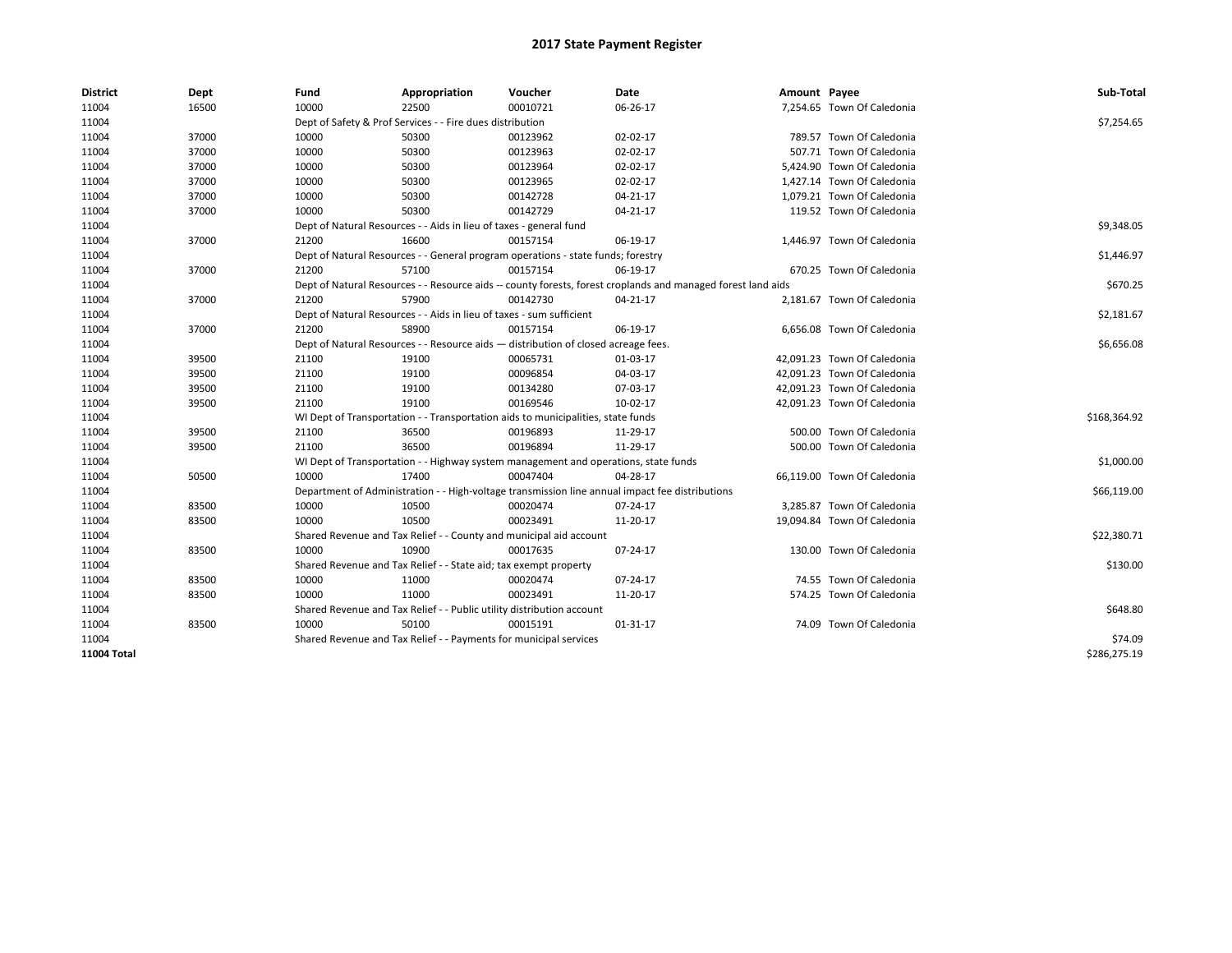| <b>District</b> | Dept  | Fund  | Appropriation                                                                                                | Voucher  | Date     | Amount Payee |                             | Sub-Total    |  |  |  |
|-----------------|-------|-------|--------------------------------------------------------------------------------------------------------------|----------|----------|--------------|-----------------------------|--------------|--|--|--|
| 11004           | 16500 | 10000 | 22500                                                                                                        | 00010721 | 06-26-17 |              | 7,254.65 Town Of Caledonia  |              |  |  |  |
| 11004           |       |       | Dept of Safety & Prof Services - - Fire dues distribution                                                    |          |          |              |                             | \$7,254.65   |  |  |  |
| 11004           | 37000 | 10000 | 50300                                                                                                        | 00123962 | 02-02-17 |              | 789.57 Town Of Caledonia    |              |  |  |  |
| 11004           | 37000 | 10000 | 50300                                                                                                        | 00123963 | 02-02-17 |              | 507.71 Town Of Caledonia    |              |  |  |  |
| 11004           | 37000 | 10000 | 50300                                                                                                        | 00123964 | 02-02-17 |              | 5,424.90 Town Of Caledonia  |              |  |  |  |
| 11004           | 37000 | 10000 | 50300                                                                                                        | 00123965 | 02-02-17 |              | 1,427.14 Town Of Caledonia  |              |  |  |  |
| 11004           | 37000 | 10000 | 50300                                                                                                        | 00142728 | 04-21-17 |              | 1,079.21 Town Of Caledonia  |              |  |  |  |
| 11004           | 37000 | 10000 | 50300                                                                                                        | 00142729 | 04-21-17 |              | 119.52 Town Of Caledonia    |              |  |  |  |
| 11004           |       |       | Dept of Natural Resources - - Aids in lieu of taxes - general fund                                           |          |          |              |                             |              |  |  |  |
| 11004           | 37000 | 21200 | 16600                                                                                                        | 00157154 | 06-19-17 |              | 1,446.97 Town Of Caledonia  |              |  |  |  |
| 11004           |       |       | Dept of Natural Resources - - General program operations - state funds; forestry                             |          |          |              |                             | \$1,446.97   |  |  |  |
| 11004           | 37000 | 21200 | 57100                                                                                                        | 00157154 | 06-19-17 |              | 670.25 Town Of Caledonia    |              |  |  |  |
| 11004           |       |       | Dept of Natural Resources - - Resource aids -- county forests, forest croplands and managed forest land aids |          |          |              |                             | \$670.25     |  |  |  |
| 11004           | 37000 | 21200 | 57900                                                                                                        | 00142730 | 04-21-17 |              | 2,181.67 Town Of Caledonia  |              |  |  |  |
| 11004           |       |       | Dept of Natural Resources - - Aids in lieu of taxes - sum sufficient                                         |          |          |              |                             | \$2,181.67   |  |  |  |
| 11004           | 37000 | 21200 | 58900                                                                                                        | 00157154 | 06-19-17 |              | 6,656.08 Town Of Caledonia  |              |  |  |  |
| 11004           |       |       | Dept of Natural Resources - - Resource aids - distribution of closed acreage fees.                           |          |          |              |                             |              |  |  |  |
| 11004           | 39500 | 21100 | 19100                                                                                                        | 00065731 | 01-03-17 |              | 42,091.23 Town Of Caledonia |              |  |  |  |
| 11004           | 39500 | 21100 | 19100                                                                                                        | 00096854 | 04-03-17 |              | 42,091.23 Town Of Caledonia |              |  |  |  |
| 11004           | 39500 | 21100 | 19100                                                                                                        | 00134280 | 07-03-17 |              | 42,091.23 Town Of Caledonia |              |  |  |  |
| 11004           | 39500 | 21100 | 19100                                                                                                        | 00169546 | 10-02-17 |              | 42,091.23 Town Of Caledonia |              |  |  |  |
| 11004           |       |       | WI Dept of Transportation - - Transportation aids to municipalities, state funds                             |          |          |              |                             | \$168,364.92 |  |  |  |
| 11004           | 39500 | 21100 | 36500                                                                                                        | 00196893 | 11-29-17 |              | 500.00 Town Of Caledonia    |              |  |  |  |
| 11004           | 39500 | 21100 | 36500                                                                                                        | 00196894 | 11-29-17 |              | 500.00 Town Of Caledonia    |              |  |  |  |
| 11004           |       |       | WI Dept of Transportation - - Highway system management and operations, state funds                          |          |          |              |                             | \$1,000.00   |  |  |  |
| 11004           | 50500 | 10000 | 17400                                                                                                        | 00047404 | 04-28-17 |              | 66,119.00 Town Of Caledonia |              |  |  |  |
| 11004           |       |       | Department of Administration - - High-voltage transmission line annual impact fee distributions              |          |          |              |                             | \$66,119.00  |  |  |  |
| 11004           | 83500 | 10000 | 10500                                                                                                        | 00020474 | 07-24-17 |              | 3,285.87 Town Of Caledonia  |              |  |  |  |
| 11004           | 83500 | 10000 | 10500                                                                                                        | 00023491 | 11-20-17 |              | 19,094.84 Town Of Caledonia |              |  |  |  |
| 11004           |       |       | Shared Revenue and Tax Relief - - County and municipal aid account                                           |          |          |              |                             | \$22,380.71  |  |  |  |
| 11004           | 83500 | 10000 | 10900                                                                                                        | 00017635 | 07-24-17 |              | 130.00 Town Of Caledonia    |              |  |  |  |
| 11004           |       |       | Shared Revenue and Tax Relief - - State aid; tax exempt property                                             |          |          |              |                             | \$130.00     |  |  |  |
| 11004           | 83500 | 10000 | 11000                                                                                                        | 00020474 | 07-24-17 |              | 74.55 Town Of Caledonia     |              |  |  |  |
| 11004           | 83500 | 10000 | 11000                                                                                                        | 00023491 | 11-20-17 |              | 574.25 Town Of Caledonia    |              |  |  |  |
| 11004           |       |       | Shared Revenue and Tax Relief - - Public utility distribution account                                        |          |          |              |                             | \$648.80     |  |  |  |
| 11004           | 83500 | 10000 | 50100                                                                                                        | 00015191 | 01-31-17 |              | 74.09 Town Of Caledonia     |              |  |  |  |
| 11004           |       |       | Shared Revenue and Tax Relief - - Payments for municipal services                                            |          |          |              |                             | \$74.09      |  |  |  |
| 11004 Total     |       |       |                                                                                                              |          |          |              |                             | \$286,275.19 |  |  |  |
|                 |       |       |                                                                                                              |          |          |              |                             |              |  |  |  |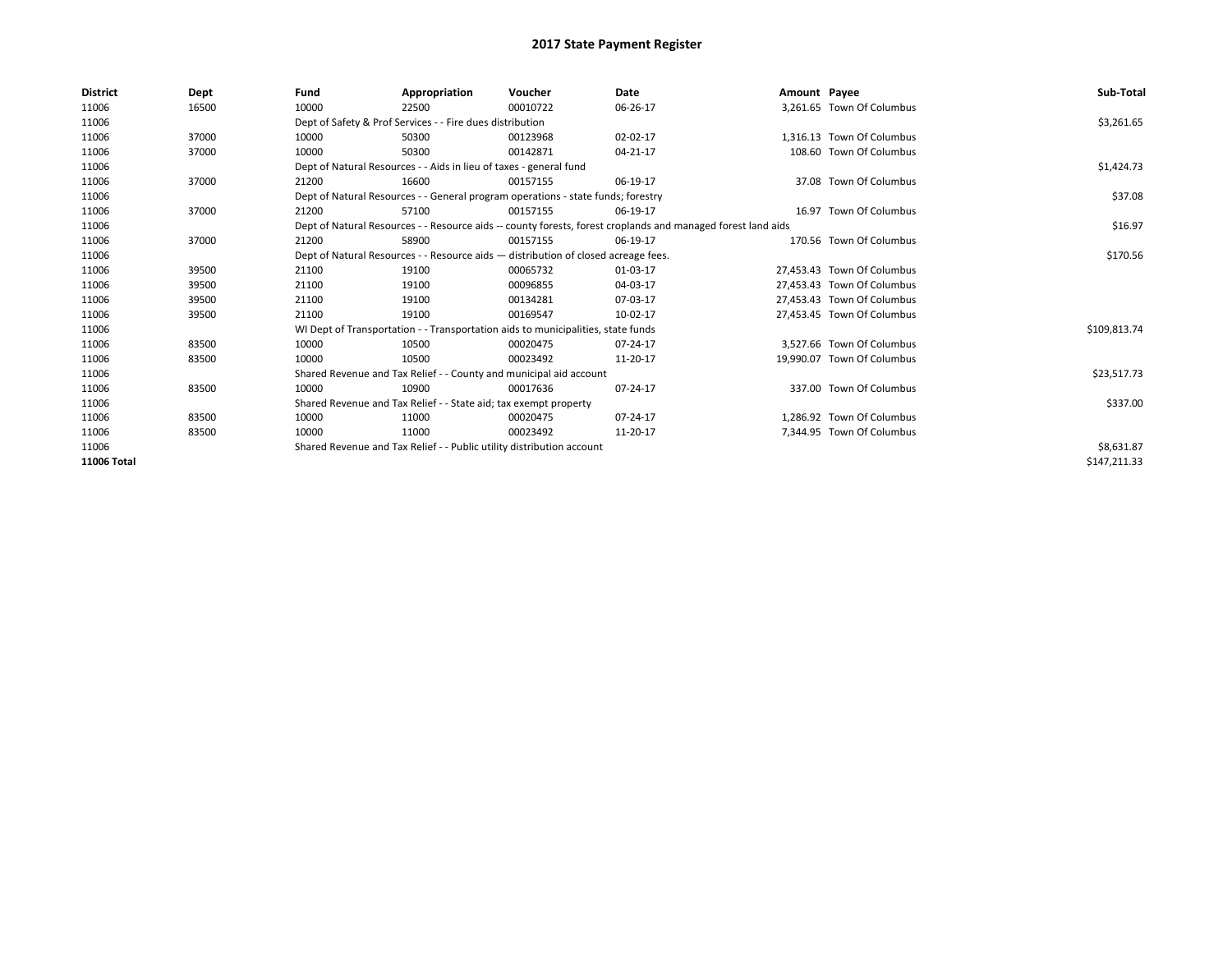| <b>District</b> | Dept  | Fund  | Appropriation                                                                                                | Voucher  | Date     | Amount Payee |                            | Sub-Total    |  |  |
|-----------------|-------|-------|--------------------------------------------------------------------------------------------------------------|----------|----------|--------------|----------------------------|--------------|--|--|
| 11006           | 16500 | 10000 | 22500                                                                                                        | 00010722 | 06-26-17 |              | 3,261.65 Town Of Columbus  |              |  |  |
| 11006           |       |       | Dept of Safety & Prof Services - - Fire dues distribution                                                    |          |          |              |                            | \$3,261.65   |  |  |
| 11006           | 37000 | 10000 | 50300                                                                                                        | 00123968 | 02-02-17 |              | 1,316.13 Town Of Columbus  |              |  |  |
| 11006           | 37000 | 10000 | 50300                                                                                                        | 00142871 | 04-21-17 |              | 108.60 Town Of Columbus    |              |  |  |
| 11006           |       |       | Dept of Natural Resources - - Aids in lieu of taxes - general fund                                           |          |          |              |                            | \$1,424.73   |  |  |
| 11006           | 37000 | 21200 | 16600                                                                                                        | 00157155 | 06-19-17 |              | 37.08 Town Of Columbus     |              |  |  |
| 11006           |       |       | Dept of Natural Resources - - General program operations - state funds; forestry                             |          |          |              |                            |              |  |  |
| 11006           | 37000 | 21200 | 57100                                                                                                        | 00157155 | 06-19-17 |              | 16.97 Town Of Columbus     |              |  |  |
| 11006           |       |       | Dept of Natural Resources - - Resource aids -- county forests, forest croplands and managed forest land aids |          |          |              |                            | \$16.97      |  |  |
| 11006           | 37000 | 21200 | 58900                                                                                                        | 00157155 | 06-19-17 |              | 170.56 Town Of Columbus    |              |  |  |
| 11006           |       |       | Dept of Natural Resources - - Resource aids - distribution of closed acreage fees.                           |          |          |              |                            |              |  |  |
| 11006           | 39500 | 21100 | 19100                                                                                                        | 00065732 | 01-03-17 |              | 27,453.43 Town Of Columbus |              |  |  |
| 11006           | 39500 | 21100 | 19100                                                                                                        | 00096855 | 04-03-17 |              | 27.453.43 Town Of Columbus |              |  |  |
| 11006           | 39500 | 21100 | 19100                                                                                                        | 00134281 | 07-03-17 |              | 27,453.43 Town Of Columbus |              |  |  |
| 11006           | 39500 | 21100 | 19100                                                                                                        | 00169547 | 10-02-17 |              | 27,453.45 Town Of Columbus |              |  |  |
| 11006           |       |       | WI Dept of Transportation - - Transportation aids to municipalities, state funds                             |          |          |              |                            | \$109,813.74 |  |  |
| 11006           | 83500 | 10000 | 10500                                                                                                        | 00020475 | 07-24-17 |              | 3.527.66 Town Of Columbus  |              |  |  |
| 11006           | 83500 | 10000 | 10500                                                                                                        | 00023492 | 11-20-17 |              | 19,990.07 Town Of Columbus |              |  |  |
| 11006           |       |       | Shared Revenue and Tax Relief - - County and municipal aid account                                           |          |          |              |                            | \$23,517.73  |  |  |
| 11006           | 83500 | 10000 | 10900                                                                                                        | 00017636 | 07-24-17 |              | 337.00 Town Of Columbus    |              |  |  |
| 11006           |       |       | Shared Revenue and Tax Relief - - State aid; tax exempt property                                             |          |          |              |                            | \$337.00     |  |  |
| 11006           | 83500 | 10000 | 11000                                                                                                        | 00020475 | 07-24-17 |              | 1.286.92 Town Of Columbus  |              |  |  |
| 11006           | 83500 | 10000 | 11000                                                                                                        | 00023492 | 11-20-17 |              | 7,344.95 Town Of Columbus  |              |  |  |
| 11006           |       |       | Shared Revenue and Tax Relief - - Public utility distribution account                                        |          |          |              |                            | \$8,631.87   |  |  |
| 11006 Total     |       |       |                                                                                                              |          |          |              |                            | \$147,211.33 |  |  |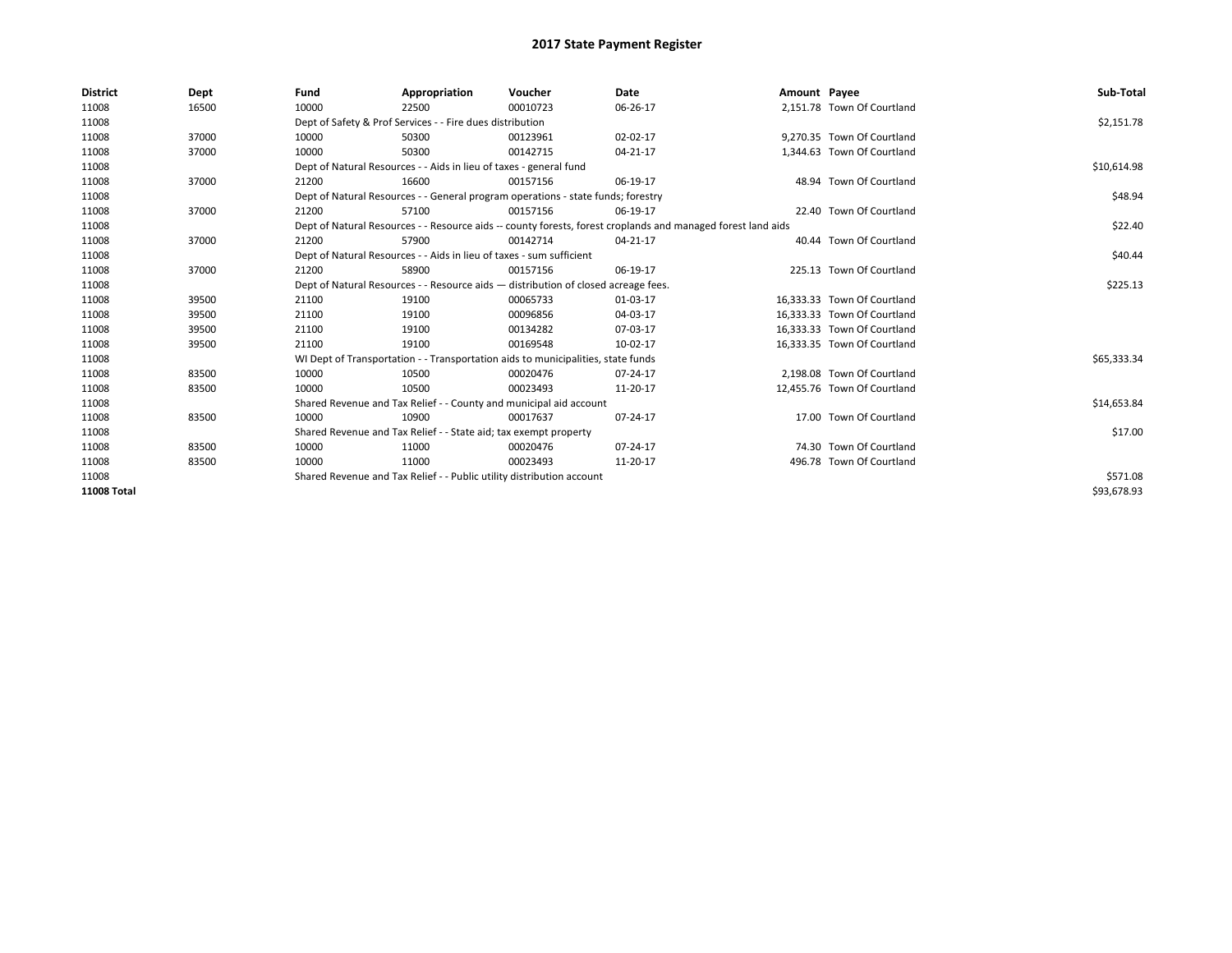| <b>District</b> | Dept  | Fund                                                                                                         | Appropriation                                                                    | Voucher     | Date     | Amount Payee |                             | Sub-Total   |
|-----------------|-------|--------------------------------------------------------------------------------------------------------------|----------------------------------------------------------------------------------|-------------|----------|--------------|-----------------------------|-------------|
| 11008           | 16500 | 10000                                                                                                        | 22500                                                                            | 00010723    | 06-26-17 |              | 2,151.78 Town Of Courtland  |             |
| 11008           |       |                                                                                                              | Dept of Safety & Prof Services - - Fire dues distribution                        |             |          |              |                             | \$2,151.78  |
| 11008           | 37000 | 10000                                                                                                        | 50300                                                                            | 00123961    | 02-02-17 |              | 9.270.35 Town Of Courtland  |             |
| 11008           | 37000 | 10000                                                                                                        | 50300                                                                            | 00142715    | 04-21-17 |              | 1,344.63 Town Of Courtland  |             |
| 11008           |       | Dept of Natural Resources - - Aids in lieu of taxes - general fund                                           |                                                                                  | \$10,614.98 |          |              |                             |             |
| 11008           | 37000 | 21200                                                                                                        | 16600                                                                            | 00157156    | 06-19-17 |              | 48.94 Town Of Courtland     |             |
| 11008           |       | Dept of Natural Resources - - General program operations - state funds; forestry                             |                                                                                  | \$48.94     |          |              |                             |             |
| 11008           | 37000 | 21200                                                                                                        | 57100                                                                            | 00157156    | 06-19-17 |              | 22.40 Town Of Courtland     |             |
| 11008           |       | Dept of Natural Resources - - Resource aids -- county forests, forest croplands and managed forest land aids |                                                                                  | \$22.40     |          |              |                             |             |
| 11008           | 37000 | 21200                                                                                                        | 57900                                                                            | 00142714    | 04-21-17 |              | 40.44 Town Of Courtland     |             |
| 11008           |       | Dept of Natural Resources - - Aids in lieu of taxes - sum sufficient                                         |                                                                                  | \$40.44     |          |              |                             |             |
| 11008           | 37000 | 21200                                                                                                        | 58900                                                                            | 00157156    | 06-19-17 |              | 225.13 Town Of Courtland    |             |
| 11008           |       | Dept of Natural Resources - - Resource aids - distribution of closed acreage fees.                           |                                                                                  | \$225.13    |          |              |                             |             |
| 11008           | 39500 | 21100                                                                                                        | 19100                                                                            | 00065733    | 01-03-17 |              | 16,333.33 Town Of Courtland |             |
| 11008           | 39500 | 21100                                                                                                        | 19100                                                                            | 00096856    | 04-03-17 |              | 16,333.33 Town Of Courtland |             |
| 11008           | 39500 | 21100                                                                                                        | 19100                                                                            | 00134282    | 07-03-17 |              | 16.333.33 Town Of Courtland |             |
| 11008           | 39500 | 21100                                                                                                        | 19100                                                                            | 00169548    | 10-02-17 |              | 16,333.35 Town Of Courtland |             |
| 11008           |       |                                                                                                              | WI Dept of Transportation - - Transportation aids to municipalities, state funds |             |          |              |                             | \$65,333.34 |
| 11008           | 83500 | 10000                                                                                                        | 10500                                                                            | 00020476    | 07-24-17 |              | 2.198.08 Town Of Courtland  |             |
| 11008           | 83500 | 10000                                                                                                        | 10500                                                                            | 00023493    | 11-20-17 |              | 12,455.76 Town Of Courtland |             |
| 11008           |       |                                                                                                              | Shared Revenue and Tax Relief - - County and municipal aid account               |             |          |              |                             | \$14,653.84 |
| 11008           | 83500 | 10000                                                                                                        | 10900                                                                            | 00017637    | 07-24-17 |              | 17.00 Town Of Courtland     |             |
| 11008           |       |                                                                                                              | Shared Revenue and Tax Relief - - State aid; tax exempt property                 |             |          |              |                             | \$17.00     |
| 11008           | 83500 | 10000                                                                                                        | 11000                                                                            | 00020476    | 07-24-17 |              | 74.30 Town Of Courtland     |             |
| 11008           | 83500 | 10000                                                                                                        | 11000                                                                            | 00023493    | 11-20-17 |              | 496.78 Town Of Courtland    |             |
| 11008           |       |                                                                                                              | Shared Revenue and Tax Relief - - Public utility distribution account            |             |          |              |                             | \$571.08    |
| 11008 Total     |       |                                                                                                              |                                                                                  |             |          |              |                             | \$93,678.93 |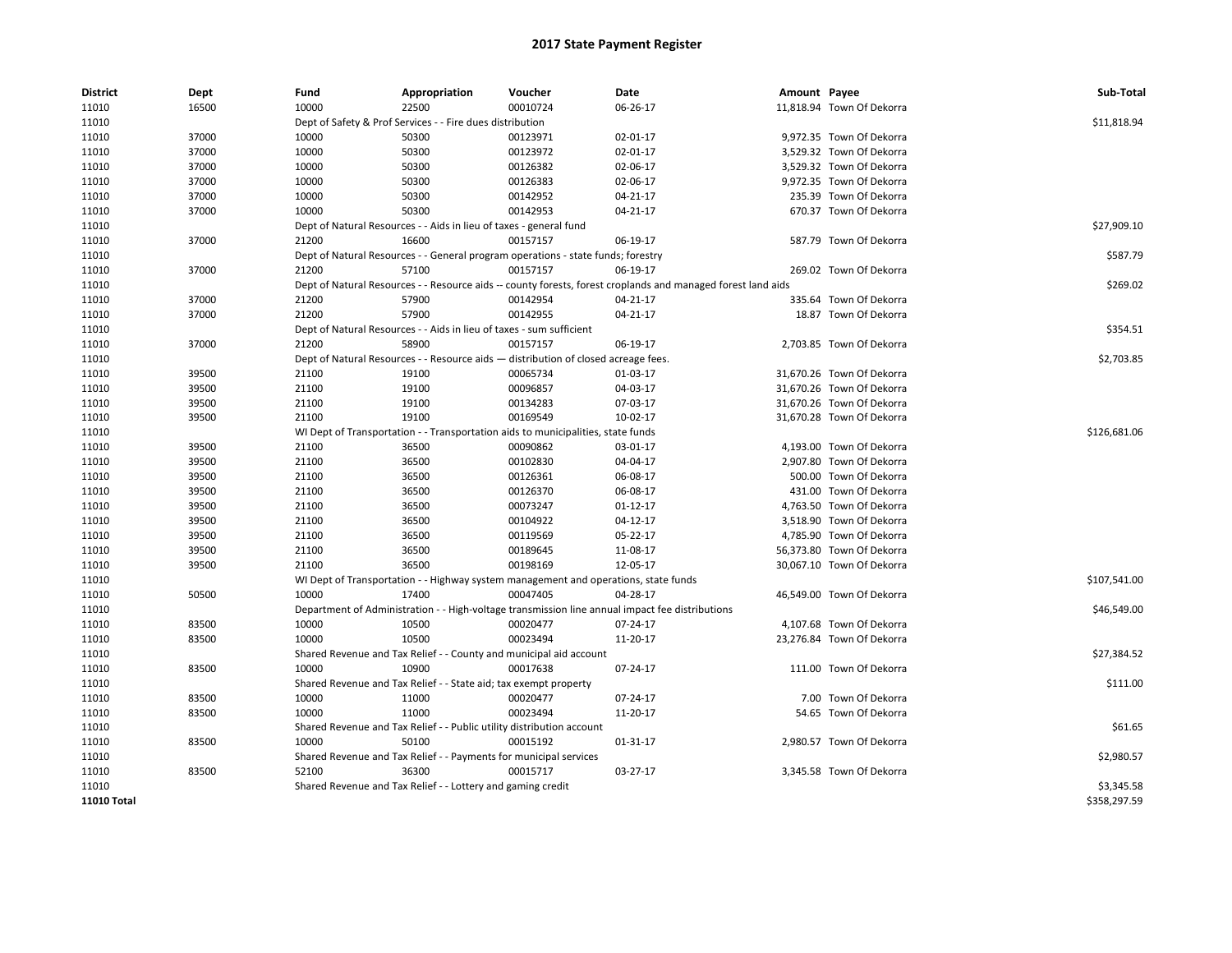| <b>District</b> | Dept  | Fund                                                                             | Appropriation                                                                       | Voucher      | Date                                                                                                         | Amount Payee |                           | Sub-Total    |
|-----------------|-------|----------------------------------------------------------------------------------|-------------------------------------------------------------------------------------|--------------|--------------------------------------------------------------------------------------------------------------|--------------|---------------------------|--------------|
| 11010           | 16500 | 10000                                                                            | 22500                                                                               | 00010724     | 06-26-17                                                                                                     |              | 11,818.94 Town Of Dekorra |              |
| 11010           |       |                                                                                  | Dept of Safety & Prof Services - - Fire dues distribution                           |              |                                                                                                              |              |                           | \$11,818.94  |
| 11010           | 37000 | 10000                                                                            | 50300                                                                               | 00123971     | 02-01-17                                                                                                     |              | 9,972.35 Town Of Dekorra  |              |
| 11010           | 37000 | 10000                                                                            | 50300                                                                               | 00123972     | 02-01-17                                                                                                     |              | 3,529.32 Town Of Dekorra  |              |
| 11010           | 37000 | 10000                                                                            | 50300                                                                               | 00126382     | 02-06-17                                                                                                     |              | 3,529.32 Town Of Dekorra  |              |
| 11010           | 37000 | 10000                                                                            | 50300                                                                               | 00126383     | 02-06-17                                                                                                     |              | 9,972.35 Town Of Dekorra  |              |
| 11010           | 37000 | 10000                                                                            | 50300                                                                               | 00142952     | 04-21-17                                                                                                     |              | 235.39 Town Of Dekorra    |              |
| 11010           | 37000 | 10000                                                                            | 50300                                                                               | 00142953     | 04-21-17                                                                                                     |              | 670.37 Town Of Dekorra    |              |
| 11010           |       |                                                                                  | Dept of Natural Resources - - Aids in lieu of taxes - general fund                  |              |                                                                                                              |              |                           | \$27,909.10  |
| 11010           | 37000 | 21200                                                                            | 16600                                                                               | 00157157     | 06-19-17                                                                                                     |              | 587.79 Town Of Dekorra    |              |
| 11010           |       |                                                                                  | Dept of Natural Resources - - General program operations - state funds; forestry    |              |                                                                                                              |              |                           | \$587.79     |
| 11010           | 37000 | 21200                                                                            | 57100                                                                               | 00157157     | 06-19-17                                                                                                     |              | 269.02 Town Of Dekorra    |              |
| 11010           |       |                                                                                  |                                                                                     |              | Dept of Natural Resources - - Resource aids -- county forests, forest croplands and managed forest land aids |              |                           | \$269.02     |
| 11010           | 37000 | 21200                                                                            | 57900                                                                               | 00142954     | 04-21-17                                                                                                     |              | 335.64 Town Of Dekorra    |              |
| 11010           | 37000 | 21200                                                                            | 57900                                                                               | 00142955     | 04-21-17                                                                                                     |              | 18.87 Town Of Dekorra     |              |
| 11010           |       |                                                                                  | Dept of Natural Resources - - Aids in lieu of taxes - sum sufficient                |              |                                                                                                              |              |                           | \$354.51     |
| 11010           | 37000 | 21200                                                                            | 58900                                                                               | 00157157     | 06-19-17                                                                                                     |              | 2,703.85 Town Of Dekorra  |              |
| 11010           |       |                                                                                  | Dept of Natural Resources - - Resource aids - distribution of closed acreage fees.  |              |                                                                                                              |              |                           | \$2,703.85   |
| 11010           | 39500 | 21100                                                                            | 19100                                                                               | 00065734     | 01-03-17                                                                                                     |              | 31,670.26 Town Of Dekorra |              |
| 11010           | 39500 | 21100                                                                            | 19100                                                                               | 00096857     | 04-03-17                                                                                                     |              | 31,670.26 Town Of Dekorra |              |
| 11010           | 39500 | 21100                                                                            | 19100                                                                               | 00134283     | 07-03-17                                                                                                     |              | 31,670.26 Town Of Dekorra |              |
| 11010           | 39500 | 21100                                                                            | 19100                                                                               | 00169549     | 10-02-17                                                                                                     |              | 31,670.28 Town Of Dekorra |              |
| 11010           |       | WI Dept of Transportation - - Transportation aids to municipalities, state funds |                                                                                     | \$126,681.06 |                                                                                                              |              |                           |              |
| 11010           | 39500 | 21100                                                                            | 36500                                                                               | 00090862     | 03-01-17                                                                                                     |              | 4,193.00 Town Of Dekorra  |              |
| 11010           | 39500 | 21100                                                                            | 36500                                                                               | 00102830     | 04-04-17                                                                                                     |              | 2,907.80 Town Of Dekorra  |              |
| 11010           | 39500 | 21100                                                                            | 36500                                                                               | 00126361     | 06-08-17                                                                                                     |              | 500.00 Town Of Dekorra    |              |
| 11010           | 39500 | 21100                                                                            | 36500                                                                               | 00126370     | 06-08-17                                                                                                     |              | 431.00 Town Of Dekorra    |              |
| 11010           | 39500 | 21100                                                                            | 36500                                                                               | 00073247     | $01 - 12 - 17$                                                                                               |              | 4,763.50 Town Of Dekorra  |              |
| 11010           | 39500 | 21100                                                                            | 36500                                                                               | 00104922     | 04-12-17                                                                                                     |              | 3,518.90 Town Of Dekorra  |              |
| 11010           | 39500 | 21100                                                                            | 36500                                                                               | 00119569     | 05-22-17                                                                                                     |              | 4,785.90 Town Of Dekorra  |              |
| 11010           | 39500 | 21100                                                                            | 36500                                                                               | 00189645     | 11-08-17                                                                                                     |              | 56,373.80 Town Of Dekorra |              |
| 11010           | 39500 | 21100                                                                            | 36500                                                                               | 00198169     | 12-05-17                                                                                                     |              | 30,067.10 Town Of Dekorra |              |
| 11010           |       |                                                                                  | WI Dept of Transportation - - Highway system management and operations, state funds |              |                                                                                                              |              |                           | \$107,541.00 |
|                 |       |                                                                                  | 17400                                                                               | 00047405     | 04-28-17                                                                                                     |              |                           |              |
| 11010           | 50500 | 10000                                                                            |                                                                                     |              |                                                                                                              |              | 46,549.00 Town Of Dekorra |              |
| 11010           |       |                                                                                  |                                                                                     |              | Department of Administration - - High-voltage transmission line annual impact fee distributions              |              |                           | \$46,549.00  |
| 11010           | 83500 | 10000                                                                            | 10500                                                                               | 00020477     | 07-24-17                                                                                                     |              | 4,107.68 Town Of Dekorra  |              |
| 11010           | 83500 | 10000                                                                            | 10500                                                                               | 00023494     | 11-20-17                                                                                                     |              | 23,276.84 Town Of Dekorra |              |
| 11010           |       |                                                                                  | Shared Revenue and Tax Relief - - County and municipal aid account                  |              |                                                                                                              |              |                           | \$27,384.52  |
| 11010           | 83500 | 10000                                                                            | 10900                                                                               | 00017638     | 07-24-17                                                                                                     |              | 111.00 Town Of Dekorra    |              |
| 11010           |       |                                                                                  | Shared Revenue and Tax Relief - - State aid; tax exempt property                    |              |                                                                                                              |              |                           | \$111.00     |
| 11010           | 83500 | 10000                                                                            | 11000                                                                               | 00020477     | 07-24-17                                                                                                     |              | 7.00 Town Of Dekorra      |              |
| 11010           | 83500 | 10000                                                                            | 11000                                                                               | 00023494     | 11-20-17                                                                                                     |              | 54.65 Town Of Dekorra     |              |
| 11010           |       |                                                                                  | Shared Revenue and Tax Relief - - Public utility distribution account               |              |                                                                                                              |              |                           | \$61.65      |
| 11010           | 83500 | 10000                                                                            | 50100                                                                               | 00015192     | 01-31-17                                                                                                     |              | 2,980.57 Town Of Dekorra  |              |
| 11010           |       |                                                                                  | Shared Revenue and Tax Relief - - Payments for municipal services                   |              |                                                                                                              |              |                           | \$2,980.57   |
| 11010           | 83500 | 52100                                                                            | 36300                                                                               | 00015717     | 03-27-17                                                                                                     |              | 3,345.58 Town Of Dekorra  |              |
| 11010           |       |                                                                                  | Shared Revenue and Tax Relief - - Lottery and gaming credit                         |              |                                                                                                              |              |                           | \$3,345.58   |
| 11010 Total     |       |                                                                                  |                                                                                     |              |                                                                                                              |              |                           | \$358,297.59 |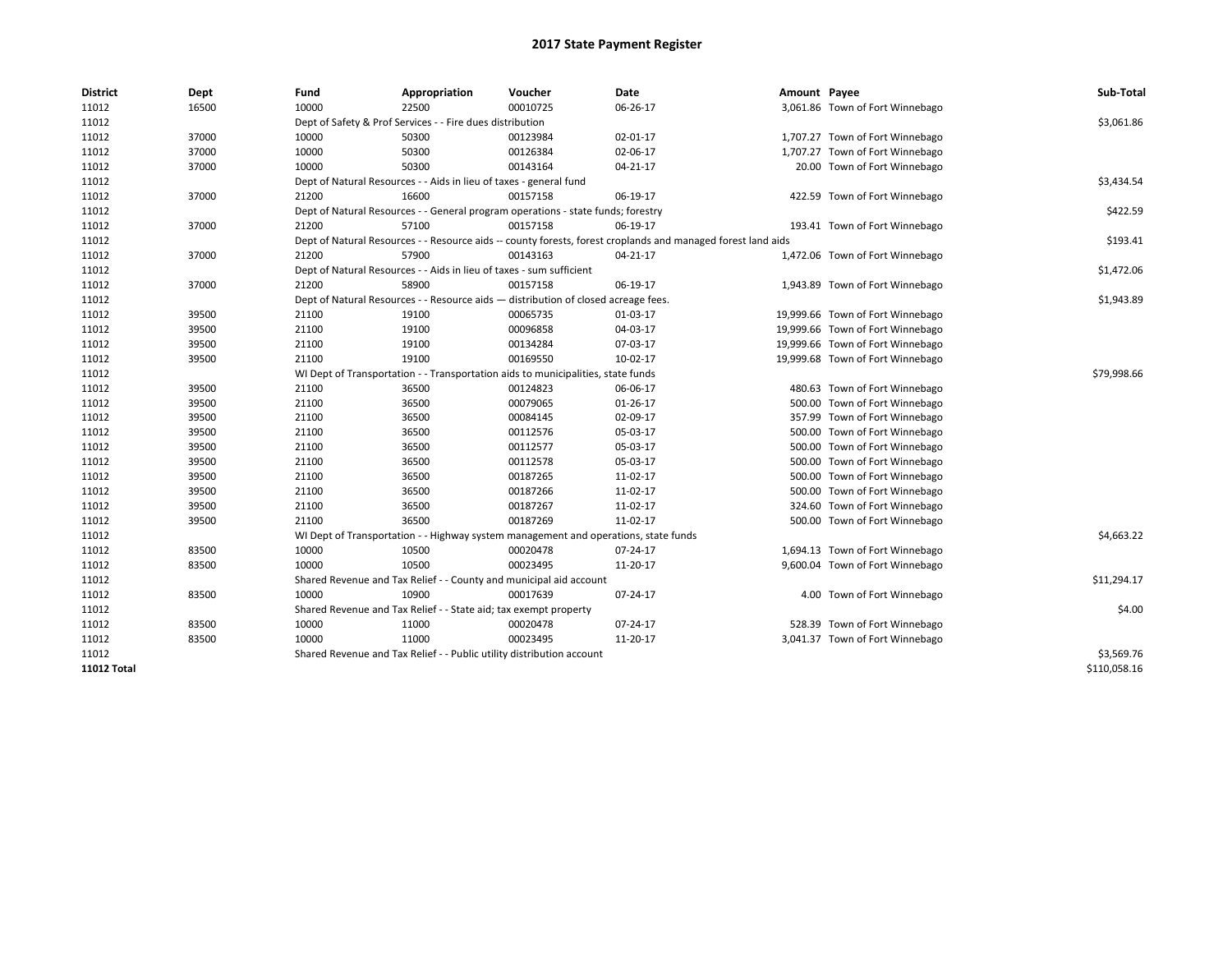| <b>District</b> | Dept  | Fund  | Appropriation                                                                                                | Voucher  | Date           | Amount Payee |                                  | Sub-Total    |  |  |  |
|-----------------|-------|-------|--------------------------------------------------------------------------------------------------------------|----------|----------------|--------------|----------------------------------|--------------|--|--|--|
| 11012           | 16500 | 10000 | 22500                                                                                                        | 00010725 | 06-26-17       |              | 3,061.86 Town of Fort Winnebago  |              |  |  |  |
| 11012           |       |       | Dept of Safety & Prof Services - - Fire dues distribution                                                    |          |                |              |                                  | \$3,061.86   |  |  |  |
| 11012           | 37000 | 10000 | 50300                                                                                                        | 00123984 | 02-01-17       |              | 1,707.27 Town of Fort Winnebago  |              |  |  |  |
| 11012           | 37000 | 10000 | 50300                                                                                                        | 00126384 | 02-06-17       |              | 1,707.27 Town of Fort Winnebago  |              |  |  |  |
| 11012           | 37000 | 10000 | 50300                                                                                                        | 00143164 | 04-21-17       |              | 20.00 Town of Fort Winnebago     |              |  |  |  |
| 11012           |       |       | Dept of Natural Resources - - Aids in lieu of taxes - general fund                                           |          |                |              |                                  | \$3,434.54   |  |  |  |
| 11012           | 37000 | 21200 | 16600                                                                                                        | 00157158 | 06-19-17       |              | 422.59 Town of Fort Winnebago    |              |  |  |  |
| 11012           |       |       | Dept of Natural Resources - - General program operations - state funds; forestry                             |          |                |              |                                  | \$422.59     |  |  |  |
| 11012           | 37000 | 21200 | 57100                                                                                                        | 00157158 | 06-19-17       |              | 193.41 Town of Fort Winnebago    |              |  |  |  |
| 11012           |       |       | Dept of Natural Resources - - Resource aids -- county forests, forest croplands and managed forest land aids |          |                |              |                                  | \$193.41     |  |  |  |
| 11012           | 37000 | 21200 | 57900                                                                                                        | 00143163 | $04 - 21 - 17$ |              | 1,472.06 Town of Fort Winnebago  |              |  |  |  |
| 11012           |       |       | Dept of Natural Resources - - Aids in lieu of taxes - sum sufficient                                         |          |                |              |                                  | \$1,472.06   |  |  |  |
| 11012           | 37000 | 21200 | 58900                                                                                                        | 00157158 | 06-19-17       |              | 1,943.89 Town of Fort Winnebago  |              |  |  |  |
| 11012           |       |       | Dept of Natural Resources - - Resource aids - distribution of closed acreage fees.                           |          |                |              |                                  | \$1,943.89   |  |  |  |
| 11012           | 39500 | 21100 | 19100                                                                                                        | 00065735 | 01-03-17       |              | 19,999.66 Town of Fort Winnebago |              |  |  |  |
| 11012           | 39500 | 21100 | 19100                                                                                                        | 00096858 | 04-03-17       |              | 19,999.66 Town of Fort Winnebago |              |  |  |  |
| 11012           | 39500 | 21100 | 19100                                                                                                        | 00134284 | 07-03-17       |              | 19,999.66 Town of Fort Winnebago |              |  |  |  |
| 11012           | 39500 | 21100 | 19100                                                                                                        | 00169550 | 10-02-17       |              | 19,999.68 Town of Fort Winnebago |              |  |  |  |
| 11012           |       |       | WI Dept of Transportation - - Transportation aids to municipalities, state funds                             |          |                |              |                                  |              |  |  |  |
| 11012           | 39500 | 21100 | 36500                                                                                                        | 00124823 | 06-06-17       |              | 480.63 Town of Fort Winnebago    |              |  |  |  |
| 11012           | 39500 | 21100 | 36500                                                                                                        | 00079065 | 01-26-17       |              | 500.00 Town of Fort Winnebago    |              |  |  |  |
| 11012           | 39500 | 21100 | 36500                                                                                                        | 00084145 | 02-09-17       |              | 357.99 Town of Fort Winnebago    |              |  |  |  |
| 11012           | 39500 | 21100 | 36500                                                                                                        | 00112576 | 05-03-17       |              | 500.00 Town of Fort Winnebago    |              |  |  |  |
| 11012           | 39500 | 21100 | 36500                                                                                                        | 00112577 | 05-03-17       |              | 500.00 Town of Fort Winnebago    |              |  |  |  |
| 11012           | 39500 | 21100 | 36500                                                                                                        | 00112578 | 05-03-17       |              | 500.00 Town of Fort Winnebago    |              |  |  |  |
| 11012           | 39500 | 21100 | 36500                                                                                                        | 00187265 | 11-02-17       |              | 500.00 Town of Fort Winnebago    |              |  |  |  |
| 11012           | 39500 | 21100 | 36500                                                                                                        | 00187266 | 11-02-17       |              | 500.00 Town of Fort Winnebago    |              |  |  |  |
| 11012           | 39500 | 21100 | 36500                                                                                                        | 00187267 | 11-02-17       |              | 324.60 Town of Fort Winnebago    |              |  |  |  |
| 11012           | 39500 | 21100 | 36500                                                                                                        | 00187269 | 11-02-17       |              | 500.00 Town of Fort Winnebago    |              |  |  |  |
| 11012           |       |       | WI Dept of Transportation - - Highway system management and operations, state funds                          |          |                |              |                                  | \$4,663.22   |  |  |  |
| 11012           | 83500 | 10000 | 10500                                                                                                        | 00020478 | 07-24-17       |              | 1,694.13 Town of Fort Winnebago  |              |  |  |  |
| 11012           | 83500 | 10000 | 10500                                                                                                        | 00023495 | 11-20-17       |              | 9,600.04 Town of Fort Winnebago  |              |  |  |  |
| 11012           |       |       | Shared Revenue and Tax Relief - - County and municipal aid account                                           |          |                |              |                                  | \$11,294.17  |  |  |  |
| 11012           | 83500 | 10000 | 10900                                                                                                        | 00017639 | 07-24-17       |              | 4.00 Town of Fort Winnebago      |              |  |  |  |
| 11012           |       |       | Shared Revenue and Tax Relief - - State aid; tax exempt property                                             |          |                |              |                                  | \$4.00       |  |  |  |
| 11012           | 83500 | 10000 | 11000                                                                                                        | 00020478 | 07-24-17       |              | 528.39 Town of Fort Winnebago    |              |  |  |  |
| 11012           | 83500 | 10000 | 11000                                                                                                        | 00023495 | 11-20-17       |              | 3,041.37 Town of Fort Winnebago  |              |  |  |  |
| 11012           |       |       | Shared Revenue and Tax Relief - - Public utility distribution account                                        |          |                |              |                                  | \$3,569.76   |  |  |  |
| 11012 Total     |       |       |                                                                                                              |          |                |              |                                  | \$110,058.16 |  |  |  |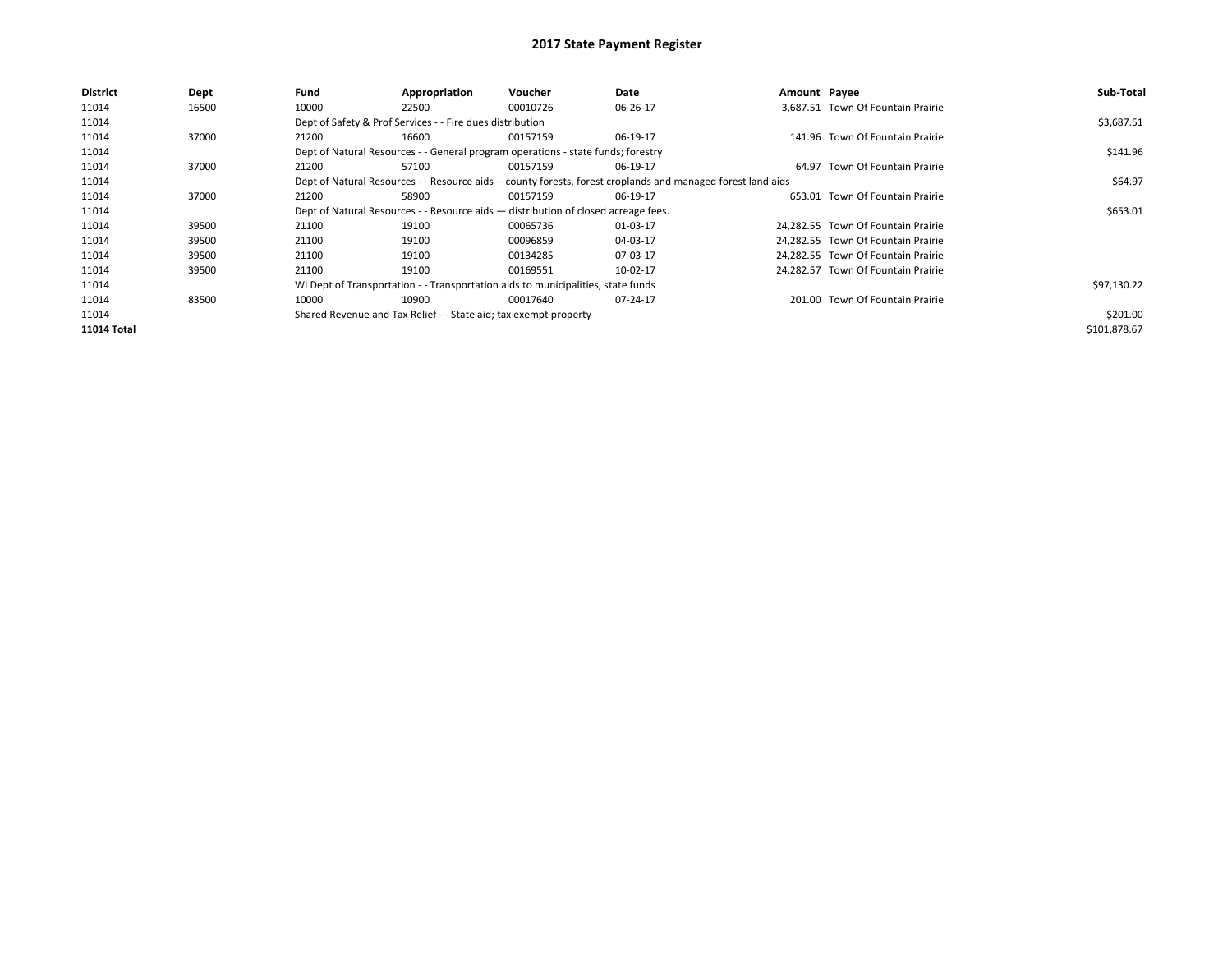| <b>District</b>    | <b>Dept</b> | Fund  | Appropriation                                                                                                | Voucher  | Date     | Amount Payee |                                    | Sub-Total    |  |  |
|--------------------|-------------|-------|--------------------------------------------------------------------------------------------------------------|----------|----------|--------------|------------------------------------|--------------|--|--|
| 11014              | 16500       | 10000 | 22500                                                                                                        | 00010726 | 06-26-17 |              | 3.687.51 Town Of Fountain Prairie  |              |  |  |
| 11014              |             |       | Dept of Safety & Prof Services - - Fire dues distribution                                                    |          |          |              |                                    | \$3,687.51   |  |  |
| 11014              | 37000       | 21200 | 16600                                                                                                        | 00157159 | 06-19-17 |              | 141.96 Town Of Fountain Prairie    |              |  |  |
| 11014              |             |       | Dept of Natural Resources - - General program operations - state funds; forestry                             |          |          |              |                                    |              |  |  |
| 11014              | 37000       | 21200 | 57100                                                                                                        | 00157159 | 06-19-17 |              | 64.97 Town Of Fountain Prairie     |              |  |  |
| 11014              |             |       | Dept of Natural Resources - - Resource aids -- county forests, forest croplands and managed forest land aids |          |          |              |                                    |              |  |  |
| 11014              | 37000       | 21200 | 58900                                                                                                        | 00157159 | 06-19-17 |              | 653.01 Town Of Fountain Prairie    |              |  |  |
| 11014              |             |       | Dept of Natural Resources - - Resource aids - distribution of closed acreage fees.                           |          |          |              |                                    | \$653.01     |  |  |
| 11014              | 39500       | 21100 | 19100                                                                                                        | 00065736 | 01-03-17 |              | 24.282.55 Town Of Fountain Prairie |              |  |  |
| 11014              | 39500       | 21100 | 19100                                                                                                        | 00096859 | 04-03-17 |              | 24.282.55 Town Of Fountain Prairie |              |  |  |
| 11014              | 39500       | 21100 | 19100                                                                                                        | 00134285 | 07-03-17 |              | 24,282.55 Town Of Fountain Prairie |              |  |  |
| 11014              | 39500       | 21100 | 19100                                                                                                        | 00169551 | 10-02-17 |              | 24.282.57 Town Of Fountain Prairie |              |  |  |
| 11014              |             |       | WI Dept of Transportation - - Transportation aids to municipalities, state funds                             |          |          |              |                                    | \$97,130.22  |  |  |
| 11014              | 83500       | 10000 | 10900                                                                                                        | 00017640 | 07-24-17 |              | 201.00 Town Of Fountain Prairie    |              |  |  |
| 11014              |             |       | Shared Revenue and Tax Relief - - State aid; tax exempt property                                             |          |          |              |                                    | \$201.00     |  |  |
| <b>11014 Total</b> |             |       |                                                                                                              |          |          |              |                                    | \$101,878.67 |  |  |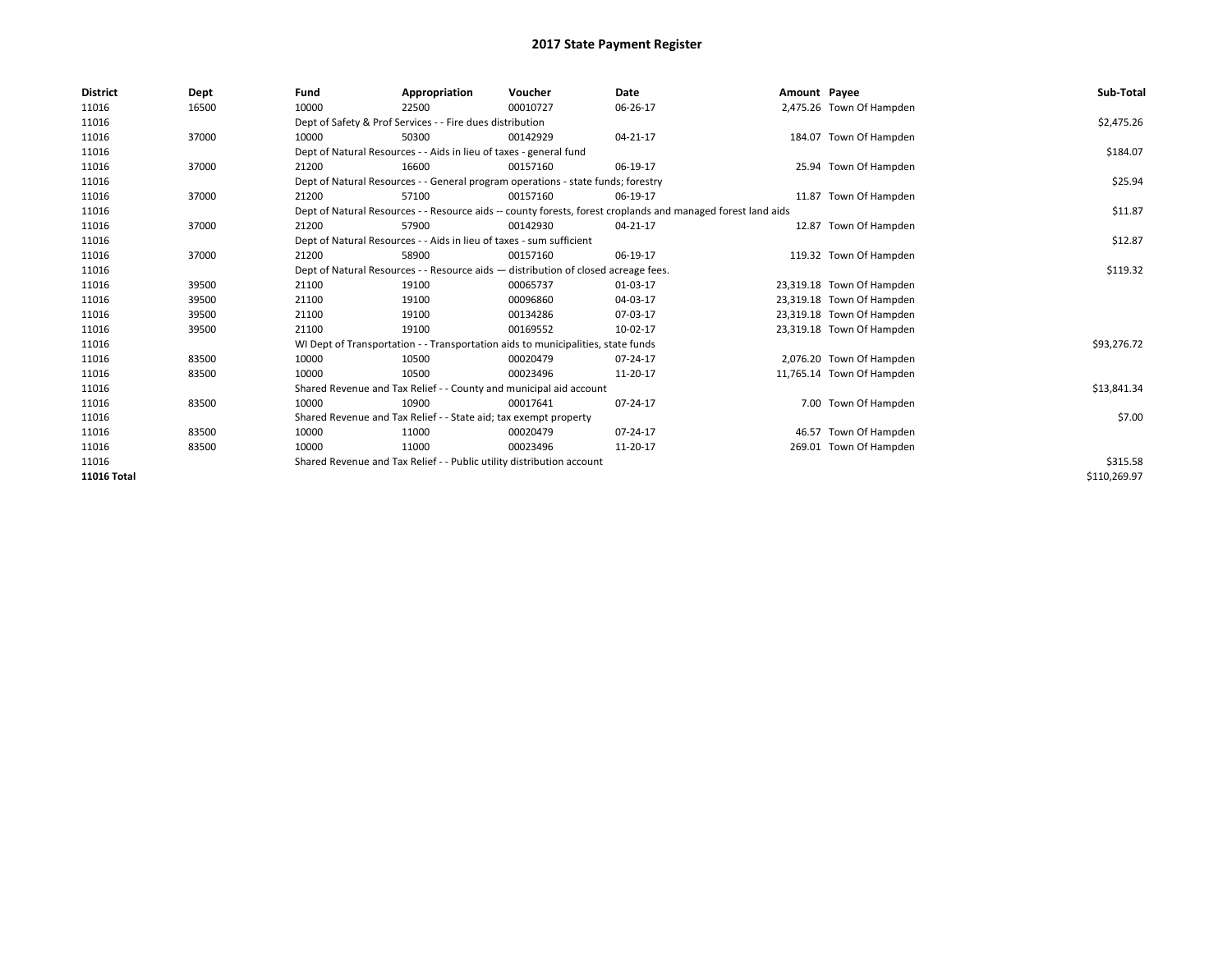| <b>District</b> | Dept  | Fund  | Appropriation                                                                                                | Voucher  | <b>Date</b> | Amount Payee |                           | Sub-Total    |  |  |  |
|-----------------|-------|-------|--------------------------------------------------------------------------------------------------------------|----------|-------------|--------------|---------------------------|--------------|--|--|--|
| 11016           | 16500 | 10000 | 22500                                                                                                        | 00010727 | 06-26-17    |              | 2,475.26 Town Of Hampden  |              |  |  |  |
| 11016           |       |       | Dept of Safety & Prof Services - - Fire dues distribution                                                    |          |             |              |                           | \$2,475.26   |  |  |  |
| 11016           | 37000 | 10000 | 50300                                                                                                        | 00142929 | 04-21-17    |              | 184.07 Town Of Hampden    |              |  |  |  |
| 11016           |       |       | Dept of Natural Resources - - Aids in lieu of taxes - general fund                                           |          |             |              |                           | \$184.07     |  |  |  |
| 11016           | 37000 | 21200 | 16600                                                                                                        | 00157160 | 06-19-17    |              | 25.94 Town Of Hampden     |              |  |  |  |
| 11016           |       |       | Dept of Natural Resources - - General program operations - state funds; forestry                             |          |             |              |                           | \$25.94      |  |  |  |
| 11016           | 37000 | 21200 | 57100                                                                                                        | 00157160 | 06-19-17    |              | 11.87 Town Of Hampden     |              |  |  |  |
| 11016           |       |       | Dept of Natural Resources - - Resource aids -- county forests, forest croplands and managed forest land aids |          |             |              |                           | \$11.87      |  |  |  |
| 11016           | 37000 | 21200 | 57900                                                                                                        | 00142930 | 04-21-17    |              | 12.87 Town Of Hampden     |              |  |  |  |
| 11016           |       |       | Dept of Natural Resources - - Aids in lieu of taxes - sum sufficient                                         |          | \$12.87     |              |                           |              |  |  |  |
| 11016           | 37000 | 21200 | 58900                                                                                                        | 00157160 | 06-19-17    |              | 119.32 Town Of Hampden    |              |  |  |  |
| 11016           |       |       | Dept of Natural Resources - - Resource aids - distribution of closed acreage fees.                           |          |             |              |                           |              |  |  |  |
| 11016           | 39500 | 21100 | 19100                                                                                                        | 00065737 | 01-03-17    |              | 23,319.18 Town Of Hampden |              |  |  |  |
| 11016           | 39500 | 21100 | 19100                                                                                                        | 00096860 | 04-03-17    |              | 23,319.18 Town Of Hampden |              |  |  |  |
| 11016           | 39500 | 21100 | 19100                                                                                                        | 00134286 | 07-03-17    |              | 23,319.18 Town Of Hampden |              |  |  |  |
| 11016           | 39500 | 21100 | 19100                                                                                                        | 00169552 | 10-02-17    |              | 23,319.18 Town Of Hampden |              |  |  |  |
| 11016           |       |       | WI Dept of Transportation - - Transportation aids to municipalities, state funds                             |          |             |              |                           | \$93,276.72  |  |  |  |
| 11016           | 83500 | 10000 | 10500                                                                                                        | 00020479 | 07-24-17    |              | 2,076.20 Town Of Hampden  |              |  |  |  |
| 11016           | 83500 | 10000 | 10500                                                                                                        | 00023496 | 11-20-17    |              | 11,765.14 Town Of Hampden |              |  |  |  |
| 11016           |       |       | Shared Revenue and Tax Relief - - County and municipal aid account                                           |          |             |              |                           | \$13,841.34  |  |  |  |
| 11016           | 83500 | 10000 | 10900                                                                                                        | 00017641 | 07-24-17    |              | 7.00 Town Of Hampden      |              |  |  |  |
| 11016           |       |       | Shared Revenue and Tax Relief - - State aid; tax exempt property                                             |          |             |              |                           | \$7.00       |  |  |  |
| 11016           | 83500 | 10000 | 11000                                                                                                        | 00020479 | 07-24-17    |              | 46.57 Town Of Hampden     |              |  |  |  |
| 11016           | 83500 | 10000 | 11000                                                                                                        | 00023496 | 11-20-17    |              | 269.01 Town Of Hampden    |              |  |  |  |
| 11016           |       |       | Shared Revenue and Tax Relief - - Public utility distribution account                                        |          |             |              |                           |              |  |  |  |
| 11016 Total     |       |       |                                                                                                              |          |             |              |                           | \$110,269.97 |  |  |  |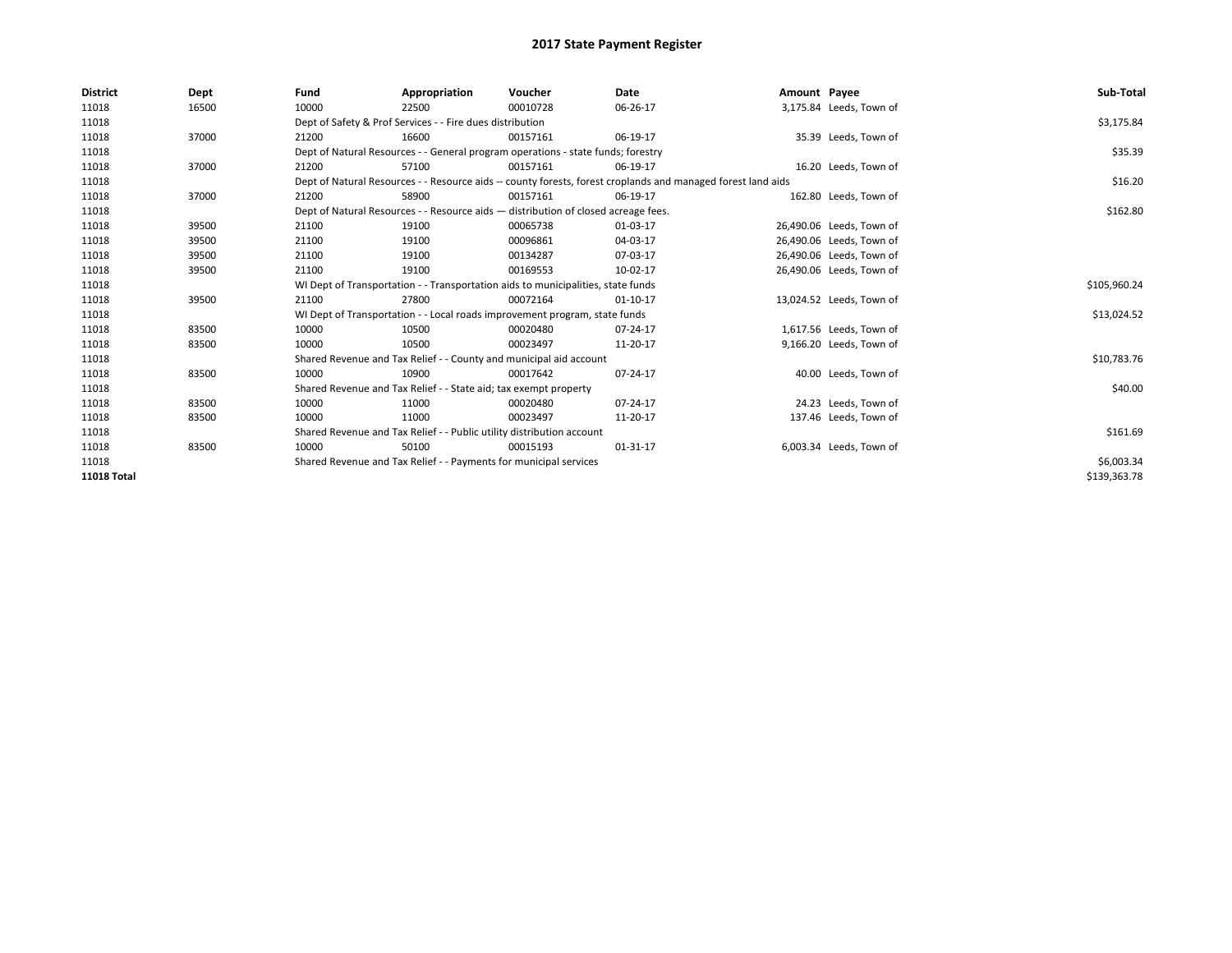| <b>District</b>    | Dept  | Fund                                                                             | Appropriation                                                                      | Voucher      | Date                                                                                                         | Amount Payee |                          | Sub-Total    |
|--------------------|-------|----------------------------------------------------------------------------------|------------------------------------------------------------------------------------|--------------|--------------------------------------------------------------------------------------------------------------|--------------|--------------------------|--------------|
| 11018              | 16500 | 10000                                                                            | 22500                                                                              | 00010728     | 06-26-17                                                                                                     |              | 3,175.84 Leeds, Town of  |              |
| 11018              |       |                                                                                  | Dept of Safety & Prof Services - - Fire dues distribution                          |              |                                                                                                              |              |                          | \$3,175.84   |
| 11018              | 37000 | 21200                                                                            | 16600                                                                              | 00157161     | 06-19-17                                                                                                     |              | 35.39 Leeds, Town of     |              |
| 11018              |       |                                                                                  | Dept of Natural Resources - - General program operations - state funds; forestry   |              |                                                                                                              |              |                          | \$35.39      |
| 11018              | 37000 | 21200                                                                            | 57100                                                                              | 00157161     | 06-19-17                                                                                                     |              | 16.20 Leeds, Town of     |              |
| 11018              |       |                                                                                  |                                                                                    |              | Dept of Natural Resources - - Resource aids -- county forests, forest croplands and managed forest land aids |              |                          | \$16.20      |
| 11018              | 37000 | 21200                                                                            | 58900                                                                              | 00157161     | 06-19-17                                                                                                     |              | 162.80 Leeds, Town of    |              |
| 11018              |       |                                                                                  | Dept of Natural Resources - - Resource aids - distribution of closed acreage fees. |              |                                                                                                              |              |                          | \$162.80     |
| 11018              | 39500 | 21100                                                                            | 19100                                                                              | 00065738     | 01-03-17                                                                                                     |              | 26,490.06 Leeds, Town of |              |
| 11018              | 39500 | 21100                                                                            | 19100                                                                              | 00096861     | 04-03-17                                                                                                     |              | 26,490.06 Leeds, Town of |              |
| 11018              | 39500 | 21100                                                                            | 19100                                                                              | 00134287     | 07-03-17                                                                                                     |              | 26,490.06 Leeds, Town of |              |
| 11018              | 39500 | 21100                                                                            | 19100                                                                              | 00169553     | 10-02-17                                                                                                     |              | 26,490.06 Leeds, Town of |              |
| 11018              |       | WI Dept of Transportation - - Transportation aids to municipalities, state funds |                                                                                    | \$105,960.24 |                                                                                                              |              |                          |              |
| 11018              | 39500 | 21100                                                                            | 27800                                                                              | 00072164     | $01-10-17$                                                                                                   |              | 13,024.52 Leeds, Town of |              |
| 11018              |       |                                                                                  | WI Dept of Transportation - - Local roads improvement program, state funds         |              |                                                                                                              |              |                          | \$13,024.52  |
| 11018              | 83500 | 10000                                                                            | 10500                                                                              | 00020480     | 07-24-17                                                                                                     |              | 1,617.56 Leeds, Town of  |              |
| 11018              | 83500 | 10000                                                                            | 10500                                                                              | 00023497     | 11-20-17                                                                                                     |              | 9,166.20 Leeds, Town of  |              |
| 11018              |       |                                                                                  | Shared Revenue and Tax Relief - - County and municipal aid account                 |              |                                                                                                              |              |                          | \$10,783.76  |
| 11018              | 83500 | 10000                                                                            | 10900                                                                              | 00017642     | 07-24-17                                                                                                     |              | 40.00 Leeds, Town of     |              |
| 11018              |       |                                                                                  | Shared Revenue and Tax Relief - - State aid; tax exempt property                   |              |                                                                                                              |              |                          | \$40.00      |
| 11018              | 83500 | 10000                                                                            | 11000                                                                              | 00020480     | 07-24-17                                                                                                     |              | 24.23 Leeds, Town of     |              |
| 11018              | 83500 | 10000                                                                            | 11000                                                                              | 00023497     | 11-20-17                                                                                                     |              | 137.46 Leeds, Town of    |              |
| 11018              |       | Shared Revenue and Tax Relief - - Public utility distribution account            |                                                                                    | \$161.69     |                                                                                                              |              |                          |              |
| 11018              | 83500 | 10000                                                                            | 50100                                                                              | 00015193     | 01-31-17                                                                                                     |              | 6,003.34 Leeds, Town of  |              |
| 11018              |       | Shared Revenue and Tax Relief - - Payments for municipal services                |                                                                                    | \$6,003.34   |                                                                                                              |              |                          |              |
| <b>11018 Total</b> |       |                                                                                  |                                                                                    |              |                                                                                                              |              |                          | \$139,363.78 |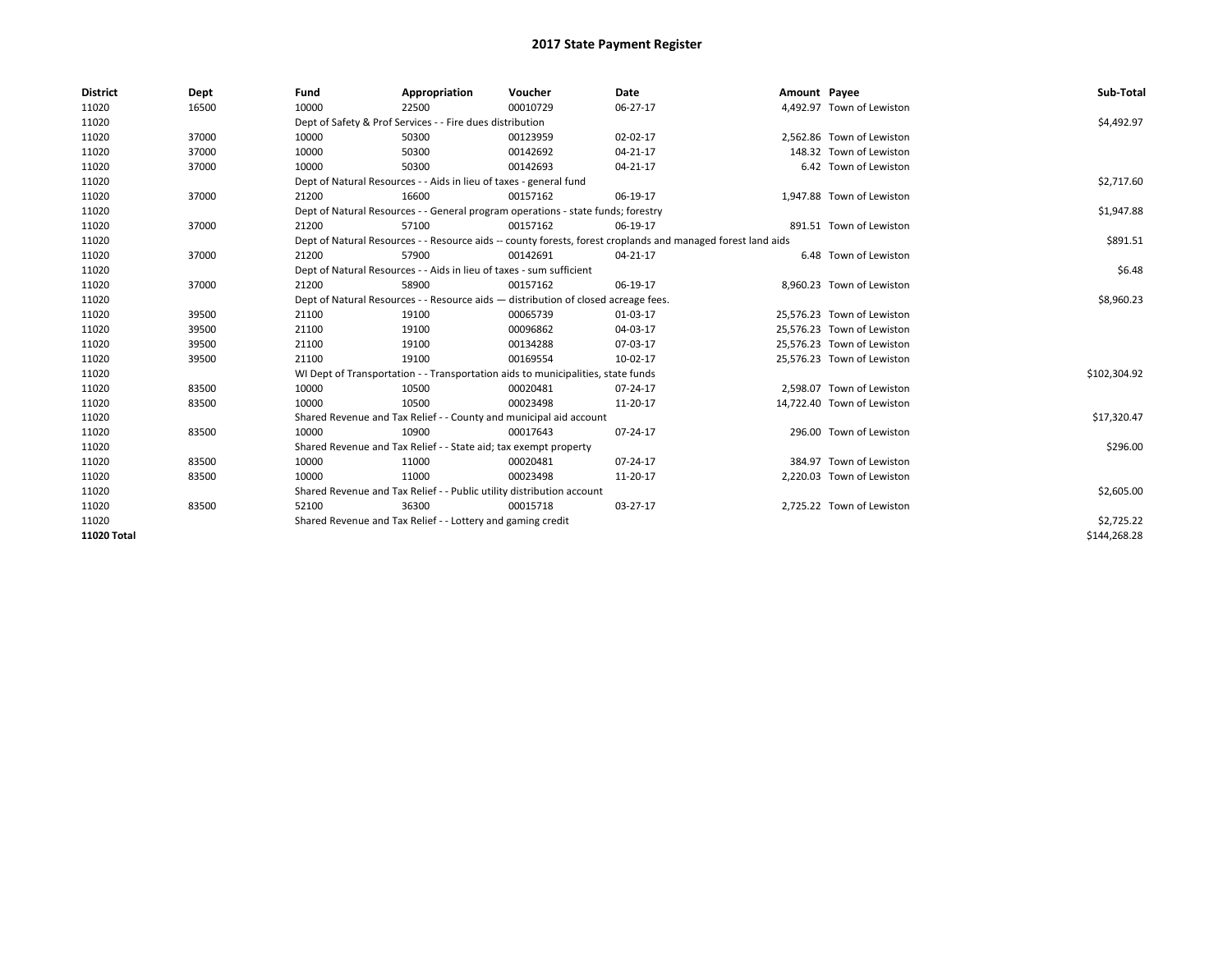| <b>District</b> | Dept  | Fund                                                                                                         | Appropriation                                                                    | Voucher    | Date           | Amount Payee |                            | Sub-Total    |
|-----------------|-------|--------------------------------------------------------------------------------------------------------------|----------------------------------------------------------------------------------|------------|----------------|--------------|----------------------------|--------------|
| 11020           | 16500 | 10000                                                                                                        | 22500                                                                            | 00010729   | 06-27-17       |              | 4,492.97 Town of Lewiston  |              |
| 11020           |       |                                                                                                              | Dept of Safety & Prof Services - - Fire dues distribution                        |            |                |              |                            | \$4,492.97   |
| 11020           | 37000 | 10000                                                                                                        | 50300                                                                            | 00123959   | 02-02-17       |              | 2,562.86 Town of Lewiston  |              |
| 11020           | 37000 | 10000                                                                                                        | 50300                                                                            | 00142692   | $04 - 21 - 17$ |              | 148.32 Town of Lewiston    |              |
| 11020           | 37000 | 10000                                                                                                        | 50300                                                                            | 00142693   | 04-21-17       |              | 6.42 Town of Lewiston      |              |
| 11020           |       |                                                                                                              | Dept of Natural Resources - - Aids in lieu of taxes - general fund               |            |                |              |                            | \$2,717.60   |
| 11020           | 37000 | 21200                                                                                                        | 16600                                                                            | 00157162   | 06-19-17       |              | 1.947.88 Town of Lewiston  |              |
| 11020           |       |                                                                                                              | Dept of Natural Resources - - General program operations - state funds; forestry |            |                |              |                            | \$1,947.88   |
| 11020           | 37000 | 21200                                                                                                        | 57100                                                                            | 00157162   | 06-19-17       |              | 891.51 Town of Lewiston    |              |
| 11020           |       | Dept of Natural Resources - - Resource aids -- county forests, forest croplands and managed forest land aids |                                                                                  | \$891.51   |                |              |                            |              |
| 11020           | 37000 | 21200                                                                                                        | 57900                                                                            | 00142691   | 04-21-17       |              | 6.48 Town of Lewiston      |              |
| 11020           |       | Dept of Natural Resources - - Aids in lieu of taxes - sum sufficient                                         |                                                                                  | \$6.48     |                |              |                            |              |
| 11020           | 37000 | 21200                                                                                                        | 58900                                                                            | 00157162   | 06-19-17       |              | 8,960.23 Town of Lewiston  |              |
| 11020           |       | Dept of Natural Resources - - Resource aids - distribution of closed acreage fees.                           |                                                                                  | \$8,960.23 |                |              |                            |              |
| 11020           | 39500 | 21100                                                                                                        | 19100                                                                            | 00065739   | 01-03-17       |              | 25,576.23 Town of Lewiston |              |
| 11020           | 39500 | 21100                                                                                                        | 19100                                                                            | 00096862   | 04-03-17       |              | 25,576.23 Town of Lewiston |              |
| 11020           | 39500 | 21100                                                                                                        | 19100                                                                            | 00134288   | 07-03-17       |              | 25,576.23 Town of Lewiston |              |
| 11020           | 39500 | 21100                                                                                                        | 19100                                                                            | 00169554   | 10-02-17       |              | 25,576.23 Town of Lewiston |              |
| 11020           |       |                                                                                                              | WI Dept of Transportation - - Transportation aids to municipalities, state funds |            |                |              |                            | \$102,304.92 |
| 11020           | 83500 | 10000                                                                                                        | 10500                                                                            | 00020481   | 07-24-17       |              | 2,598.07 Town of Lewiston  |              |
| 11020           | 83500 | 10000                                                                                                        | 10500                                                                            | 00023498   | 11-20-17       |              | 14,722.40 Town of Lewiston |              |
| 11020           |       |                                                                                                              | Shared Revenue and Tax Relief - - County and municipal aid account               |            |                |              |                            | \$17,320.47  |
| 11020           | 83500 | 10000                                                                                                        | 10900                                                                            | 00017643   | 07-24-17       |              | 296.00 Town of Lewiston    |              |
| 11020           |       |                                                                                                              | Shared Revenue and Tax Relief - - State aid; tax exempt property                 |            |                |              |                            | \$296.00     |
| 11020           | 83500 | 10000                                                                                                        | 11000                                                                            | 00020481   | 07-24-17       |              | 384.97 Town of Lewiston    |              |
| 11020           | 83500 | 10000                                                                                                        | 11000                                                                            | 00023498   | 11-20-17       |              | 2,220.03 Town of Lewiston  |              |
| 11020           |       |                                                                                                              | Shared Revenue and Tax Relief - - Public utility distribution account            |            |                |              |                            | \$2,605.00   |
| 11020           | 83500 | 52100                                                                                                        | 36300                                                                            | 00015718   | 03-27-17       |              | 2,725.22 Town of Lewiston  |              |
| 11020           |       |                                                                                                              | Shared Revenue and Tax Relief - - Lottery and gaming credit                      |            |                |              |                            | \$2,725.22   |
| 11020 Total     |       |                                                                                                              |                                                                                  |            |                |              |                            | \$144,268.28 |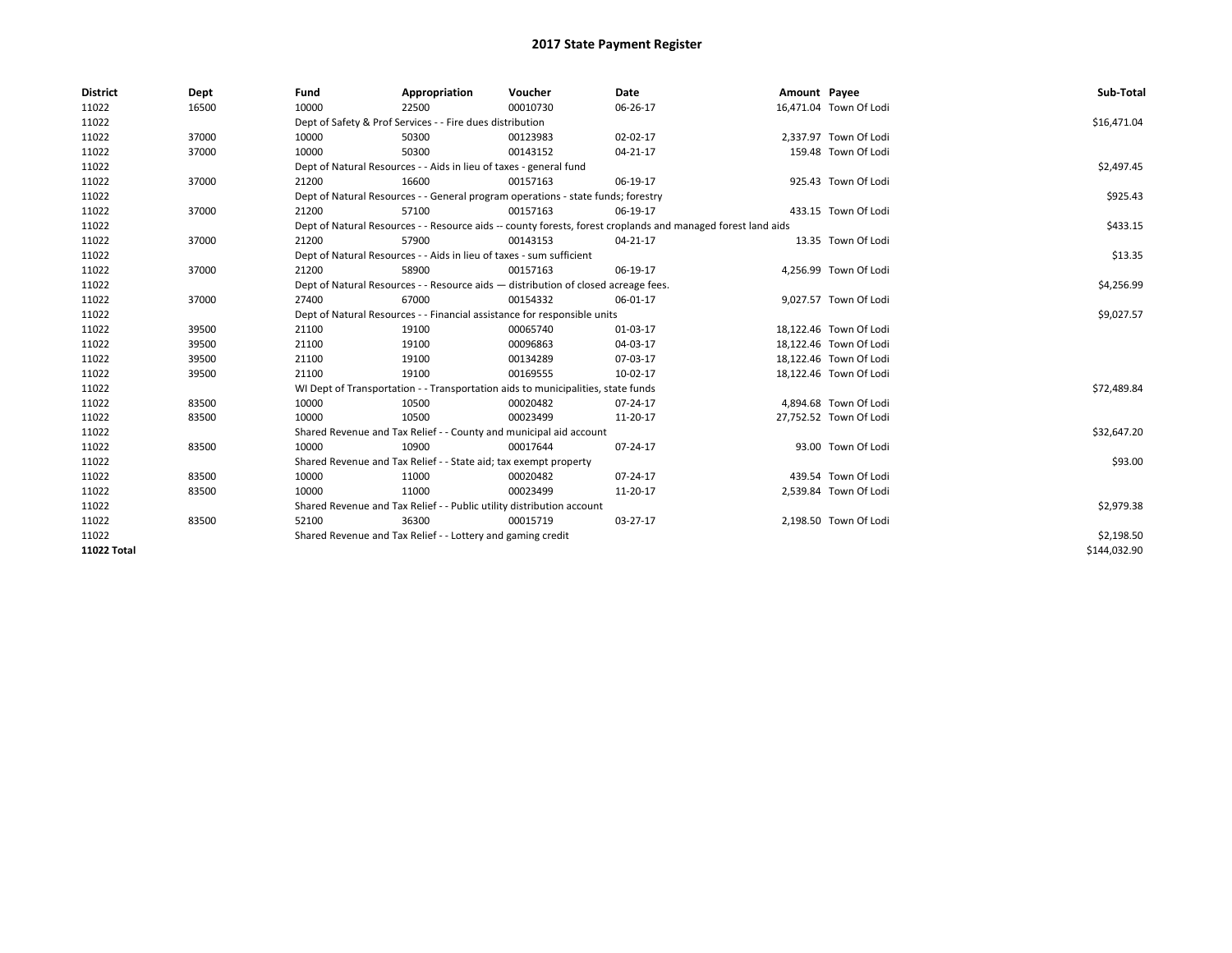| <b>District</b>    | Dept  | Fund                                                                               | Appropriation                                                                    | Voucher    | Date                                                                                                         | Amount Payee |                        | Sub-Total    |
|--------------------|-------|------------------------------------------------------------------------------------|----------------------------------------------------------------------------------|------------|--------------------------------------------------------------------------------------------------------------|--------------|------------------------|--------------|
| 11022              | 16500 | 10000                                                                              | 22500                                                                            | 00010730   | 06-26-17                                                                                                     |              | 16,471.04 Town Of Lodi |              |
| 11022              |       |                                                                                    | Dept of Safety & Prof Services - - Fire dues distribution                        |            |                                                                                                              |              |                        | \$16,471.04  |
| 11022              | 37000 | 10000                                                                              | 50300                                                                            | 00123983   | 02-02-17                                                                                                     |              | 2,337.97 Town Of Lodi  |              |
| 11022              | 37000 | 10000                                                                              | 50300                                                                            | 00143152   | 04-21-17                                                                                                     |              | 159.48 Town Of Lodi    |              |
| 11022              |       |                                                                                    | Dept of Natural Resources - - Aids in lieu of taxes - general fund               |            |                                                                                                              |              |                        | \$2,497.45   |
| 11022              | 37000 | 21200                                                                              | 16600                                                                            | 00157163   | 06-19-17                                                                                                     |              | 925.43 Town Of Lodi    |              |
| 11022              |       |                                                                                    | Dept of Natural Resources - - General program operations - state funds; forestry |            |                                                                                                              |              |                        | \$925.43     |
| 11022              | 37000 | 21200                                                                              | 57100                                                                            | 00157163   | 06-19-17                                                                                                     |              | 433.15 Town Of Lodi    |              |
| 11022              |       |                                                                                    |                                                                                  |            | Dept of Natural Resources - - Resource aids -- county forests, forest croplands and managed forest land aids |              |                        | \$433.15     |
| 11022              | 37000 | 21200                                                                              | 57900                                                                            | 00143153   | 04-21-17                                                                                                     |              | 13.35 Town Of Lodi     |              |
| 11022              |       | Dept of Natural Resources - - Aids in lieu of taxes - sum sufficient               |                                                                                  | \$13.35    |                                                                                                              |              |                        |              |
| 11022              | 37000 | 21200                                                                              | 58900                                                                            | 00157163   | 06-19-17                                                                                                     |              | 4,256.99 Town Of Lodi  |              |
| 11022              |       | Dept of Natural Resources - - Resource aids - distribution of closed acreage fees. |                                                                                  | \$4,256.99 |                                                                                                              |              |                        |              |
| 11022              | 37000 | 27400                                                                              | 67000                                                                            | 00154332   | 06-01-17                                                                                                     |              | 9,027.57 Town Of Lodi  |              |
| 11022              |       | Dept of Natural Resources - - Financial assistance for responsible units           |                                                                                  | \$9,027.57 |                                                                                                              |              |                        |              |
| 11022              | 39500 | 21100                                                                              | 19100                                                                            | 00065740   | 01-03-17                                                                                                     |              | 18,122.46 Town Of Lodi |              |
| 11022              | 39500 | 21100                                                                              | 19100                                                                            | 00096863   | 04-03-17                                                                                                     |              | 18,122.46 Town Of Lodi |              |
| 11022              | 39500 | 21100                                                                              | 19100                                                                            | 00134289   | 07-03-17                                                                                                     |              | 18,122.46 Town Of Lodi |              |
| 11022              | 39500 | 21100                                                                              | 19100                                                                            | 00169555   | 10-02-17                                                                                                     |              | 18,122.46 Town Of Lodi |              |
| 11022              |       |                                                                                    | WI Dept of Transportation - - Transportation aids to municipalities, state funds |            |                                                                                                              |              |                        | \$72,489.84  |
| 11022              | 83500 | 10000                                                                              | 10500                                                                            | 00020482   | 07-24-17                                                                                                     |              | 4,894.68 Town Of Lodi  |              |
| 11022              | 83500 | 10000                                                                              | 10500                                                                            | 00023499   | 11-20-17                                                                                                     |              | 27,752.52 Town Of Lodi |              |
| 11022              |       |                                                                                    | Shared Revenue and Tax Relief - - County and municipal aid account               |            |                                                                                                              |              |                        | \$32,647.20  |
| 11022              | 83500 | 10000                                                                              | 10900                                                                            | 00017644   | 07-24-17                                                                                                     |              | 93.00 Town Of Lodi     |              |
| 11022              |       |                                                                                    | Shared Revenue and Tax Relief - - State aid; tax exempt property                 |            |                                                                                                              |              |                        | \$93.00      |
| 11022              | 83500 | 10000                                                                              | 11000                                                                            | 00020482   | $07 - 24 - 17$                                                                                               |              | 439.54 Town Of Lodi    |              |
| 11022              | 83500 | 10000                                                                              | 11000                                                                            | 00023499   | 11-20-17                                                                                                     |              | 2,539.84 Town Of Lodi  |              |
| 11022              |       |                                                                                    | Shared Revenue and Tax Relief - - Public utility distribution account            |            |                                                                                                              |              |                        | \$2,979.38   |
| 11022              | 83500 | 52100                                                                              | 36300                                                                            | 00015719   | 03-27-17                                                                                                     |              | 2,198.50 Town Of Lodi  |              |
| 11022              |       |                                                                                    | Shared Revenue and Tax Relief - - Lottery and gaming credit                      |            |                                                                                                              |              |                        | \$2,198.50   |
| <b>11022 Total</b> |       |                                                                                    |                                                                                  |            |                                                                                                              |              |                        | \$144.032.90 |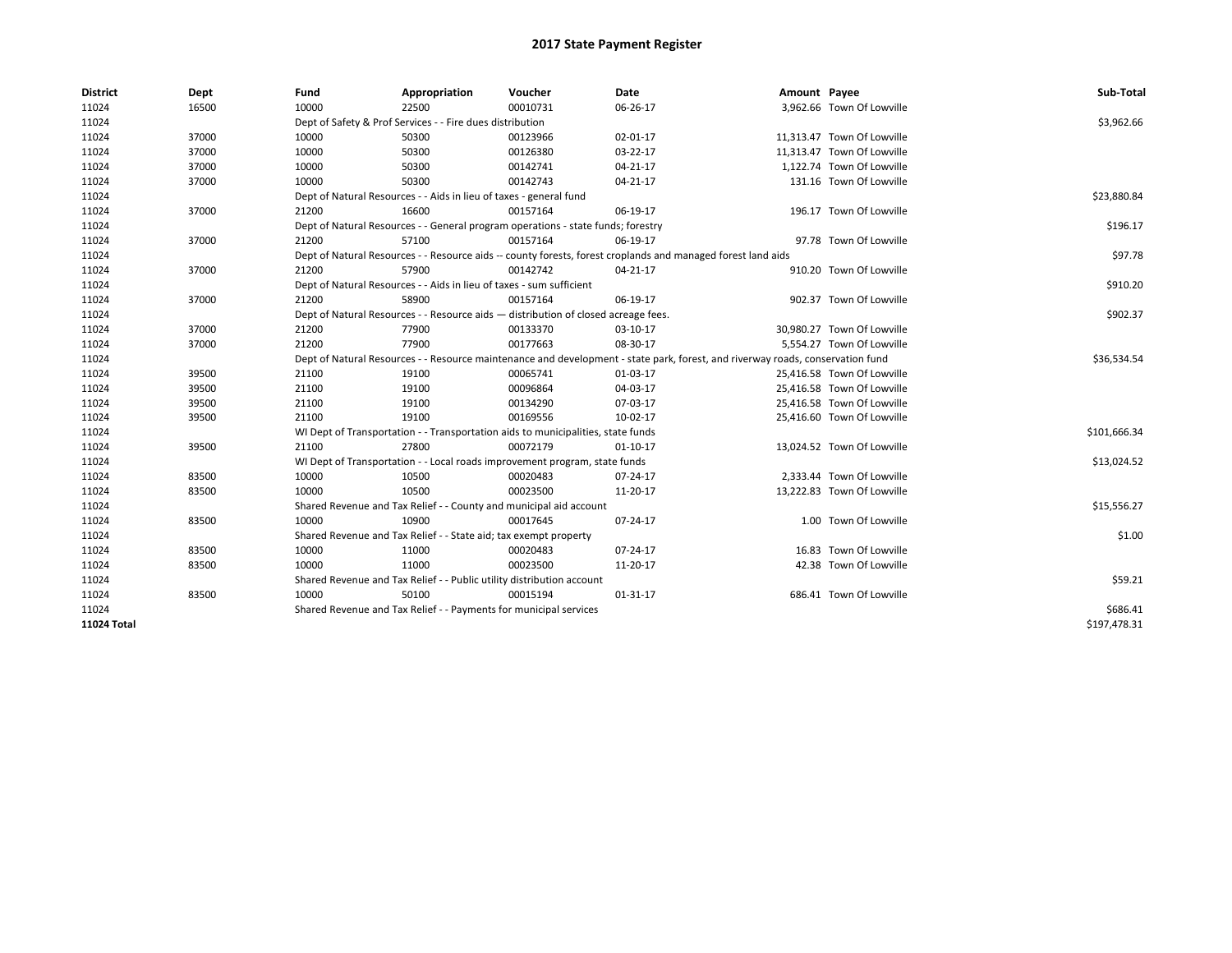| <b>District</b> | Dept  | Fund                                                                                                                           | Appropriation                                                                    | Voucher     | Date                                                                                                         | Amount Payee |                            | Sub-Total    |
|-----------------|-------|--------------------------------------------------------------------------------------------------------------------------------|----------------------------------------------------------------------------------|-------------|--------------------------------------------------------------------------------------------------------------|--------------|----------------------------|--------------|
| 11024           | 16500 | 10000                                                                                                                          | 22500                                                                            | 00010731    | 06-26-17                                                                                                     |              | 3,962.66 Town Of Lowville  |              |
| 11024           |       |                                                                                                                                | Dept of Safety & Prof Services - - Fire dues distribution                        |             |                                                                                                              |              |                            | \$3,962.66   |
| 11024           | 37000 | 10000                                                                                                                          | 50300                                                                            | 00123966    | 02-01-17                                                                                                     |              | 11,313.47 Town Of Lowville |              |
| 11024           | 37000 | 10000                                                                                                                          | 50300                                                                            | 00126380    | 03-22-17                                                                                                     |              | 11,313.47 Town Of Lowville |              |
| 11024           | 37000 | 10000                                                                                                                          | 50300                                                                            | 00142741    | 04-21-17                                                                                                     |              | 1,122.74 Town Of Lowville  |              |
| 11024           | 37000 | 10000                                                                                                                          | 50300                                                                            | 00142743    | $04 - 21 - 17$                                                                                               |              | 131.16 Town Of Lowville    |              |
| 11024           |       |                                                                                                                                | Dept of Natural Resources - - Aids in lieu of taxes - general fund               |             |                                                                                                              |              |                            | \$23,880.84  |
| 11024           | 37000 | 21200                                                                                                                          | 16600                                                                            | 00157164    | 06-19-17                                                                                                     |              | 196.17 Town Of Lowville    |              |
| 11024           |       |                                                                                                                                | Dept of Natural Resources - - General program operations - state funds; forestry |             |                                                                                                              |              |                            | \$196.17     |
| 11024           | 37000 | 21200                                                                                                                          | 57100                                                                            | 00157164    | 06-19-17                                                                                                     |              | 97.78 Town Of Lowville     |              |
| 11024           |       |                                                                                                                                |                                                                                  |             | Dept of Natural Resources - - Resource aids -- county forests, forest croplands and managed forest land aids |              |                            | \$97.78      |
| 11024           | 37000 | 21200                                                                                                                          | 57900                                                                            | 00142742    | 04-21-17                                                                                                     |              | 910.20 Town Of Lowville    |              |
| 11024           |       |                                                                                                                                | Dept of Natural Resources - - Aids in lieu of taxes - sum sufficient             |             |                                                                                                              |              |                            | \$910.20     |
| 11024           | 37000 | 21200                                                                                                                          | 58900                                                                            | 00157164    | 06-19-17                                                                                                     |              | 902.37 Town Of Lowville    |              |
| 11024           |       | Dept of Natural Resources - - Resource aids - distribution of closed acreage fees.                                             |                                                                                  | \$902.37    |                                                                                                              |              |                            |              |
| 11024           | 37000 | 21200                                                                                                                          | 77900                                                                            | 00133370    | 03-10-17                                                                                                     |              | 30,980.27 Town Of Lowville |              |
| 11024           | 37000 | 21200                                                                                                                          | 77900                                                                            | 00177663    | 08-30-17                                                                                                     |              | 5,554.27 Town Of Lowville  |              |
| 11024           |       | Dept of Natural Resources - - Resource maintenance and development - state park, forest, and riverway roads, conservation fund |                                                                                  | \$36,534.54 |                                                                                                              |              |                            |              |
| 11024           | 39500 | 21100                                                                                                                          | 19100                                                                            | 00065741    | 01-03-17                                                                                                     |              | 25,416.58 Town Of Lowville |              |
| 11024           | 39500 | 21100                                                                                                                          | 19100                                                                            | 00096864    | 04-03-17                                                                                                     |              | 25,416.58 Town Of Lowville |              |
| 11024           | 39500 | 21100                                                                                                                          | 19100                                                                            | 00134290    | 07-03-17                                                                                                     |              | 25,416.58 Town Of Lowville |              |
| 11024           | 39500 | 21100                                                                                                                          | 19100                                                                            | 00169556    | 10-02-17                                                                                                     |              | 25,416.60 Town Of Lowville |              |
| 11024           |       |                                                                                                                                | WI Dept of Transportation - - Transportation aids to municipalities, state funds |             |                                                                                                              |              |                            | \$101,666.34 |
| 11024           | 39500 | 21100                                                                                                                          | 27800                                                                            | 00072179    | $01 - 10 - 17$                                                                                               |              | 13,024.52 Town Of Lowville |              |
| 11024           |       |                                                                                                                                | WI Dept of Transportation - - Local roads improvement program, state funds       |             |                                                                                                              |              |                            | \$13,024.52  |
| 11024           | 83500 | 10000                                                                                                                          | 10500                                                                            | 00020483    | 07-24-17                                                                                                     |              | 2,333.44 Town Of Lowville  |              |
| 11024           | 83500 | 10000                                                                                                                          | 10500                                                                            | 00023500    | 11-20-17                                                                                                     |              | 13,222.83 Town Of Lowville |              |
| 11024           |       |                                                                                                                                | Shared Revenue and Tax Relief - - County and municipal aid account               |             |                                                                                                              |              |                            | \$15,556.27  |
| 11024           | 83500 | 10000                                                                                                                          | 10900                                                                            | 00017645    | 07-24-17                                                                                                     |              | 1.00 Town Of Lowville      |              |
| 11024           |       |                                                                                                                                | Shared Revenue and Tax Relief - - State aid; tax exempt property                 |             |                                                                                                              |              |                            | \$1.00       |
| 11024           | 83500 | 10000                                                                                                                          | 11000                                                                            | 00020483    | 07-24-17                                                                                                     |              | 16.83 Town Of Lowville     |              |
| 11024           | 83500 | 10000                                                                                                                          | 11000                                                                            | 00023500    | 11-20-17                                                                                                     |              | 42.38 Town Of Lowville     |              |
| 11024           |       |                                                                                                                                | Shared Revenue and Tax Relief - - Public utility distribution account            |             |                                                                                                              |              |                            | \$59.21      |
| 11024           | 83500 | 10000                                                                                                                          | 50100                                                                            | 00015194    | 01-31-17                                                                                                     |              | 686.41 Town Of Lowville    |              |
| 11024           |       |                                                                                                                                | Shared Revenue and Tax Relief - - Payments for municipal services                |             |                                                                                                              |              |                            | \$686.41     |
| 11024 Total     |       |                                                                                                                                |                                                                                  |             |                                                                                                              |              |                            | \$197,478.31 |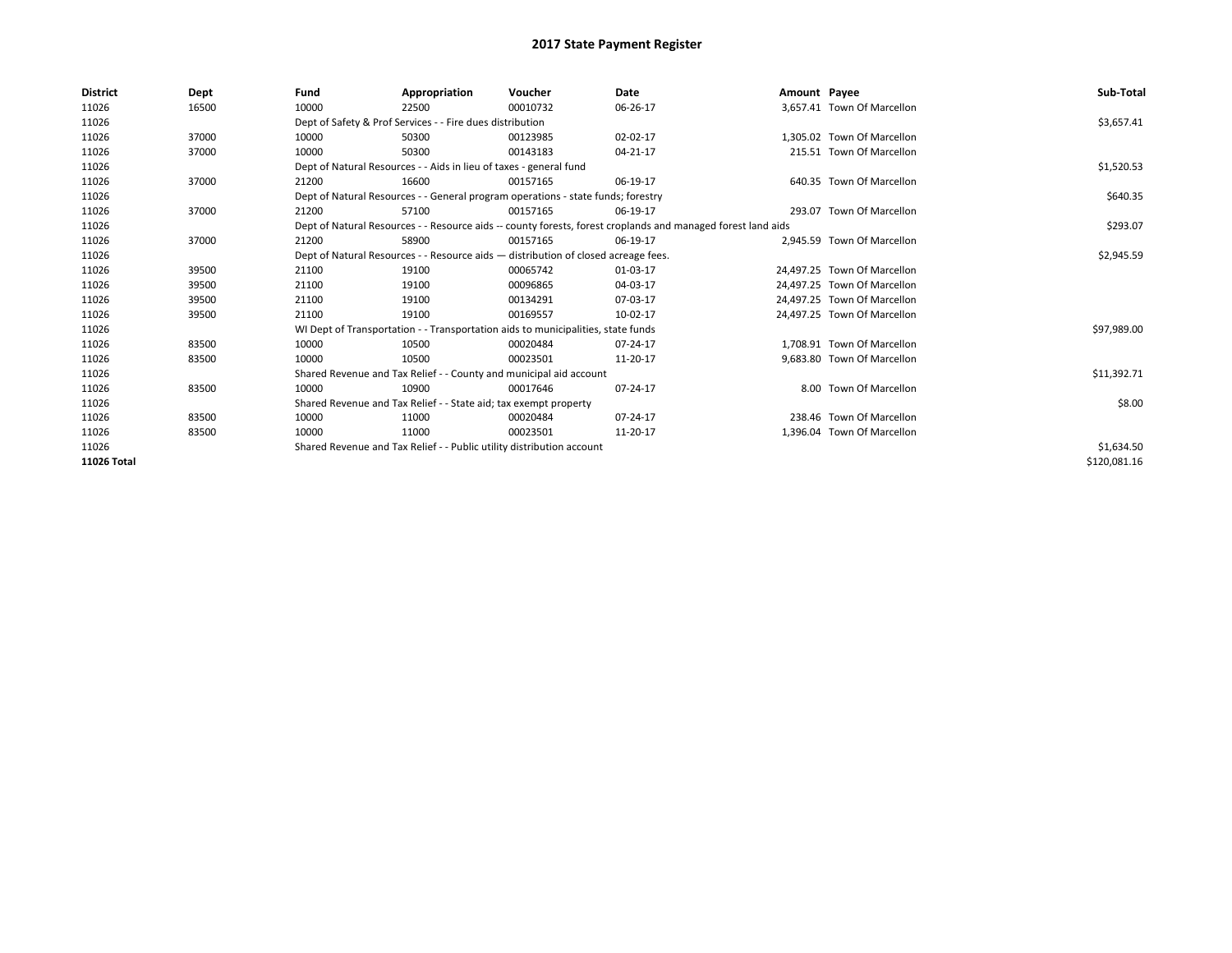| <b>District</b> | Dept  | Fund  | Appropriation                                                                                                | Voucher  | Date     | Amount Payee |                             | Sub-Total    |  |  |  |
|-----------------|-------|-------|--------------------------------------------------------------------------------------------------------------|----------|----------|--------------|-----------------------------|--------------|--|--|--|
| 11026           | 16500 | 10000 | 22500                                                                                                        | 00010732 | 06-26-17 |              | 3,657.41 Town Of Marcellon  |              |  |  |  |
| 11026           |       |       | Dept of Safety & Prof Services - - Fire dues distribution                                                    |          |          |              |                             | \$3,657.41   |  |  |  |
| 11026           | 37000 | 10000 | 50300                                                                                                        | 00123985 | 02-02-17 |              | 1.305.02 Town Of Marcellon  |              |  |  |  |
| 11026           | 37000 | 10000 | 50300                                                                                                        | 00143183 | 04-21-17 |              | 215.51 Town Of Marcellon    |              |  |  |  |
| 11026           |       |       | Dept of Natural Resources - - Aids in lieu of taxes - general fund                                           |          |          |              |                             | \$1,520.53   |  |  |  |
| 11026           | 37000 | 21200 | 16600                                                                                                        | 00157165 | 06-19-17 |              | 640.35 Town Of Marcellon    |              |  |  |  |
| 11026           |       |       | Dept of Natural Resources - - General program operations - state funds; forestry                             |          |          |              |                             | \$640.35     |  |  |  |
| 11026           | 37000 | 21200 | 57100                                                                                                        | 00157165 | 06-19-17 |              | 293.07 Town Of Marcellon    |              |  |  |  |
| 11026           |       |       | Dept of Natural Resources - - Resource aids -- county forests, forest croplands and managed forest land aids |          | \$293.07 |              |                             |              |  |  |  |
| 11026           | 37000 | 21200 | 58900                                                                                                        | 00157165 | 06-19-17 |              | 2,945.59 Town Of Marcellon  |              |  |  |  |
| 11026           |       |       | Dept of Natural Resources - - Resource aids - distribution of closed acreage fees.                           |          |          |              |                             |              |  |  |  |
| 11026           | 39500 | 21100 | 19100                                                                                                        | 00065742 | 01-03-17 |              | 24.497.25 Town Of Marcellon |              |  |  |  |
| 11026           | 39500 | 21100 | 19100                                                                                                        | 00096865 | 04-03-17 |              | 24.497.25 Town Of Marcellon |              |  |  |  |
| 11026           | 39500 | 21100 | 19100                                                                                                        | 00134291 | 07-03-17 |              | 24,497.25 Town Of Marcellon |              |  |  |  |
| 11026           | 39500 | 21100 | 19100                                                                                                        | 00169557 | 10-02-17 |              | 24,497.25 Town Of Marcellon |              |  |  |  |
| 11026           |       |       | WI Dept of Transportation - - Transportation aids to municipalities, state funds                             |          |          |              |                             | \$97,989.00  |  |  |  |
| 11026           | 83500 | 10000 | 10500                                                                                                        | 00020484 | 07-24-17 |              | 1.708.91 Town Of Marcellon  |              |  |  |  |
| 11026           | 83500 | 10000 | 10500                                                                                                        | 00023501 | 11-20-17 |              | 9,683.80 Town Of Marcellon  |              |  |  |  |
| 11026           |       |       | Shared Revenue and Tax Relief - - County and municipal aid account                                           |          |          |              |                             | \$11,392.71  |  |  |  |
| 11026           | 83500 | 10000 | 10900                                                                                                        | 00017646 | 07-24-17 |              | 8.00 Town Of Marcellon      |              |  |  |  |
| 11026           |       |       | Shared Revenue and Tax Relief - - State aid; tax exempt property                                             |          |          |              |                             | \$8.00       |  |  |  |
| 11026           | 83500 | 10000 | 11000                                                                                                        | 00020484 | 07-24-17 |              | 238.46 Town Of Marcellon    |              |  |  |  |
| 11026           | 83500 | 10000 | 11000                                                                                                        | 00023501 | 11-20-17 |              | 1,396.04 Town Of Marcellon  |              |  |  |  |
| 11026           |       |       | Shared Revenue and Tax Relief - - Public utility distribution account                                        |          |          |              |                             |              |  |  |  |
| 11026 Total     |       |       |                                                                                                              |          |          |              |                             | \$120,081.16 |  |  |  |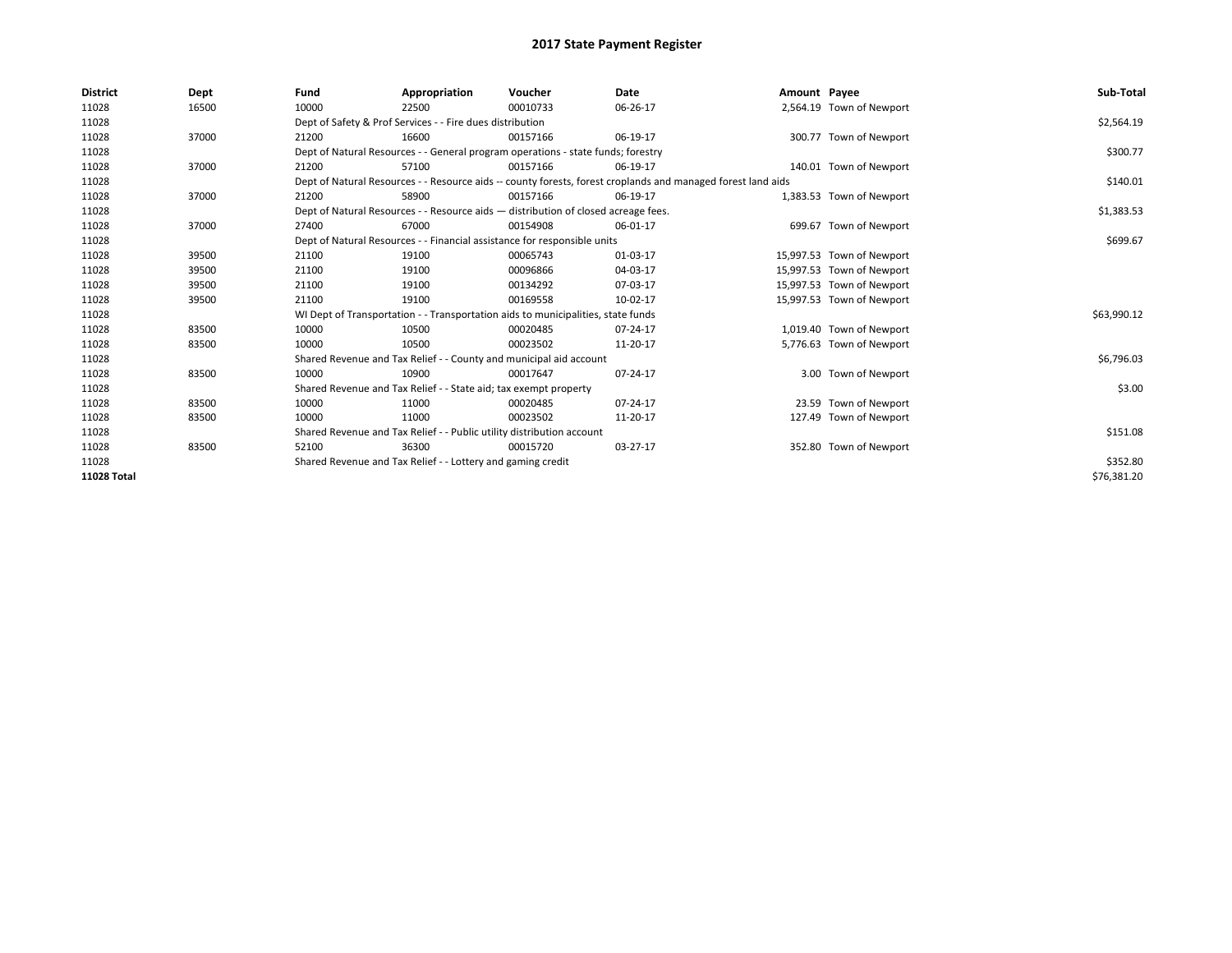| <b>District</b>    | Dept  | Fund  | Appropriation                                                                                                | Voucher  | Date     | Amount Payee |                           | Sub-Total   |  |  |
|--------------------|-------|-------|--------------------------------------------------------------------------------------------------------------|----------|----------|--------------|---------------------------|-------------|--|--|
| 11028              | 16500 | 10000 | 22500                                                                                                        | 00010733 | 06-26-17 |              | 2,564.19 Town of Newport  |             |  |  |
| 11028              |       |       | Dept of Safety & Prof Services - - Fire dues distribution                                                    |          |          |              |                           | \$2,564.19  |  |  |
| 11028              | 37000 | 21200 | 16600                                                                                                        | 00157166 | 06-19-17 |              | 300.77 Town of Newport    |             |  |  |
| 11028              |       |       | Dept of Natural Resources - - General program operations - state funds; forestry                             |          |          |              |                           | \$300.77    |  |  |
| 11028              | 37000 | 21200 | 57100                                                                                                        | 00157166 | 06-19-17 |              | 140.01 Town of Newport    |             |  |  |
| 11028              |       |       | Dept of Natural Resources - - Resource aids -- county forests, forest croplands and managed forest land aids |          |          |              |                           | \$140.01    |  |  |
| 11028              | 37000 | 21200 | 58900                                                                                                        | 00157166 | 06-19-17 |              | 1,383.53 Town of Newport  |             |  |  |
| 11028              |       |       | Dept of Natural Resources - - Resource aids - distribution of closed acreage fees.                           |          |          |              |                           | \$1,383.53  |  |  |
| 11028              | 37000 | 27400 | 67000                                                                                                        | 00154908 | 06-01-17 |              | 699.67 Town of Newport    |             |  |  |
| 11028              |       |       | Dept of Natural Resources - - Financial assistance for responsible units                                     |          | \$699.67 |              |                           |             |  |  |
| 11028              | 39500 | 21100 | 19100                                                                                                        | 00065743 | 01-03-17 |              | 15,997.53 Town of Newport |             |  |  |
| 11028              | 39500 | 21100 | 19100                                                                                                        | 00096866 | 04-03-17 |              | 15,997.53 Town of Newport |             |  |  |
| 11028              | 39500 | 21100 | 19100                                                                                                        | 00134292 | 07-03-17 |              | 15,997.53 Town of Newport |             |  |  |
| 11028              | 39500 | 21100 | 19100                                                                                                        | 00169558 | 10-02-17 |              | 15,997.53 Town of Newport |             |  |  |
| 11028              |       |       | WI Dept of Transportation - - Transportation aids to municipalities, state funds                             |          |          |              |                           | \$63,990.12 |  |  |
| 11028              | 83500 | 10000 | 10500                                                                                                        | 00020485 | 07-24-17 |              | 1,019.40 Town of Newport  |             |  |  |
| 11028              | 83500 | 10000 | 10500                                                                                                        | 00023502 | 11-20-17 |              | 5,776.63 Town of Newport  |             |  |  |
| 11028              |       |       | Shared Revenue and Tax Relief - - County and municipal aid account                                           |          |          |              |                           | \$6,796.03  |  |  |
| 11028              | 83500 | 10000 | 10900                                                                                                        | 00017647 | 07-24-17 |              | 3.00 Town of Newport      |             |  |  |
| 11028              |       |       | Shared Revenue and Tax Relief - - State aid; tax exempt property                                             |          |          |              |                           | \$3.00      |  |  |
| 11028              | 83500 | 10000 | 11000                                                                                                        | 00020485 | 07-24-17 |              | 23.59 Town of Newport     |             |  |  |
| 11028              | 83500 | 10000 | 11000                                                                                                        | 00023502 | 11-20-17 |              | 127.49 Town of Newport    |             |  |  |
| 11028              |       |       | Shared Revenue and Tax Relief - - Public utility distribution account                                        |          |          |              |                           | \$151.08    |  |  |
| 11028              | 83500 | 52100 | 36300                                                                                                        | 00015720 | 03-27-17 |              | 352.80 Town of Newport    |             |  |  |
| 11028              |       |       | Shared Revenue and Tax Relief - - Lottery and gaming credit                                                  |          |          |              |                           |             |  |  |
| <b>11028 Total</b> |       |       |                                                                                                              |          |          |              |                           | \$76,381.20 |  |  |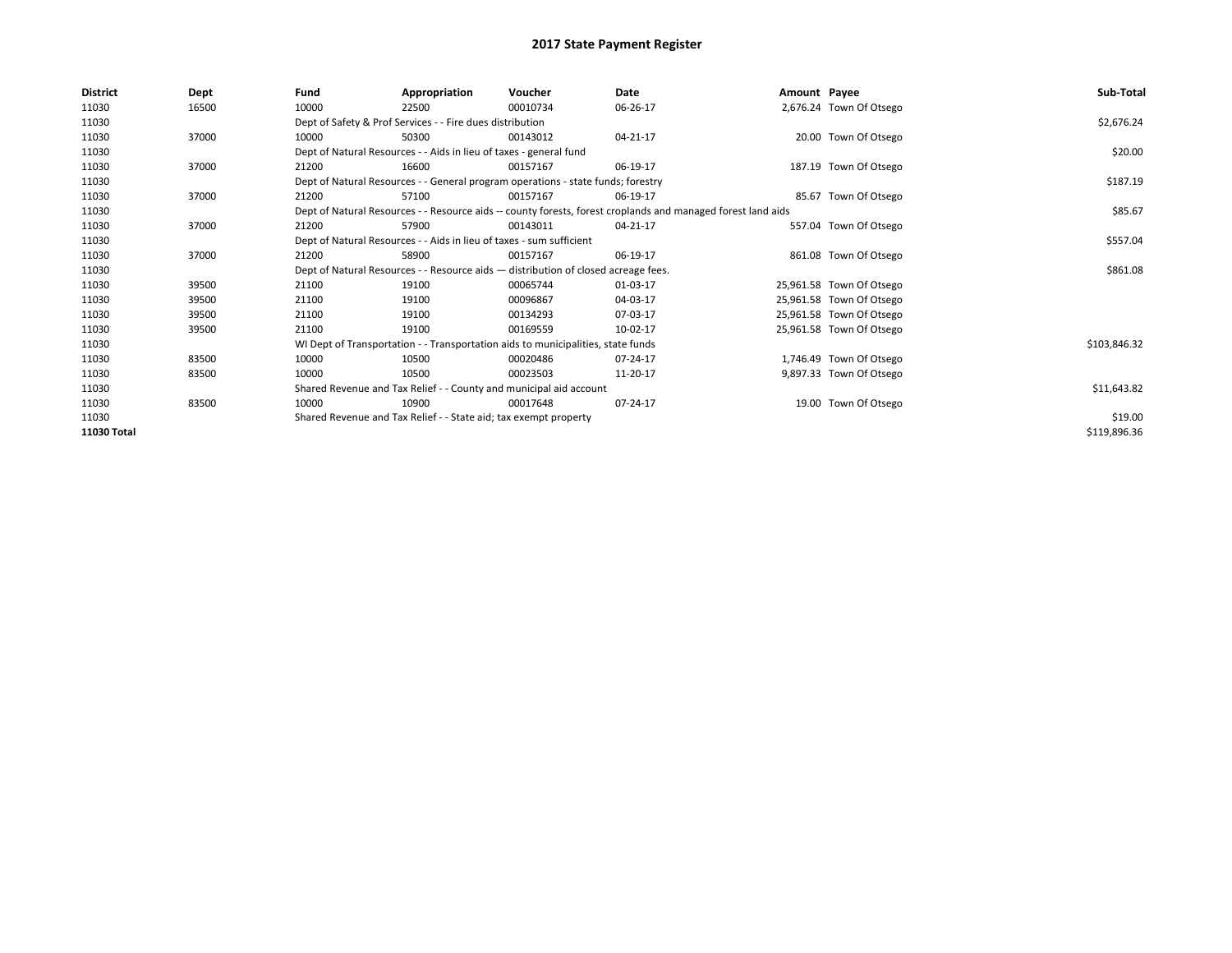| <b>District</b> | <b>Dept</b> | Fund                                                                               | Appropriation                                                                    | Voucher  | Date                                                                                                         | Amount Payee |                          | Sub-Total    |
|-----------------|-------------|------------------------------------------------------------------------------------|----------------------------------------------------------------------------------|----------|--------------------------------------------------------------------------------------------------------------|--------------|--------------------------|--------------|
| 11030           | 16500       | 10000                                                                              | 22500                                                                            | 00010734 | 06-26-17                                                                                                     |              | 2,676.24 Town Of Otsego  |              |
| 11030           |             |                                                                                    | Dept of Safety & Prof Services - - Fire dues distribution                        |          |                                                                                                              |              |                          | \$2,676.24   |
| 11030           | 37000       | 10000                                                                              | 50300                                                                            | 00143012 | 04-21-17                                                                                                     |              | 20.00 Town Of Otsego     |              |
| 11030           |             |                                                                                    | Dept of Natural Resources - - Aids in lieu of taxes - general fund               |          |                                                                                                              |              |                          | \$20.00      |
| 11030           | 37000       | 21200                                                                              | 16600                                                                            | 00157167 | 06-19-17                                                                                                     |              | 187.19 Town Of Otsego    |              |
| 11030           |             |                                                                                    | Dept of Natural Resources - - General program operations - state funds; forestry |          |                                                                                                              |              |                          | \$187.19     |
| 11030           | 37000       | 21200                                                                              | 57100                                                                            | 00157167 | 06-19-17                                                                                                     |              | 85.67 Town Of Otsego     |              |
| 11030           |             |                                                                                    |                                                                                  |          | Dept of Natural Resources - - Resource aids -- county forests, forest croplands and managed forest land aids |              |                          | \$85.67      |
| 11030           | 37000       | 21200                                                                              | 57900                                                                            | 00143011 | 04-21-17                                                                                                     |              | 557.04 Town Of Otsego    |              |
| 11030           |             | Dept of Natural Resources - - Aids in lieu of taxes - sum sufficient               |                                                                                  | \$557.04 |                                                                                                              |              |                          |              |
| 11030           | 37000       | 21200                                                                              | 58900                                                                            | 00157167 | 06-19-17                                                                                                     |              | 861.08 Town Of Otsego    |              |
| 11030           |             | Dept of Natural Resources - - Resource aids - distribution of closed acreage fees. |                                                                                  | \$861.08 |                                                                                                              |              |                          |              |
| 11030           | 39500       | 21100                                                                              | 19100                                                                            | 00065744 | 01-03-17                                                                                                     |              | 25,961.58 Town Of Otsego |              |
| 11030           | 39500       | 21100                                                                              | 19100                                                                            | 00096867 | 04-03-17                                                                                                     |              | 25,961.58 Town Of Otsego |              |
| 11030           | 39500       | 21100                                                                              | 19100                                                                            | 00134293 | 07-03-17                                                                                                     |              | 25,961.58 Town Of Otsego |              |
| 11030           | 39500       | 21100                                                                              | 19100                                                                            | 00169559 | 10-02-17                                                                                                     |              | 25,961.58 Town Of Otsego |              |
| 11030           |             |                                                                                    | WI Dept of Transportation - - Transportation aids to municipalities, state funds |          |                                                                                                              |              |                          | \$103,846.32 |
| 11030           | 83500       | 10000                                                                              | 10500                                                                            | 00020486 | 07-24-17                                                                                                     |              | 1,746.49 Town Of Otsego  |              |
| 11030           | 83500       | 10000                                                                              | 10500                                                                            | 00023503 | 11-20-17                                                                                                     |              | 9,897.33 Town Of Otsego  |              |
| 11030           |             |                                                                                    | Shared Revenue and Tax Relief - - County and municipal aid account               |          |                                                                                                              |              |                          | \$11,643.82  |
| 11030           | 83500       | 10000                                                                              | 10900                                                                            | 00017648 | 07-24-17                                                                                                     |              | 19.00 Town Of Otsego     |              |
| 11030           |             | Shared Revenue and Tax Relief - - State aid; tax exempt property                   |                                                                                  | \$19.00  |                                                                                                              |              |                          |              |
| 11030 Total     |             |                                                                                    |                                                                                  |          |                                                                                                              |              |                          | \$119,896.36 |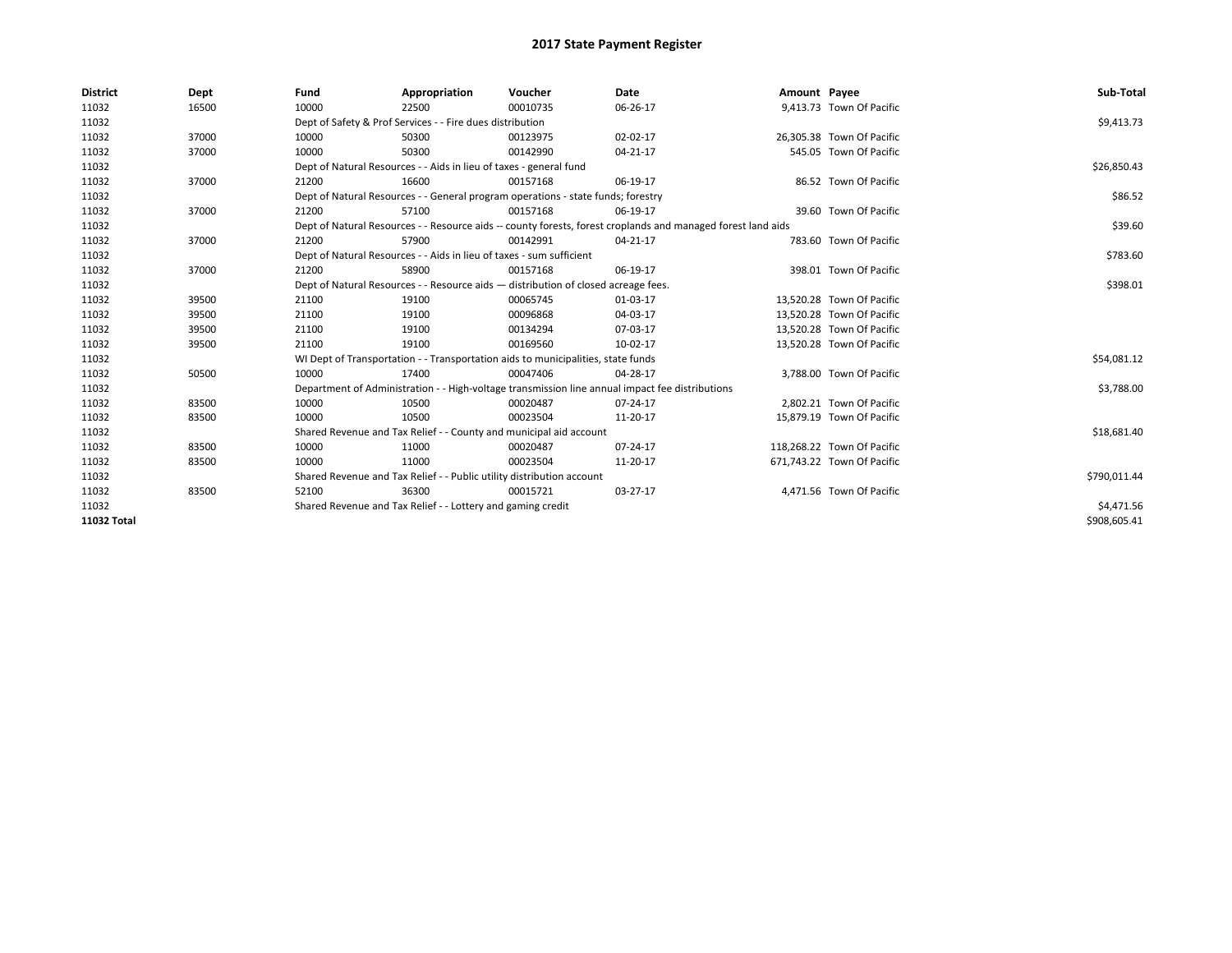| <b>District</b> | Dept  | Fund  | Appropriation                                                                      | Voucher  | Date                                                                                                         | Amount Payee |                            | Sub-Total    |  |  |  |
|-----------------|-------|-------|------------------------------------------------------------------------------------|----------|--------------------------------------------------------------------------------------------------------------|--------------|----------------------------|--------------|--|--|--|
| 11032           | 16500 | 10000 | 22500                                                                              | 00010735 | 06-26-17                                                                                                     |              | 9,413.73 Town Of Pacific   |              |  |  |  |
| 11032           |       |       | Dept of Safety & Prof Services - - Fire dues distribution                          |          |                                                                                                              |              |                            | \$9,413.73   |  |  |  |
| 11032           | 37000 | 10000 | 50300                                                                              | 00123975 | 02-02-17                                                                                                     |              | 26,305.38 Town Of Pacific  |              |  |  |  |
| 11032           | 37000 | 10000 | 50300                                                                              | 00142990 | 04-21-17                                                                                                     |              | 545.05 Town Of Pacific     |              |  |  |  |
| 11032           |       |       | Dept of Natural Resources - - Aids in lieu of taxes - general fund                 |          |                                                                                                              |              |                            | \$26,850.43  |  |  |  |
| 11032           | 37000 | 21200 | 16600                                                                              | 00157168 | 06-19-17                                                                                                     |              | 86.52 Town Of Pacific      |              |  |  |  |
| 11032           |       |       | Dept of Natural Resources - - General program operations - state funds; forestry   |          |                                                                                                              |              |                            | \$86.52      |  |  |  |
| 11032           | 37000 | 21200 | 57100                                                                              | 00157168 | 06-19-17                                                                                                     |              | 39.60 Town Of Pacific      |              |  |  |  |
| 11032           |       |       |                                                                                    |          | Dept of Natural Resources - - Resource aids -- county forests, forest croplands and managed forest land aids |              |                            | \$39.60      |  |  |  |
| 11032           | 37000 | 21200 | 57900                                                                              | 00142991 | 04-21-17                                                                                                     |              | 783.60 Town Of Pacific     |              |  |  |  |
| 11032           |       |       | Dept of Natural Resources - - Aids in lieu of taxes - sum sufficient               |          |                                                                                                              |              |                            |              |  |  |  |
| 11032           | 37000 | 21200 | 58900                                                                              | 00157168 | 06-19-17                                                                                                     |              | 398.01 Town Of Pacific     |              |  |  |  |
| 11032           |       |       | Dept of Natural Resources - - Resource aids - distribution of closed acreage fees. |          |                                                                                                              |              |                            |              |  |  |  |
| 11032           | 39500 | 21100 | 19100                                                                              | 00065745 | 01-03-17                                                                                                     |              | 13,520.28 Town Of Pacific  |              |  |  |  |
| 11032           | 39500 | 21100 | 19100                                                                              | 00096868 | 04-03-17                                                                                                     |              | 13,520.28 Town Of Pacific  |              |  |  |  |
| 11032           | 39500 | 21100 | 19100                                                                              | 00134294 | 07-03-17                                                                                                     |              | 13,520.28 Town Of Pacific  |              |  |  |  |
| 11032           | 39500 | 21100 | 19100                                                                              | 00169560 | 10-02-17                                                                                                     |              | 13,520.28 Town Of Pacific  |              |  |  |  |
| 11032           |       |       | WI Dept of Transportation - - Transportation aids to municipalities, state funds   |          |                                                                                                              |              |                            | \$54,081.12  |  |  |  |
| 11032           | 50500 | 10000 | 17400                                                                              | 00047406 | 04-28-17                                                                                                     |              | 3,788.00 Town Of Pacific   |              |  |  |  |
| 11032           |       |       |                                                                                    |          | Department of Administration - - High-voltage transmission line annual impact fee distributions              |              |                            | \$3,788.00   |  |  |  |
| 11032           | 83500 | 10000 | 10500                                                                              | 00020487 | $07 - 24 - 17$                                                                                               |              | 2,802.21 Town Of Pacific   |              |  |  |  |
| 11032           | 83500 | 10000 | 10500                                                                              | 00023504 | 11-20-17                                                                                                     |              | 15.879.19 Town Of Pacific  |              |  |  |  |
| 11032           |       |       | Shared Revenue and Tax Relief - - County and municipal aid account                 |          |                                                                                                              |              |                            | \$18,681.40  |  |  |  |
| 11032           | 83500 | 10000 | 11000                                                                              | 00020487 | $07 - 24 - 17$                                                                                               |              | 118,268.22 Town Of Pacific |              |  |  |  |
| 11032           | 83500 | 10000 | 11000                                                                              | 00023504 | 11-20-17                                                                                                     |              | 671,743.22 Town Of Pacific |              |  |  |  |
| 11032           |       |       | Shared Revenue and Tax Relief - - Public utility distribution account              |          |                                                                                                              |              |                            | \$790,011.44 |  |  |  |
| 11032           | 83500 | 52100 | 36300                                                                              | 00015721 | 03-27-17                                                                                                     |              | 4,471.56 Town Of Pacific   |              |  |  |  |
| 11032           |       |       | Shared Revenue and Tax Relief - - Lottery and gaming credit                        |          |                                                                                                              |              |                            |              |  |  |  |
| 11032 Total     |       |       |                                                                                    |          |                                                                                                              |              |                            | \$908,605.41 |  |  |  |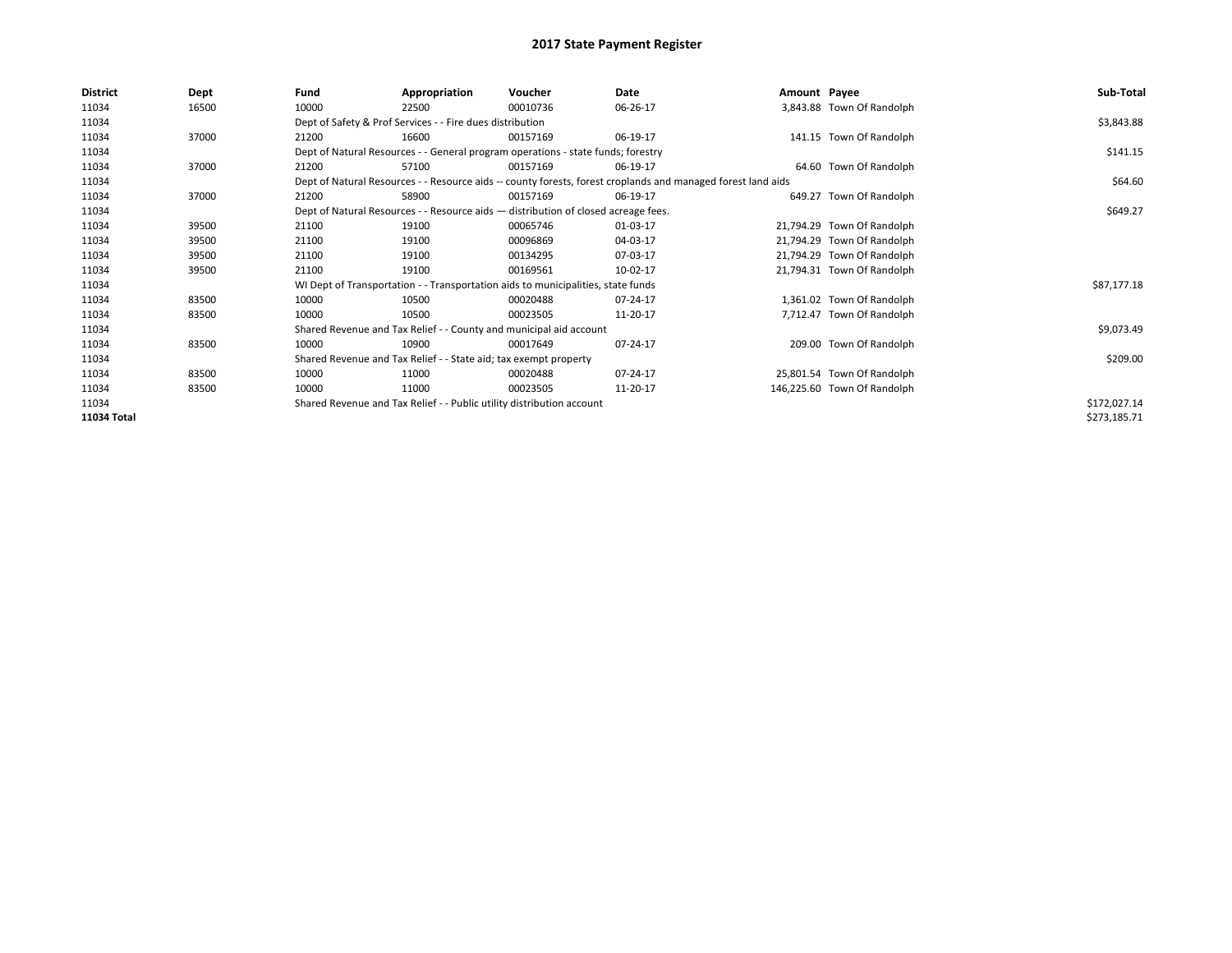| <b>District</b> | Dept  | Fund  | Appropriation                                                                      | Voucher  | Date                                                                                                         | Amount Payee |                             | Sub-Total    |  |  |  |
|-----------------|-------|-------|------------------------------------------------------------------------------------|----------|--------------------------------------------------------------------------------------------------------------|--------------|-----------------------------|--------------|--|--|--|
| 11034           | 16500 | 10000 | 22500                                                                              | 00010736 | 06-26-17                                                                                                     |              | 3,843.88 Town Of Randolph   |              |  |  |  |
| 11034           |       |       | Dept of Safety & Prof Services - - Fire dues distribution                          |          |                                                                                                              |              |                             | \$3,843.88   |  |  |  |
| 11034           | 37000 | 21200 | 16600                                                                              | 00157169 | 06-19-17                                                                                                     |              | 141.15 Town Of Randolph     |              |  |  |  |
| 11034           |       |       | Dept of Natural Resources - - General program operations - state funds; forestry   |          |                                                                                                              |              |                             | \$141.15     |  |  |  |
| 11034           | 37000 | 21200 | 57100                                                                              | 00157169 | 06-19-17                                                                                                     |              | 64.60 Town Of Randolph      |              |  |  |  |
| 11034           |       |       |                                                                                    |          | Dept of Natural Resources - - Resource aids -- county forests, forest croplands and managed forest land aids |              |                             | \$64.60      |  |  |  |
| 11034           | 37000 | 21200 | 58900                                                                              | 00157169 | 06-19-17                                                                                                     |              | 649.27 Town Of Randolph     |              |  |  |  |
| 11034           |       |       | Dept of Natural Resources - - Resource aids - distribution of closed acreage fees. |          |                                                                                                              |              |                             |              |  |  |  |
| 11034           | 39500 | 21100 | 19100                                                                              | 00065746 | 01-03-17                                                                                                     |              | 21,794.29 Town Of Randolph  |              |  |  |  |
| 11034           | 39500 | 21100 | 19100                                                                              | 00096869 | 04-03-17                                                                                                     |              | 21,794.29 Town Of Randolph  |              |  |  |  |
| 11034           | 39500 | 21100 | 19100                                                                              | 00134295 | 07-03-17                                                                                                     |              | 21,794.29 Town Of Randolph  |              |  |  |  |
| 11034           | 39500 | 21100 | 19100                                                                              | 00169561 | 10-02-17                                                                                                     |              | 21,794.31 Town Of Randolph  |              |  |  |  |
| 11034           |       |       | WI Dept of Transportation - - Transportation aids to municipalities, state funds   |          |                                                                                                              |              |                             | \$87,177.18  |  |  |  |
| 11034           | 83500 | 10000 | 10500                                                                              | 00020488 | 07-24-17                                                                                                     |              | 1,361.02 Town Of Randolph   |              |  |  |  |
| 11034           | 83500 | 10000 | 10500                                                                              | 00023505 | 11-20-17                                                                                                     |              | 7,712.47 Town Of Randolph   |              |  |  |  |
| 11034           |       |       | Shared Revenue and Tax Relief - - County and municipal aid account                 |          |                                                                                                              |              |                             | \$9,073.49   |  |  |  |
| 11034           | 83500 | 10000 | 10900                                                                              | 00017649 | 07-24-17                                                                                                     |              | 209.00 Town Of Randolph     |              |  |  |  |
| 11034           |       |       | Shared Revenue and Tax Relief - - State aid; tax exempt property                   |          |                                                                                                              |              |                             | \$209.00     |  |  |  |
| 11034           | 83500 | 10000 | 11000                                                                              | 00020488 | 07-24-17                                                                                                     |              | 25,801.54 Town Of Randolph  |              |  |  |  |
| 11034           | 83500 | 10000 | 11000                                                                              | 00023505 | 11-20-17                                                                                                     |              | 146,225.60 Town Of Randolph |              |  |  |  |
| 11034           |       |       | Shared Revenue and Tax Relief - - Public utility distribution account              |          |                                                                                                              |              |                             | \$172,027.14 |  |  |  |
| 11034 Total     |       |       |                                                                                    |          |                                                                                                              |              |                             | \$273,185.71 |  |  |  |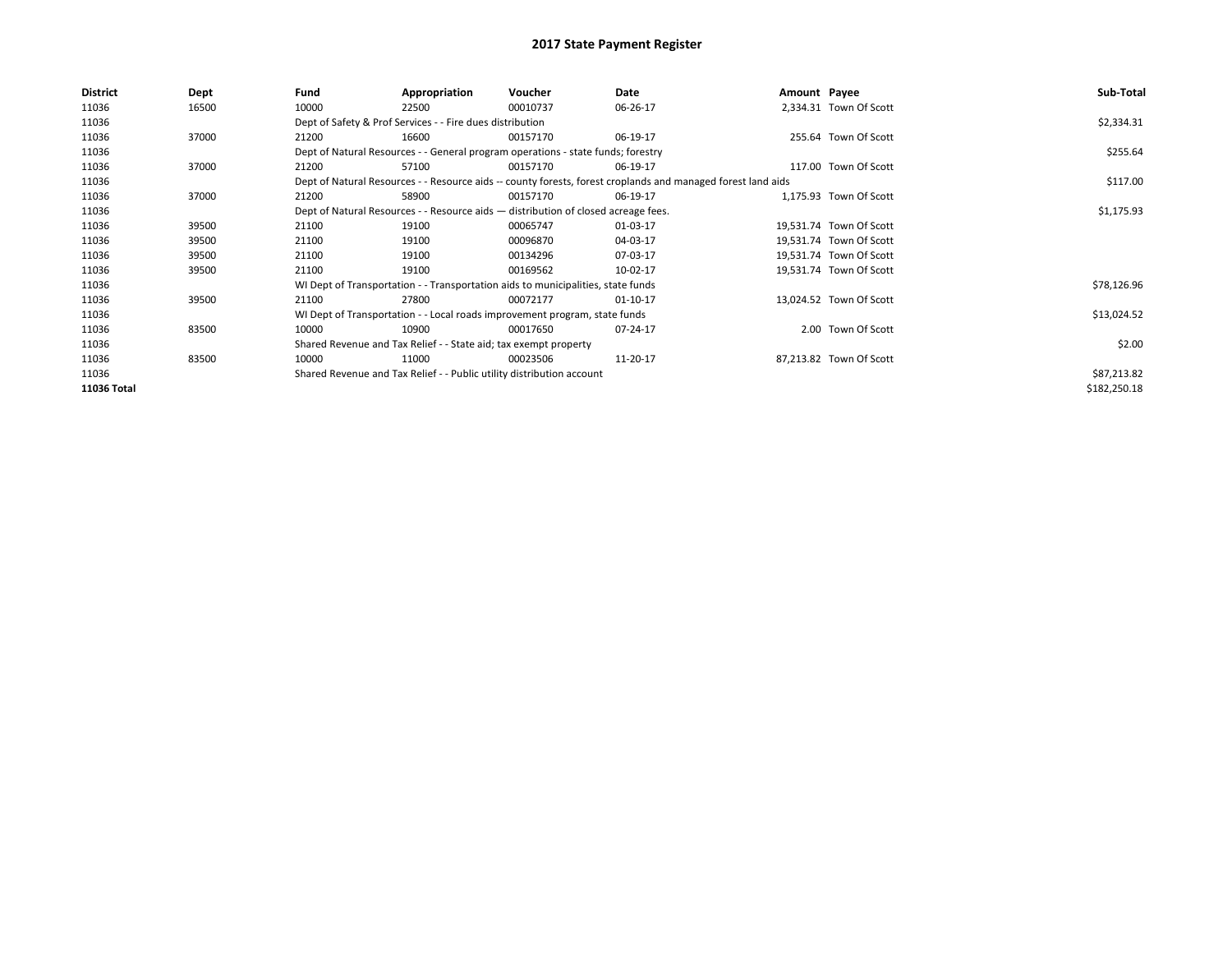| <b>District</b> | Dept  | Fund  | Appropriation                                                                      | Voucher  | Date                                                                                                         | Amount Payee |                         | Sub-Total    |  |  |  |
|-----------------|-------|-------|------------------------------------------------------------------------------------|----------|--------------------------------------------------------------------------------------------------------------|--------------|-------------------------|--------------|--|--|--|
| 11036           | 16500 | 10000 | 22500                                                                              | 00010737 | 06-26-17                                                                                                     |              | 2,334.31 Town Of Scott  |              |  |  |  |
| 11036           |       |       | Dept of Safety & Prof Services - - Fire dues distribution                          |          |                                                                                                              |              |                         | \$2,334.31   |  |  |  |
| 11036           | 37000 | 21200 | 16600                                                                              | 00157170 | 06-19-17                                                                                                     |              | 255.64 Town Of Scott    |              |  |  |  |
| 11036           |       |       | Dept of Natural Resources - - General program operations - state funds; forestry   |          |                                                                                                              |              |                         | \$255.64     |  |  |  |
| 11036           | 37000 | 21200 | 57100                                                                              | 00157170 | 06-19-17                                                                                                     |              | 117.00 Town Of Scott    |              |  |  |  |
| 11036           |       |       |                                                                                    |          | Dept of Natural Resources - - Resource aids -- county forests, forest croplands and managed forest land aids |              |                         | \$117.00     |  |  |  |
| 11036           | 37000 | 21200 | 58900                                                                              | 00157170 | 06-19-17                                                                                                     |              | 1,175.93 Town Of Scott  |              |  |  |  |
| 11036           |       |       | Dept of Natural Resources - - Resource aids - distribution of closed acreage fees. |          |                                                                                                              |              |                         |              |  |  |  |
| 11036           | 39500 | 21100 | 19100                                                                              | 00065747 | 01-03-17                                                                                                     |              | 19,531.74 Town Of Scott |              |  |  |  |
| 11036           | 39500 | 21100 | 19100                                                                              | 00096870 | 04-03-17                                                                                                     |              | 19,531.74 Town Of Scott |              |  |  |  |
| 11036           | 39500 | 21100 | 19100                                                                              | 00134296 | 07-03-17                                                                                                     |              | 19,531.74 Town Of Scott |              |  |  |  |
| 11036           | 39500 | 21100 | 19100                                                                              | 00169562 | 10-02-17                                                                                                     |              | 19,531.74 Town Of Scott |              |  |  |  |
| 11036           |       |       | WI Dept of Transportation - - Transportation aids to municipalities, state funds   |          |                                                                                                              |              |                         | \$78,126.96  |  |  |  |
| 11036           | 39500 | 21100 | 27800                                                                              | 00072177 | 01-10-17                                                                                                     |              | 13,024.52 Town Of Scott |              |  |  |  |
| 11036           |       |       | WI Dept of Transportation - - Local roads improvement program, state funds         |          |                                                                                                              |              |                         | \$13,024.52  |  |  |  |
| 11036           | 83500 | 10000 | 10900                                                                              | 00017650 | 07-24-17                                                                                                     |              | 2.00 Town Of Scott      |              |  |  |  |
| 11036           |       |       | Shared Revenue and Tax Relief - - State aid; tax exempt property                   |          |                                                                                                              |              |                         | \$2.00       |  |  |  |
| 11036           | 83500 | 10000 | 11000                                                                              | 00023506 | 11-20-17                                                                                                     |              | 87,213.82 Town Of Scott |              |  |  |  |
| 11036           |       |       | Shared Revenue and Tax Relief - - Public utility distribution account              |          |                                                                                                              |              |                         | \$87,213.82  |  |  |  |
| 11036 Total     |       |       |                                                                                    |          |                                                                                                              |              |                         | \$182,250.18 |  |  |  |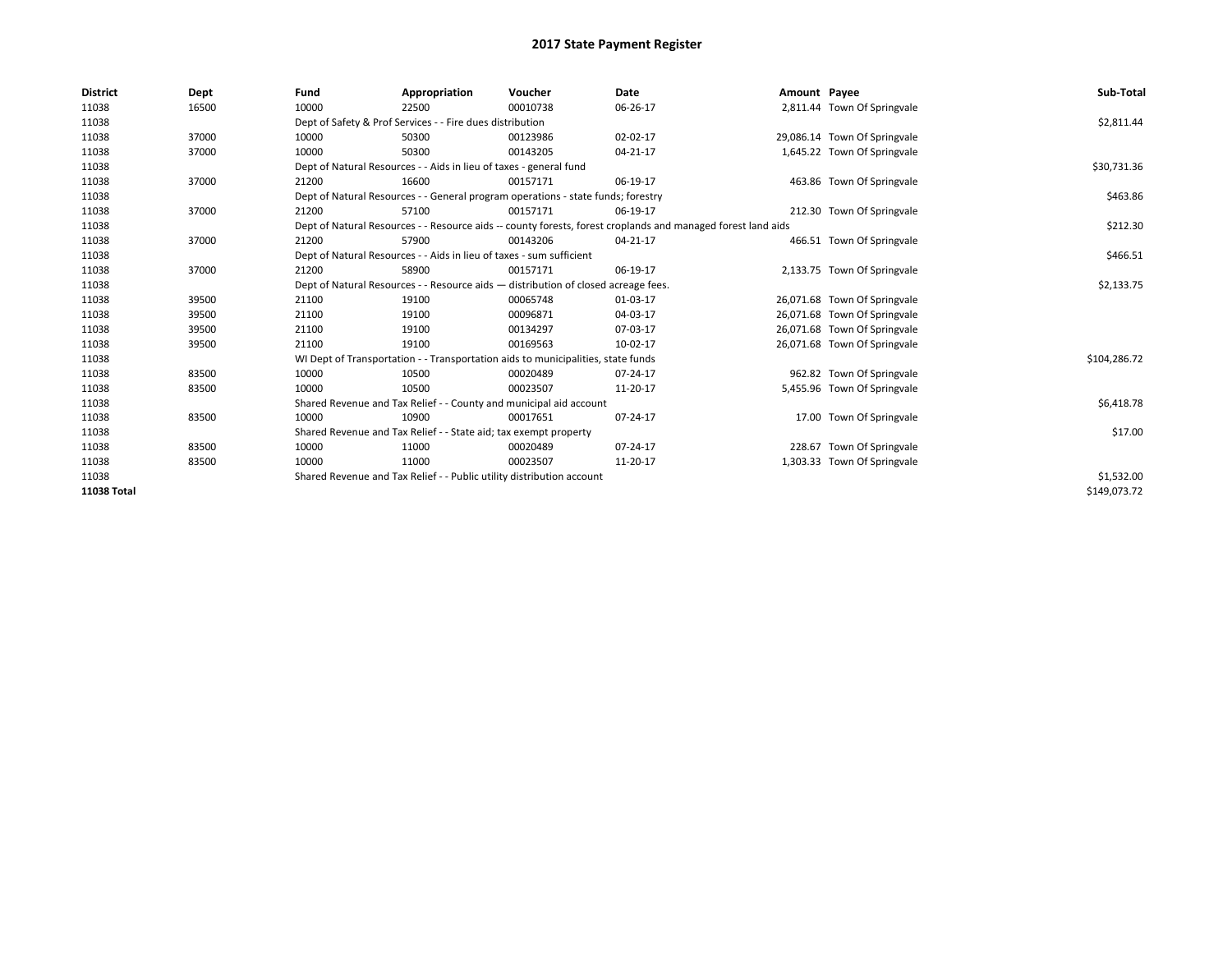| <b>District</b>    | Dept  | Fund                                                                  | Appropriation                                                                                                | Voucher    | Date     | Amount Payee |                              | Sub-Total    |  |  |  |
|--------------------|-------|-----------------------------------------------------------------------|--------------------------------------------------------------------------------------------------------------|------------|----------|--------------|------------------------------|--------------|--|--|--|
| 11038              | 16500 | 10000                                                                 | 22500                                                                                                        | 00010738   | 06-26-17 |              | 2,811.44 Town Of Springvale  |              |  |  |  |
| 11038              |       |                                                                       | Dept of Safety & Prof Services - - Fire dues distribution                                                    |            |          |              |                              | \$2,811.44   |  |  |  |
| 11038              | 37000 | 10000                                                                 | 50300                                                                                                        | 00123986   | 02-02-17 |              | 29,086.14 Town Of Springvale |              |  |  |  |
| 11038              | 37000 | 10000                                                                 | 50300                                                                                                        | 00143205   | 04-21-17 |              | 1,645.22 Town Of Springvale  |              |  |  |  |
| 11038              |       |                                                                       | Dept of Natural Resources - - Aids in lieu of taxes - general fund                                           |            |          |              |                              | \$30,731.36  |  |  |  |
| 11038              | 37000 | 21200                                                                 | 16600                                                                                                        | 00157171   | 06-19-17 |              | 463.86 Town Of Springvale    |              |  |  |  |
| 11038              |       |                                                                       | Dept of Natural Resources - - General program operations - state funds; forestry                             |            |          |              |                              | \$463.86     |  |  |  |
| 11038              | 37000 | 21200                                                                 | 57100                                                                                                        | 00157171   | 06-19-17 |              | 212.30 Town Of Springvale    |              |  |  |  |
| 11038              |       |                                                                       | Dept of Natural Resources - - Resource aids -- county forests, forest croplands and managed forest land aids |            |          |              |                              | \$212.30     |  |  |  |
| 11038              | 37000 | 21200                                                                 | 57900                                                                                                        | 00143206   | 04-21-17 |              | 466.51 Town Of Springvale    |              |  |  |  |
| 11038              |       |                                                                       | Dept of Natural Resources - - Aids in lieu of taxes - sum sufficient                                         |            |          |              |                              |              |  |  |  |
| 11038              | 37000 | 21200                                                                 | 58900                                                                                                        | 00157171   | 06-19-17 |              | 2,133.75 Town Of Springvale  |              |  |  |  |
| 11038              |       |                                                                       | Dept of Natural Resources - - Resource aids - distribution of closed acreage fees.                           |            |          |              |                              |              |  |  |  |
| 11038              | 39500 | 21100                                                                 | 19100                                                                                                        | 00065748   | 01-03-17 |              | 26,071.68 Town Of Springvale |              |  |  |  |
| 11038              | 39500 | 21100                                                                 | 19100                                                                                                        | 00096871   | 04-03-17 |              | 26,071.68 Town Of Springvale |              |  |  |  |
| 11038              | 39500 | 21100                                                                 | 19100                                                                                                        | 00134297   | 07-03-17 |              | 26,071.68 Town Of Springvale |              |  |  |  |
| 11038              | 39500 | 21100                                                                 | 19100                                                                                                        | 00169563   | 10-02-17 |              | 26,071.68 Town Of Springvale |              |  |  |  |
| 11038              |       |                                                                       | WI Dept of Transportation - - Transportation aids to municipalities, state funds                             |            |          |              |                              | \$104,286.72 |  |  |  |
| 11038              | 83500 | 10000                                                                 | 10500                                                                                                        | 00020489   | 07-24-17 |              | 962.82 Town Of Springvale    |              |  |  |  |
| 11038              | 83500 | 10000                                                                 | 10500                                                                                                        | 00023507   | 11-20-17 |              | 5,455.96 Town Of Springvale  |              |  |  |  |
| 11038              |       |                                                                       | Shared Revenue and Tax Relief - - County and municipal aid account                                           |            |          |              |                              | \$6,418.78   |  |  |  |
| 11038              | 83500 | 10000                                                                 | 10900                                                                                                        | 00017651   | 07-24-17 |              | 17.00 Town Of Springvale     |              |  |  |  |
| 11038              |       |                                                                       | Shared Revenue and Tax Relief - - State aid; tax exempt property                                             |            |          |              |                              | \$17.00      |  |  |  |
| 11038              | 83500 | 10000                                                                 | 11000                                                                                                        | 00020489   | 07-24-17 |              | 228.67 Town Of Springvale    |              |  |  |  |
| 11038              | 83500 | 10000                                                                 | 11000                                                                                                        | 00023507   | 11-20-17 |              | 1,303.33 Town Of Springvale  |              |  |  |  |
| 11038              |       | Shared Revenue and Tax Relief - - Public utility distribution account |                                                                                                              | \$1,532.00 |          |              |                              |              |  |  |  |
| <b>11038 Total</b> |       |                                                                       |                                                                                                              |            |          |              |                              | \$149,073.72 |  |  |  |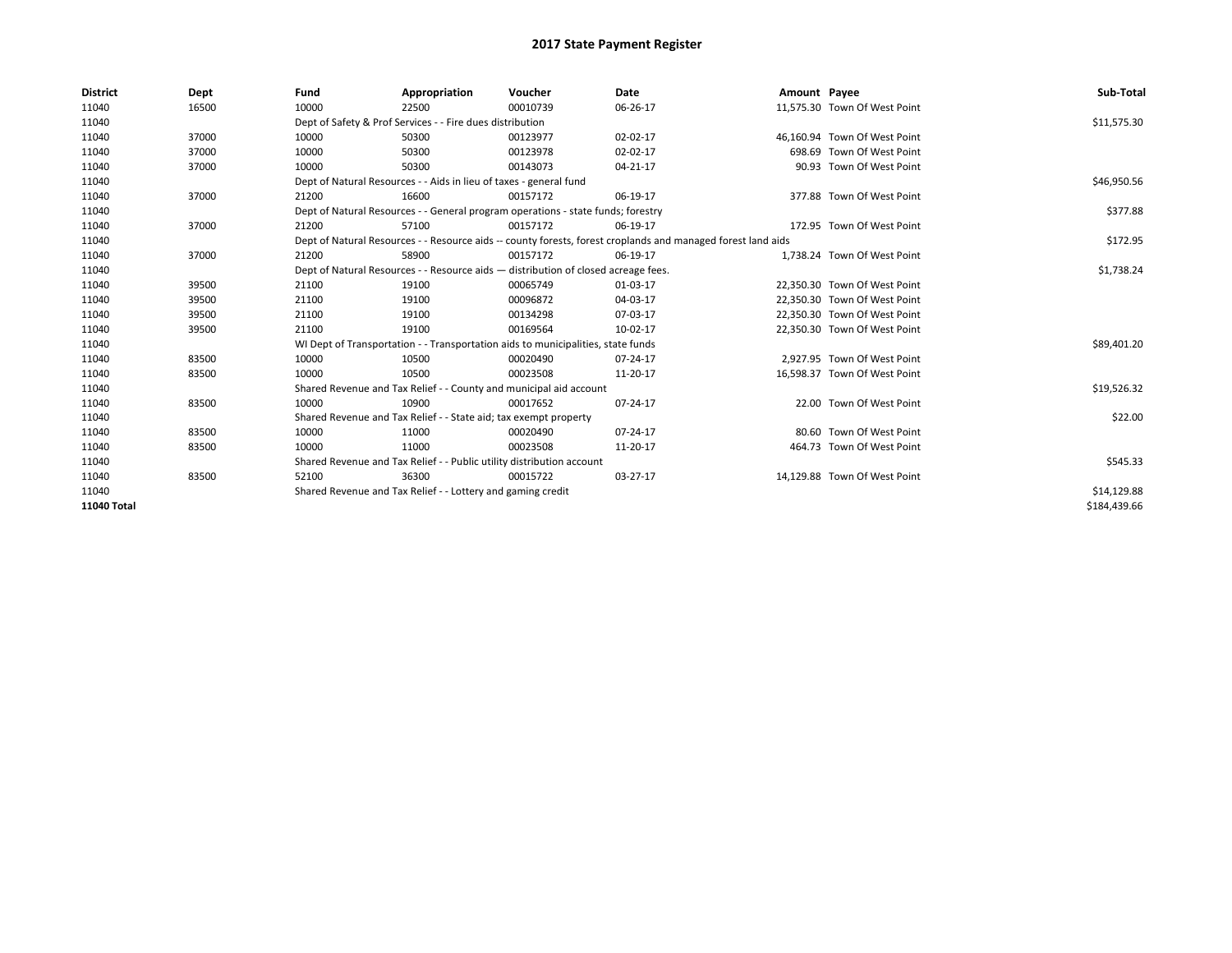| <b>District</b> | Dept  | Fund  | Appropriation                                                                                                | Voucher  | <b>Date</b> | Amount Payee |                              | Sub-Total    |  |  |  |
|-----------------|-------|-------|--------------------------------------------------------------------------------------------------------------|----------|-------------|--------------|------------------------------|--------------|--|--|--|
| 11040           | 16500 | 10000 | 22500                                                                                                        | 00010739 | 06-26-17    |              | 11,575.30 Town Of West Point |              |  |  |  |
| 11040           |       |       | Dept of Safety & Prof Services - - Fire dues distribution                                                    |          |             |              |                              | \$11,575.30  |  |  |  |
| 11040           | 37000 | 10000 | 50300                                                                                                        | 00123977 | 02-02-17    |              | 46,160.94 Town Of West Point |              |  |  |  |
| 11040           | 37000 | 10000 | 50300                                                                                                        | 00123978 | 02-02-17    |              | 698.69 Town Of West Point    |              |  |  |  |
| 11040           | 37000 | 10000 | 50300                                                                                                        | 00143073 | 04-21-17    |              | 90.93 Town Of West Point     |              |  |  |  |
| 11040           |       |       | Dept of Natural Resources - - Aids in lieu of taxes - general fund                                           |          |             |              |                              | \$46,950.56  |  |  |  |
| 11040           | 37000 | 21200 | 16600                                                                                                        | 00157172 | 06-19-17    |              | 377.88 Town Of West Point    |              |  |  |  |
| 11040           |       |       | Dept of Natural Resources - - General program operations - state funds; forestry                             |          |             |              |                              | \$377.88     |  |  |  |
| 11040           | 37000 | 21200 | 57100                                                                                                        | 00157172 | 06-19-17    |              | 172.95 Town Of West Point    |              |  |  |  |
| 11040           |       |       | Dept of Natural Resources - - Resource aids -- county forests, forest croplands and managed forest land aids |          | \$172.95    |              |                              |              |  |  |  |
| 11040           | 37000 | 21200 | 58900                                                                                                        | 00157172 | 06-19-17    |              | 1.738.24 Town Of West Point  |              |  |  |  |
| 11040           |       |       | Dept of Natural Resources - - Resource aids - distribution of closed acreage fees.                           |          |             |              |                              |              |  |  |  |
| 11040           | 39500 | 21100 | 19100                                                                                                        | 00065749 | 01-03-17    |              | 22.350.30 Town Of West Point |              |  |  |  |
| 11040           | 39500 | 21100 | 19100                                                                                                        | 00096872 | 04-03-17    |              | 22,350.30 Town Of West Point |              |  |  |  |
| 11040           | 39500 | 21100 | 19100                                                                                                        | 00134298 | 07-03-17    |              | 22,350.30 Town Of West Point |              |  |  |  |
| 11040           | 39500 | 21100 | 19100                                                                                                        | 00169564 | 10-02-17    |              | 22,350.30 Town Of West Point |              |  |  |  |
| 11040           |       |       | WI Dept of Transportation - - Transportation aids to municipalities, state funds                             |          |             |              |                              | \$89,401.20  |  |  |  |
| 11040           | 83500 | 10000 | 10500                                                                                                        | 00020490 | 07-24-17    |              | 2.927.95 Town Of West Point  |              |  |  |  |
| 11040           | 83500 | 10000 | 10500                                                                                                        | 00023508 | 11-20-17    |              | 16,598.37 Town Of West Point |              |  |  |  |
| 11040           |       |       | Shared Revenue and Tax Relief - - County and municipal aid account                                           |          |             |              |                              | \$19,526.32  |  |  |  |
| 11040           | 83500 | 10000 | 10900                                                                                                        | 00017652 | 07-24-17    |              | 22.00 Town Of West Point     |              |  |  |  |
| 11040           |       |       | Shared Revenue and Tax Relief - - State aid; tax exempt property                                             |          |             |              |                              | \$22.00      |  |  |  |
| 11040           | 83500 | 10000 | 11000                                                                                                        | 00020490 | 07-24-17    |              | 80.60 Town Of West Point     |              |  |  |  |
| 11040           | 83500 | 10000 | 11000                                                                                                        | 00023508 | 11-20-17    |              | 464.73 Town Of West Point    |              |  |  |  |
| 11040           |       |       | Shared Revenue and Tax Relief - - Public utility distribution account                                        |          |             |              |                              | \$545.33     |  |  |  |
| 11040           | 83500 | 52100 | 36300                                                                                                        | 00015722 | 03-27-17    |              | 14,129.88 Town Of West Point |              |  |  |  |
| 11040           |       |       | Shared Revenue and Tax Relief - - Lottery and gaming credit                                                  |          |             |              |                              | \$14,129.88  |  |  |  |
| 11040 Total     |       |       |                                                                                                              |          |             |              |                              | \$184.439.66 |  |  |  |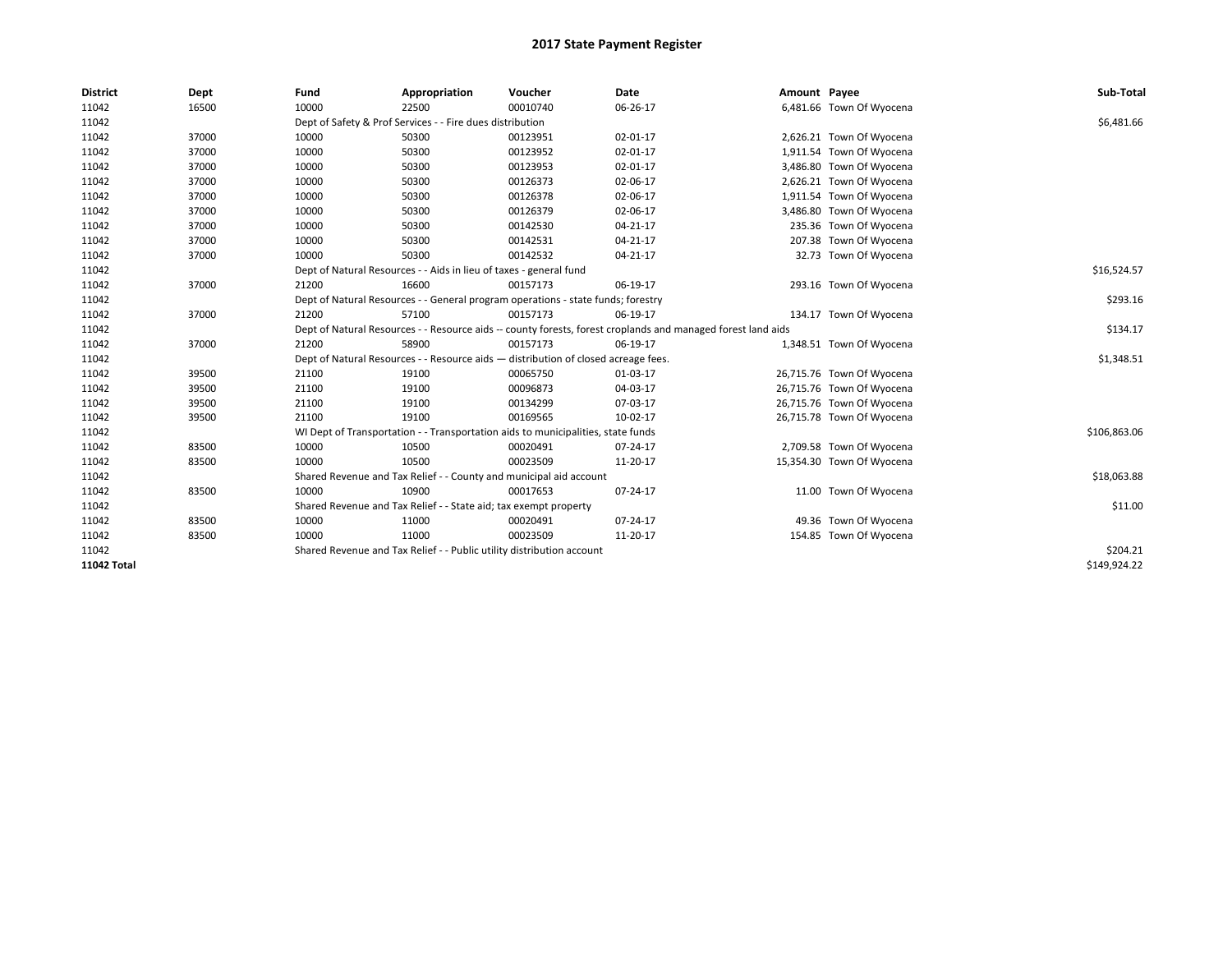| <b>District</b> | Dept  | Fund                                                                                                         | Appropriation                                                                      | Voucher     | Date     | Amount Payee |                           | Sub-Total    |
|-----------------|-------|--------------------------------------------------------------------------------------------------------------|------------------------------------------------------------------------------------|-------------|----------|--------------|---------------------------|--------------|
| 11042           | 16500 | 10000                                                                                                        | 22500                                                                              | 00010740    | 06-26-17 |              | 6,481.66 Town Of Wyocena  |              |
| 11042           |       |                                                                                                              | Dept of Safety & Prof Services - - Fire dues distribution                          |             |          |              |                           | \$6,481.66   |
| 11042           | 37000 | 10000                                                                                                        | 50300                                                                              | 00123951    | 02-01-17 |              | 2,626.21 Town Of Wyocena  |              |
| 11042           | 37000 | 10000                                                                                                        | 50300                                                                              | 00123952    | 02-01-17 |              | 1,911.54 Town Of Wyocena  |              |
| 11042           | 37000 | 10000                                                                                                        | 50300                                                                              | 00123953    | 02-01-17 |              | 3,486.80 Town Of Wyocena  |              |
| 11042           | 37000 | 10000                                                                                                        | 50300                                                                              | 00126373    | 02-06-17 |              | 2,626.21 Town Of Wyocena  |              |
| 11042           | 37000 | 10000                                                                                                        | 50300                                                                              | 00126378    | 02-06-17 |              | 1,911.54 Town Of Wyocena  |              |
| 11042           | 37000 | 10000                                                                                                        | 50300                                                                              | 00126379    | 02-06-17 |              | 3,486.80 Town Of Wyocena  |              |
| 11042           | 37000 | 10000                                                                                                        | 50300                                                                              | 00142530    | 04-21-17 |              | 235.36 Town Of Wyocena    |              |
| 11042           | 37000 | 10000                                                                                                        | 50300                                                                              | 00142531    | 04-21-17 |              | 207.38 Town Of Wyocena    |              |
| 11042           | 37000 | 10000                                                                                                        | 50300                                                                              | 00142532    | 04-21-17 |              | 32.73 Town Of Wyocena     |              |
| 11042           |       | Dept of Natural Resources - - Aids in lieu of taxes - general fund                                           |                                                                                    | \$16,524.57 |          |              |                           |              |
| 11042           | 37000 | 21200                                                                                                        | 16600                                                                              | 00157173    | 06-19-17 |              | 293.16 Town Of Wyocena    |              |
| 11042           |       | Dept of Natural Resources - - General program operations - state funds; forestry                             |                                                                                    | \$293.16    |          |              |                           |              |
| 11042           | 37000 | 21200                                                                                                        | 57100                                                                              | 00157173    | 06-19-17 |              | 134.17 Town Of Wyocena    |              |
| 11042           |       | Dept of Natural Resources - - Resource aids -- county forests, forest croplands and managed forest land aids |                                                                                    | \$134.17    |          |              |                           |              |
| 11042           | 37000 | 21200                                                                                                        | 58900                                                                              | 00157173    | 06-19-17 |              | 1,348.51 Town Of Wyocena  |              |
| 11042           |       |                                                                                                              | Dept of Natural Resources - - Resource aids - distribution of closed acreage fees. |             |          |              |                           | \$1,348.51   |
| 11042           | 39500 | 21100                                                                                                        | 19100                                                                              | 00065750    | 01-03-17 |              | 26,715.76 Town Of Wyocena |              |
| 11042           | 39500 | 21100                                                                                                        | 19100                                                                              | 00096873    | 04-03-17 |              | 26,715.76 Town Of Wyocena |              |
| 11042           | 39500 | 21100                                                                                                        | 19100                                                                              | 00134299    | 07-03-17 |              | 26,715.76 Town Of Wyocena |              |
| 11042           | 39500 | 21100                                                                                                        | 19100                                                                              | 00169565    | 10-02-17 |              | 26,715.78 Town Of Wyocena |              |
| 11042           |       |                                                                                                              | WI Dept of Transportation - - Transportation aids to municipalities, state funds   |             |          |              |                           | \$106,863.06 |
| 11042           | 83500 | 10000                                                                                                        | 10500                                                                              | 00020491    | 07-24-17 |              | 2,709.58 Town Of Wyocena  |              |
| 11042           | 83500 | 10000                                                                                                        | 10500                                                                              | 00023509    | 11-20-17 |              | 15,354.30 Town Of Wyocena |              |
| 11042           |       |                                                                                                              | Shared Revenue and Tax Relief - - County and municipal aid account                 |             |          |              |                           | \$18,063.88  |
| 11042           | 83500 | 10000                                                                                                        | 10900                                                                              | 00017653    | 07-24-17 |              | 11.00 Town Of Wyocena     |              |
| 11042           |       |                                                                                                              | Shared Revenue and Tax Relief - - State aid; tax exempt property                   |             |          |              |                           | \$11.00      |
| 11042           | 83500 | 10000                                                                                                        | 11000                                                                              | 00020491    | 07-24-17 |              | 49.36 Town Of Wyocena     |              |
| 11042           | 83500 | 10000                                                                                                        | 11000                                                                              | 00023509    | 11-20-17 |              | 154.85 Town Of Wyocena    |              |
| 11042           |       |                                                                                                              | Shared Revenue and Tax Relief - - Public utility distribution account              |             |          |              |                           | \$204.21     |
| 11042 Total     |       |                                                                                                              |                                                                                    |             |          |              |                           | \$149,924.22 |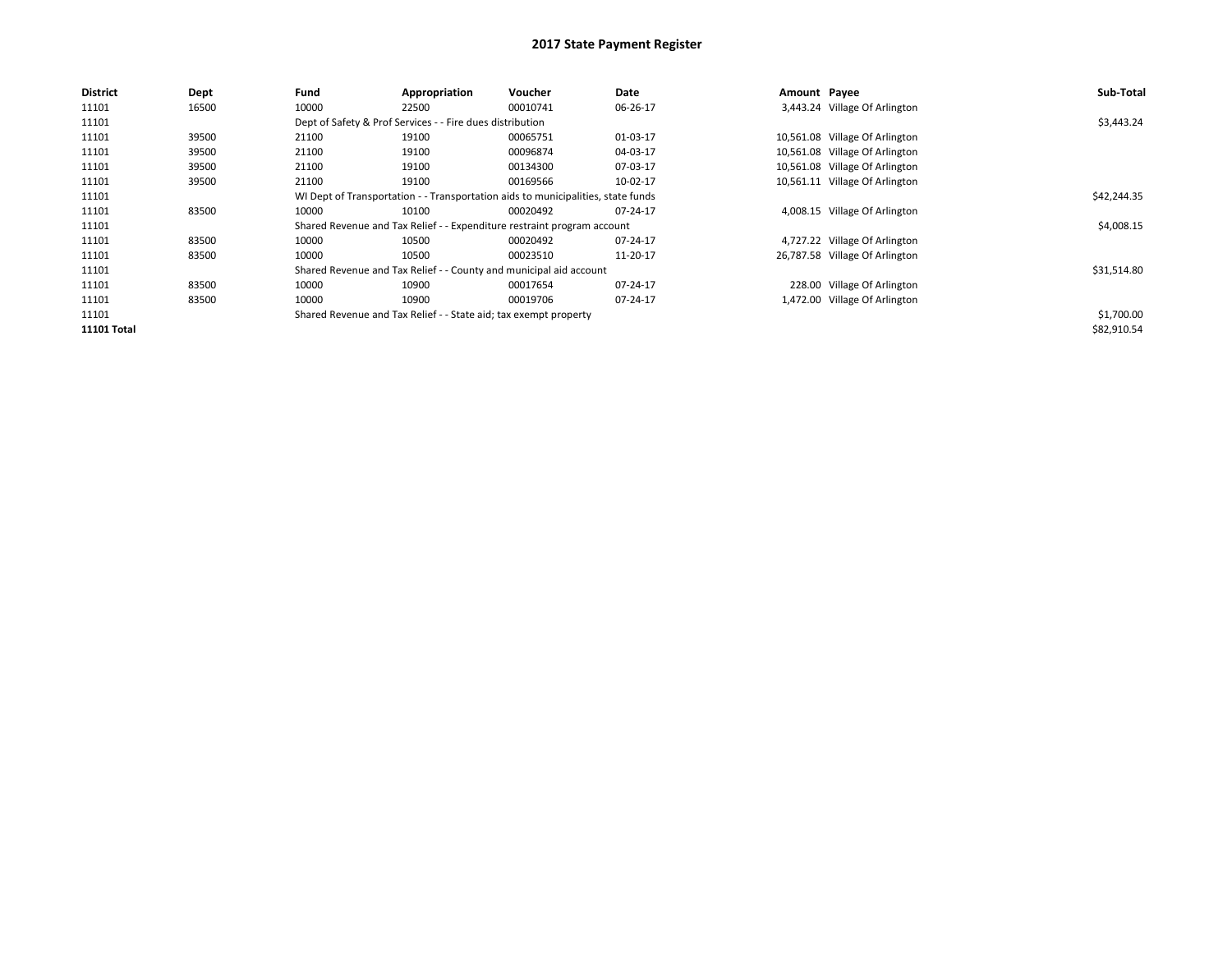| <b>District</b> | Dept  | Fund  | Appropriation                                                                    | Voucher                                                                 | Date     | Amount Payee |                                | Sub-Total   |  |  |
|-----------------|-------|-------|----------------------------------------------------------------------------------|-------------------------------------------------------------------------|----------|--------------|--------------------------------|-------------|--|--|
| 11101           | 16500 | 10000 | 22500                                                                            | 00010741                                                                | 06-26-17 |              | 3,443.24 Village Of Arlington  |             |  |  |
| 11101           |       |       | Dept of Safety & Prof Services - - Fire dues distribution                        |                                                                         |          |              |                                | \$3,443.24  |  |  |
| 11101           | 39500 | 21100 | 19100                                                                            | 00065751                                                                | 01-03-17 |              | 10,561.08 Village Of Arlington |             |  |  |
| 11101           | 39500 | 21100 | 19100                                                                            | 00096874                                                                | 04-03-17 |              | 10,561.08 Village Of Arlington |             |  |  |
| 11101           | 39500 | 21100 | 19100                                                                            | 00134300                                                                | 07-03-17 |              | 10,561.08 Village Of Arlington |             |  |  |
| 11101           | 39500 | 21100 | 19100                                                                            | 00169566                                                                | 10-02-17 |              | 10,561.11 Village Of Arlington |             |  |  |
| 11101           |       |       | WI Dept of Transportation - - Transportation aids to municipalities, state funds |                                                                         |          |              |                                |             |  |  |
| 11101           | 83500 | 10000 | 10100                                                                            | 00020492                                                                | 07-24-17 |              | 4,008.15 Village Of Arlington  |             |  |  |
| 11101           |       |       |                                                                                  | Shared Revenue and Tax Relief - - Expenditure restraint program account |          |              |                                | \$4,008.15  |  |  |
| 11101           | 83500 | 10000 | 10500                                                                            | 00020492                                                                | 07-24-17 |              | 4,727.22 Village Of Arlington  |             |  |  |
| 11101           | 83500 | 10000 | 10500                                                                            | 00023510                                                                | 11-20-17 |              | 26,787.58 Village Of Arlington |             |  |  |
| 11101           |       |       |                                                                                  | Shared Revenue and Tax Relief - - County and municipal aid account      |          |              |                                | \$31,514.80 |  |  |
| 11101           | 83500 | 10000 | 10900                                                                            | 00017654                                                                | 07-24-17 |              | 228.00 Village Of Arlington    |             |  |  |
| 11101           | 83500 | 10000 | 10900                                                                            | 00019706                                                                | 07-24-17 |              | 1,472.00 Village Of Arlington  |             |  |  |
| 11101           |       |       | Shared Revenue and Tax Relief - - State aid; tax exempt property                 |                                                                         |          |              |                                | \$1,700.00  |  |  |
| 11101 Total     |       |       |                                                                                  |                                                                         |          |              |                                | \$82,910.54 |  |  |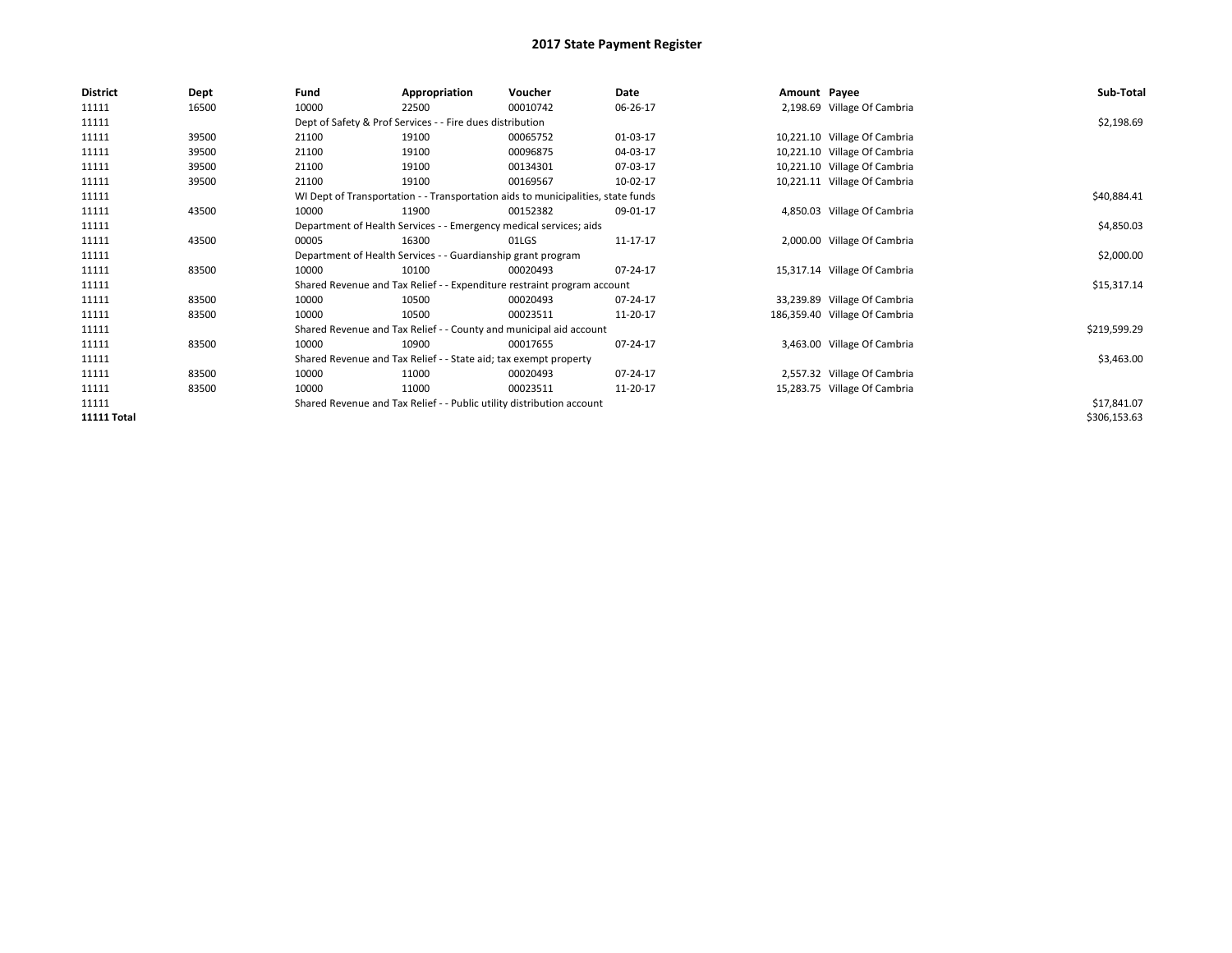| <b>District</b>    | Dept  | Fund                                                                             | Appropriation                                                           | Voucher     | Date     | Amount Payee |                               | Sub-Total    |
|--------------------|-------|----------------------------------------------------------------------------------|-------------------------------------------------------------------------|-------------|----------|--------------|-------------------------------|--------------|
| 11111              | 16500 | 10000                                                                            | 22500                                                                   | 00010742    | 06-26-17 |              | 2,198.69 Village Of Cambria   |              |
| 11111              |       |                                                                                  | Dept of Safety & Prof Services - - Fire dues distribution               |             |          |              |                               | \$2,198.69   |
| 11111              | 39500 | 21100                                                                            | 19100                                                                   | 00065752    | 01-03-17 |              | 10,221.10 Village Of Cambria  |              |
| 11111              | 39500 | 21100                                                                            | 19100                                                                   | 00096875    | 04-03-17 |              | 10,221.10 Village Of Cambria  |              |
| 11111              | 39500 | 21100                                                                            | 19100                                                                   | 00134301    | 07-03-17 |              | 10,221.10 Village Of Cambria  |              |
| 11111              | 39500 | 21100                                                                            | 19100                                                                   | 00169567    | 10-02-17 |              | 10,221.11 Village Of Cambria  |              |
| 11111              |       | WI Dept of Transportation - - Transportation aids to municipalities, state funds |                                                                         | \$40,884.41 |          |              |                               |              |
| 11111              | 43500 | 10000                                                                            | 11900                                                                   | 00152382    | 09-01-17 |              | 4,850.03 Village Of Cambria   |              |
| 11111              |       |                                                                                  | Department of Health Services - - Emergency medical services; aids      |             |          |              |                               | \$4,850.03   |
| 11111              | 43500 | 00005                                                                            | 16300                                                                   | 01LGS       | 11-17-17 |              | 2,000.00 Village Of Cambria   |              |
| 11111              |       | Department of Health Services - - Guardianship grant program                     |                                                                         | \$2,000.00  |          |              |                               |              |
| 11111              | 83500 | 10000                                                                            | 10100                                                                   | 00020493    | 07-24-17 |              | 15,317.14 Village Of Cambria  |              |
| 11111              |       |                                                                                  | Shared Revenue and Tax Relief - - Expenditure restraint program account |             |          |              |                               | \$15,317.14  |
| 11111              | 83500 | 10000                                                                            | 10500                                                                   | 00020493    | 07-24-17 |              | 33,239.89 Village Of Cambria  |              |
| 11111              | 83500 | 10000                                                                            | 10500                                                                   | 00023511    | 11-20-17 |              | 186,359.40 Village Of Cambria |              |
| 11111              |       |                                                                                  | Shared Revenue and Tax Relief - - County and municipal aid account      |             |          |              |                               | \$219,599.29 |
| 11111              | 83500 | 10000                                                                            | 10900                                                                   | 00017655    | 07-24-17 |              | 3,463.00 Village Of Cambria   |              |
| 11111              |       |                                                                                  | Shared Revenue and Tax Relief - - State aid; tax exempt property        |             |          |              |                               | \$3,463.00   |
| 11111              | 83500 | 10000                                                                            | 11000                                                                   | 00020493    | 07-24-17 |              | 2,557.32 Village Of Cambria   |              |
| 11111              | 83500 | 10000                                                                            | 11000                                                                   | 00023511    | 11-20-17 |              | 15,283.75 Village Of Cambria  |              |
| 11111              |       |                                                                                  | Shared Revenue and Tax Relief - - Public utility distribution account   |             |          |              |                               | \$17,841.07  |
| <b>11111 Total</b> |       |                                                                                  |                                                                         |             |          |              |                               | \$306,153.63 |
|                    |       |                                                                                  |                                                                         |             |          |              |                               |              |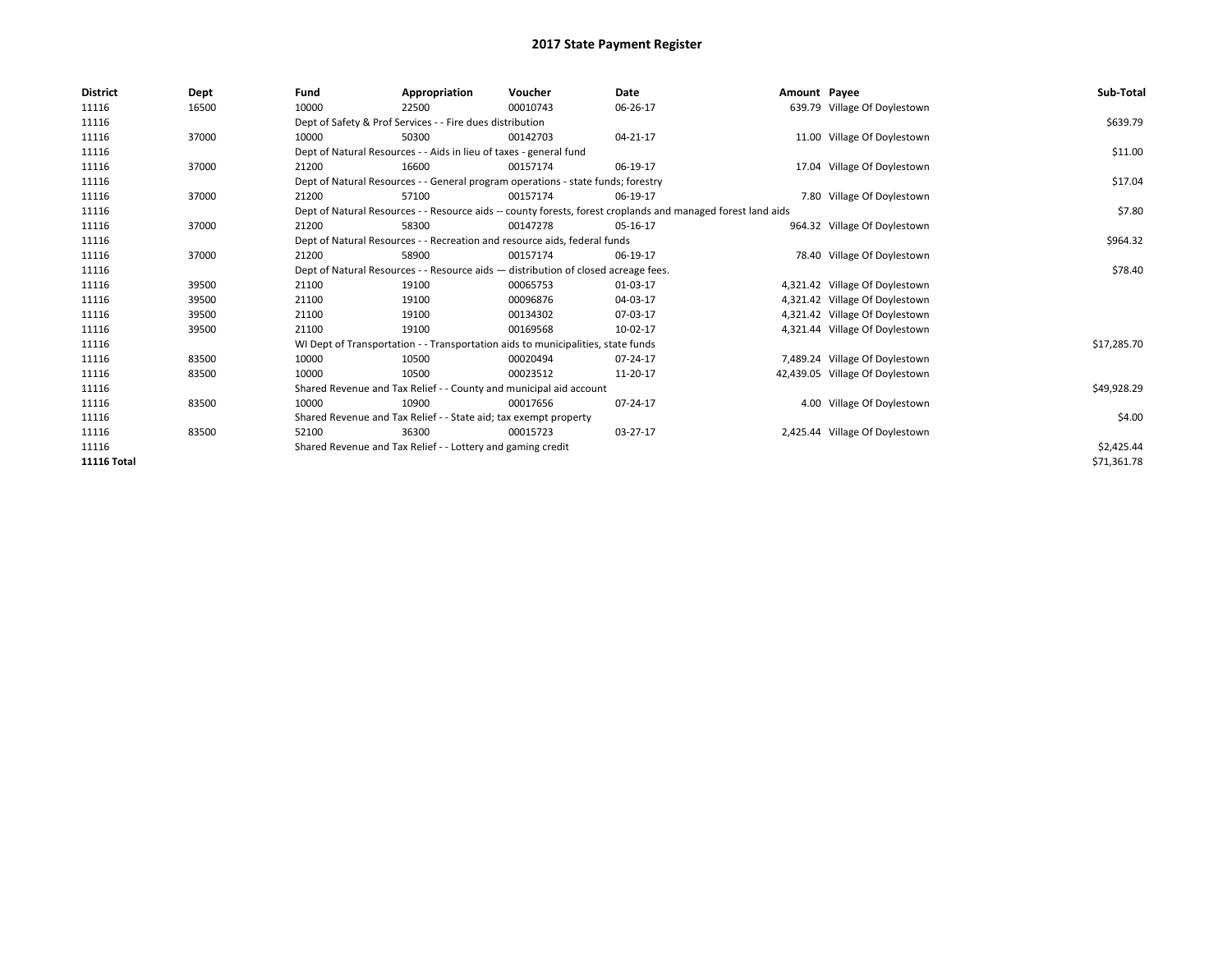| <b>District</b>    | Dept  | Fund  | Appropriation                                                                                                | Voucher  | Date     | Amount Payee |                                 | Sub-Total   |  |  |
|--------------------|-------|-------|--------------------------------------------------------------------------------------------------------------|----------|----------|--------------|---------------------------------|-------------|--|--|
| 11116              | 16500 | 10000 | 22500                                                                                                        | 00010743 | 06-26-17 |              | 639.79 Village Of Doylestown    |             |  |  |
| 11116              |       |       | Dept of Safety & Prof Services - - Fire dues distribution                                                    |          |          |              |                                 | \$639.79    |  |  |
| 11116              | 37000 | 10000 | 50300                                                                                                        | 00142703 | 04-21-17 |              | 11.00 Village Of Doylestown     |             |  |  |
| 11116              |       |       | Dept of Natural Resources - - Aids in lieu of taxes - general fund                                           |          |          |              |                                 | \$11.00     |  |  |
| 11116              | 37000 | 21200 | 16600                                                                                                        | 00157174 | 06-19-17 |              | 17.04 Village Of Doylestown     |             |  |  |
| 11116              |       |       | Dept of Natural Resources - - General program operations - state funds; forestry                             |          |          |              |                                 | \$17.04     |  |  |
| 11116              | 37000 | 21200 | 57100                                                                                                        | 00157174 | 06-19-17 |              | 7.80 Village Of Doylestown      |             |  |  |
| 11116              |       |       | Dept of Natural Resources - - Resource aids -- county forests, forest croplands and managed forest land aids |          | \$7.80   |              |                                 |             |  |  |
| 11116              | 37000 | 21200 | 58300                                                                                                        | 00147278 | 05-16-17 |              | 964.32 Village Of Doylestown    |             |  |  |
| 11116              |       |       | Dept of Natural Resources - - Recreation and resource aids, federal funds                                    |          |          |              |                                 |             |  |  |
| 11116              | 37000 | 21200 | 58900                                                                                                        | 00157174 | 06-19-17 |              | 78.40 Village Of Doylestown     |             |  |  |
| 11116              |       |       | Dept of Natural Resources - - Resource aids - distribution of closed acreage fees.                           |          |          |              |                                 |             |  |  |
| 11116              | 39500 | 21100 | 19100                                                                                                        | 00065753 | 01-03-17 |              | 4,321.42 Village Of Doylestown  |             |  |  |
| 11116              | 39500 | 21100 | 19100                                                                                                        | 00096876 | 04-03-17 |              | 4,321.42 Village Of Doylestown  |             |  |  |
| 11116              | 39500 | 21100 | 19100                                                                                                        | 00134302 | 07-03-17 |              | 4,321.42 Village Of Doylestown  |             |  |  |
| 11116              | 39500 | 21100 | 19100                                                                                                        | 00169568 | 10-02-17 |              | 4,321.44 Village Of Doylestown  |             |  |  |
| 11116              |       |       | WI Dept of Transportation - - Transportation aids to municipalities, state funds                             |          |          |              |                                 | \$17,285.70 |  |  |
| 11116              | 83500 | 10000 | 10500                                                                                                        | 00020494 | 07-24-17 |              | 7,489.24 Village Of Doylestown  |             |  |  |
| 11116              | 83500 | 10000 | 10500                                                                                                        | 00023512 | 11-20-17 |              | 42,439.05 Village Of Doylestown |             |  |  |
| 11116              |       |       | Shared Revenue and Tax Relief - - County and municipal aid account                                           |          |          |              |                                 | \$49,928.29 |  |  |
| 11116              | 83500 | 10000 | 10900                                                                                                        | 00017656 | 07-24-17 |              | 4.00 Village Of Doylestown      |             |  |  |
| 11116              |       |       | Shared Revenue and Tax Relief - - State aid; tax exempt property                                             |          |          |              |                                 |             |  |  |
| 11116              | 83500 | 52100 | 36300                                                                                                        | 00015723 | 03-27-17 |              | 2,425.44 Village Of Doylestown  |             |  |  |
| 11116              |       |       | Shared Revenue and Tax Relief - - Lottery and gaming credit                                                  |          |          |              |                                 | \$2,425.44  |  |  |
| <b>11116 Total</b> |       |       |                                                                                                              |          |          |              |                                 | \$71,361.78 |  |  |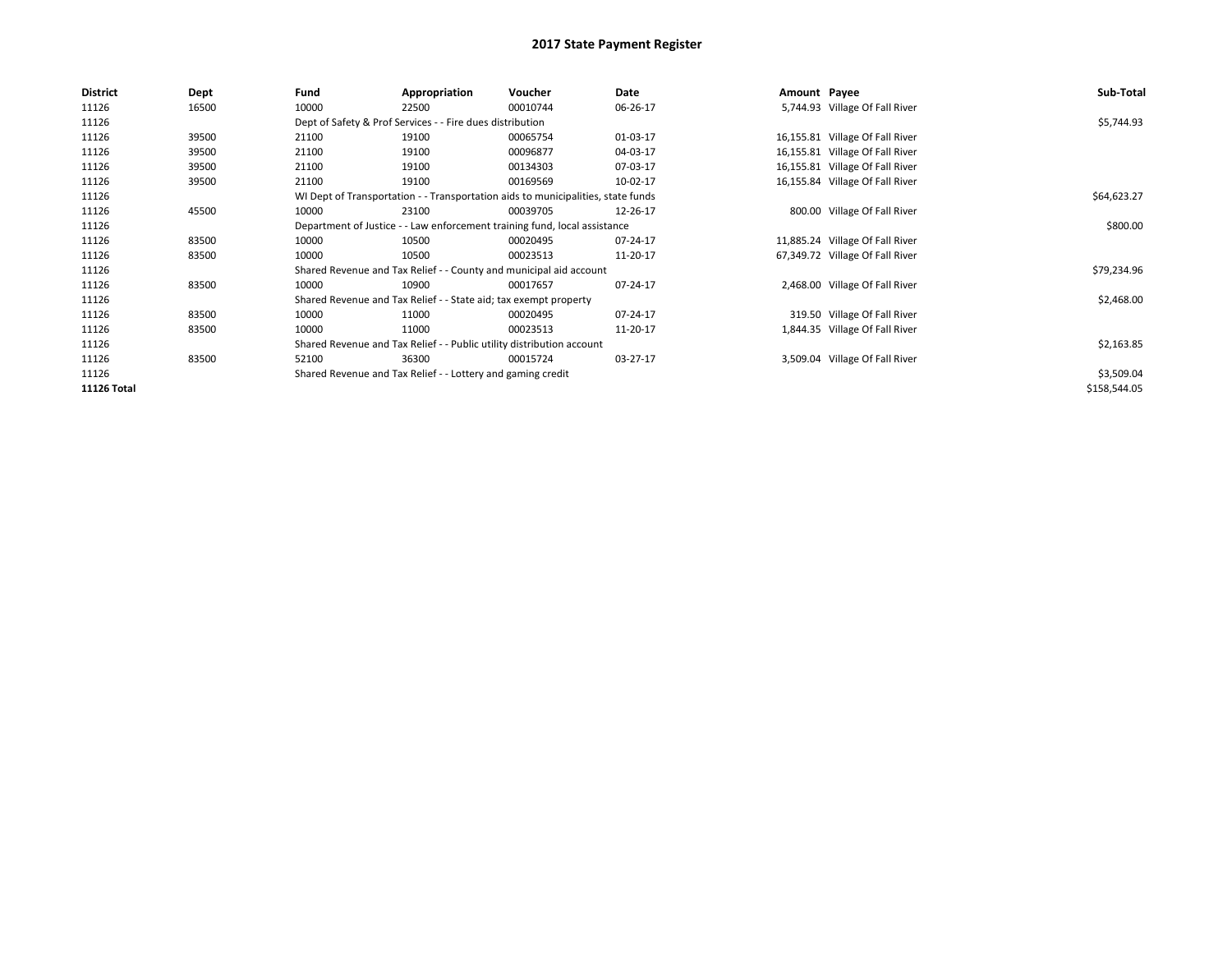| <b>District</b> | Dept  | Fund  | Appropriation                                                                    | Voucher                                                               | Date        | Amount Payee |                                 | Sub-Total    |  |  |
|-----------------|-------|-------|----------------------------------------------------------------------------------|-----------------------------------------------------------------------|-------------|--------------|---------------------------------|--------------|--|--|
| 11126           | 16500 | 10000 | 22500                                                                            | 00010744                                                              | 06-26-17    |              | 5,744.93 Village Of Fall River  |              |  |  |
| 11126           |       |       | Dept of Safety & Prof Services - - Fire dues distribution                        |                                                                       |             |              |                                 | \$5,744.93   |  |  |
| 11126           | 39500 | 21100 | 19100                                                                            | 00065754                                                              | 01-03-17    |              | 16,155.81 Village Of Fall River |              |  |  |
| 11126           | 39500 | 21100 | 19100                                                                            | 00096877                                                              | 04-03-17    |              | 16,155.81 Village Of Fall River |              |  |  |
| 11126           | 39500 | 21100 | 19100                                                                            | 00134303                                                              | 07-03-17    |              | 16,155.81 Village Of Fall River |              |  |  |
| 11126           | 39500 | 21100 | 19100                                                                            | 00169569                                                              | 10-02-17    |              | 16,155.84 Village Of Fall River |              |  |  |
| 11126           |       |       | WI Dept of Transportation - - Transportation aids to municipalities, state funds |                                                                       | \$64,623.27 |              |                                 |              |  |  |
| 11126           | 45500 | 10000 | 23100                                                                            | 00039705                                                              | 12-26-17    |              | 800.00 Village Of Fall River    |              |  |  |
| 11126           |       |       | Department of Justice - - Law enforcement training fund, local assistance        |                                                                       |             |              |                                 |              |  |  |
| 11126           | 83500 | 10000 | 10500                                                                            | 00020495                                                              | 07-24-17    |              | 11,885.24 Village Of Fall River |              |  |  |
| 11126           | 83500 | 10000 | 10500                                                                            | 00023513                                                              | 11-20-17    |              | 67,349.72 Village Of Fall River |              |  |  |
| 11126           |       |       |                                                                                  | Shared Revenue and Tax Relief - - County and municipal aid account    |             |              |                                 | \$79,234.96  |  |  |
| 11126           | 83500 | 10000 | 10900                                                                            | 00017657                                                              | 07-24-17    |              | 2,468.00 Village Of Fall River  |              |  |  |
| 11126           |       |       | Shared Revenue and Tax Relief - - State aid; tax exempt property                 |                                                                       |             |              |                                 | \$2,468.00   |  |  |
| 11126           | 83500 | 10000 | 11000                                                                            | 00020495                                                              | 07-24-17    |              | 319.50 Village Of Fall River    |              |  |  |
| 11126           | 83500 | 10000 | 11000                                                                            | 00023513                                                              | 11-20-17    |              | 1,844.35 Village Of Fall River  |              |  |  |
| 11126           |       |       |                                                                                  | Shared Revenue and Tax Relief - - Public utility distribution account |             |              |                                 | \$2,163.85   |  |  |
| 11126           | 83500 | 52100 | 36300                                                                            | 00015724                                                              | 03-27-17    |              | 3,509.04 Village Of Fall River  |              |  |  |
| 11126           |       |       | Shared Revenue and Tax Relief - - Lottery and gaming credit                      |                                                                       |             |              |                                 | \$3,509.04   |  |  |
| 11126 Total     |       |       |                                                                                  |                                                                       |             |              |                                 | \$158,544.05 |  |  |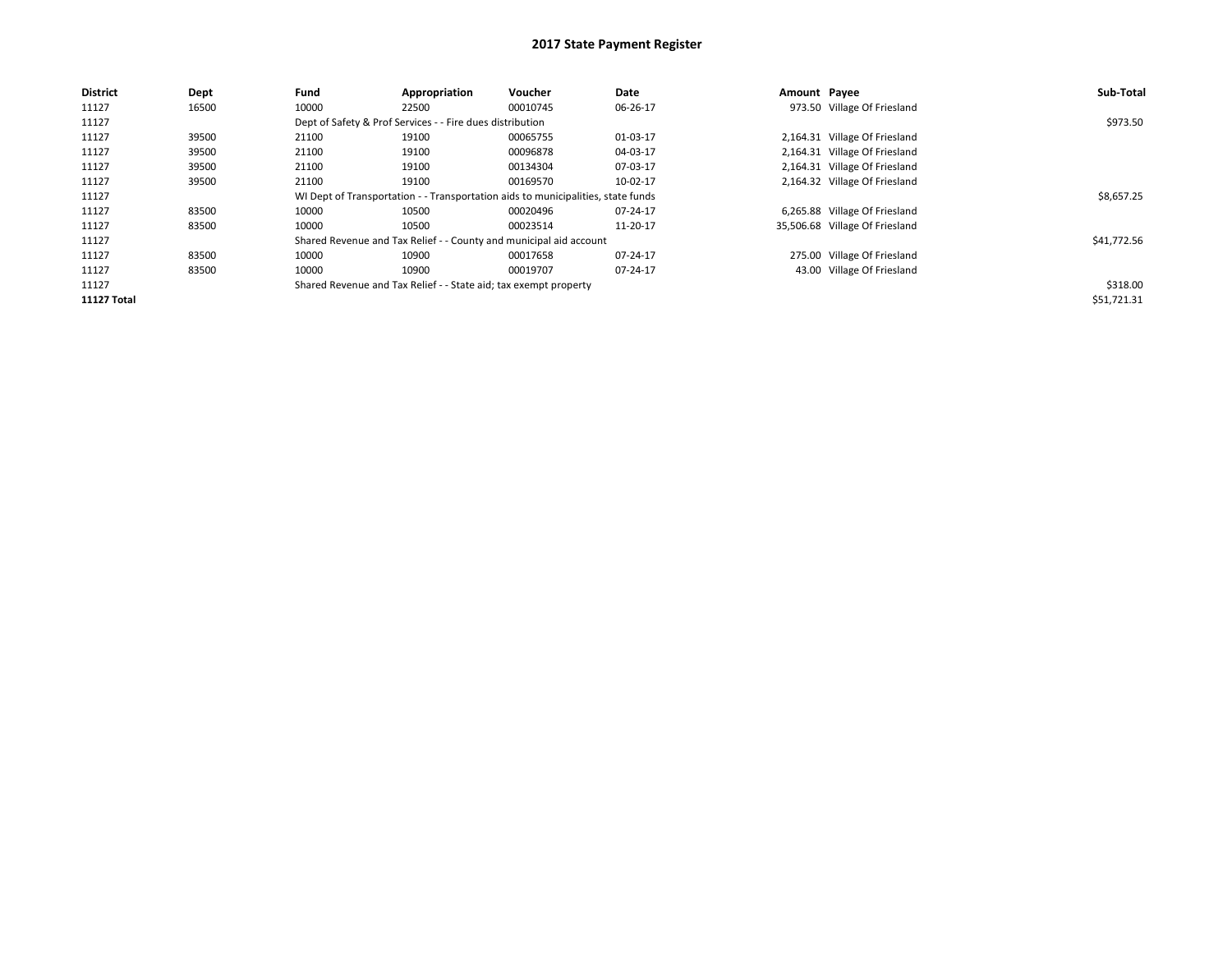| <b>District</b>    | Dept  | Fund  | Appropriation                                                                    | Voucher  | Date     | Amount Payee |                                | Sub-Total   |  |
|--------------------|-------|-------|----------------------------------------------------------------------------------|----------|----------|--------------|--------------------------------|-------------|--|
| 11127              | 16500 | 10000 | 22500                                                                            | 00010745 | 06-26-17 |              | 973.50 Village Of Friesland    |             |  |
| 11127              |       |       | Dept of Safety & Prof Services - - Fire dues distribution                        |          |          |              |                                | \$973.50    |  |
| 11127              | 39500 | 21100 | 19100                                                                            | 00065755 | 01-03-17 |              | 2,164.31 Village Of Friesland  |             |  |
| 11127              | 39500 | 21100 | 19100                                                                            | 00096878 | 04-03-17 |              | 2,164.31 Village Of Friesland  |             |  |
| 11127              | 39500 | 21100 | 19100                                                                            | 00134304 | 07-03-17 |              | 2,164.31 Village Of Friesland  |             |  |
| 11127              | 39500 | 21100 | 19100                                                                            | 00169570 | 10-02-17 |              | 2,164.32 Village Of Friesland  |             |  |
| 11127              |       |       | WI Dept of Transportation - - Transportation aids to municipalities, state funds |          |          |              |                                |             |  |
| 11127              | 83500 | 10000 | 10500                                                                            | 00020496 | 07-24-17 |              | 6,265.88 Village Of Friesland  |             |  |
| 11127              | 83500 | 10000 | 10500                                                                            | 00023514 | 11-20-17 |              | 35,506.68 Village Of Friesland |             |  |
| 11127              |       |       | Shared Revenue and Tax Relief - - County and municipal aid account               |          |          |              |                                | \$41,772.56 |  |
| 11127              | 83500 | 10000 | 10900                                                                            | 00017658 | 07-24-17 |              | 275.00 Village Of Friesland    |             |  |
| 11127              | 83500 | 10000 | 10900                                                                            | 00019707 | 07-24-17 |              | 43.00 Village Of Friesland     |             |  |
| 11127              |       |       | Shared Revenue and Tax Relief - - State aid; tax exempt property                 |          |          |              |                                | \$318.00    |  |
| <b>11127 Total</b> |       |       |                                                                                  |          |          |              |                                | \$51,721.31 |  |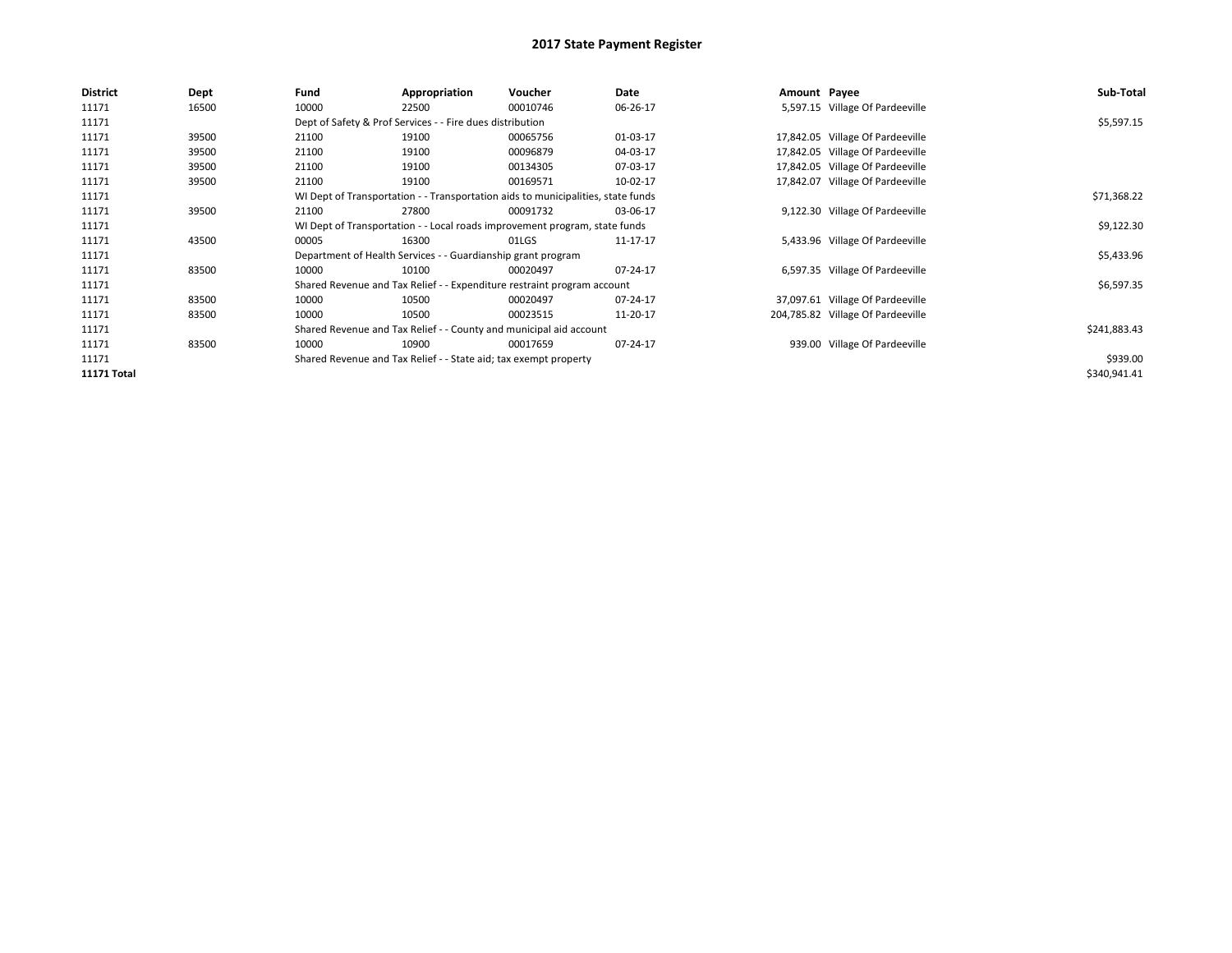| District    | Dept  | Fund  | Appropriation                                                                    | Voucher  | Date     | Amount Payee |                                   | Sub-Total    |  |  |  |
|-------------|-------|-------|----------------------------------------------------------------------------------|----------|----------|--------------|-----------------------------------|--------------|--|--|--|
| 11171       | 16500 | 10000 | 22500                                                                            | 00010746 | 06-26-17 |              | 5,597.15 Village Of Pardeeville   |              |  |  |  |
| 11171       |       |       | Dept of Safety & Prof Services - - Fire dues distribution                        |          |          |              |                                   | \$5,597.15   |  |  |  |
| 11171       | 39500 | 21100 | 19100                                                                            | 00065756 | 01-03-17 |              | 17,842.05 Village Of Pardeeville  |              |  |  |  |
| 11171       | 39500 | 21100 | 19100                                                                            | 00096879 | 04-03-17 |              | 17,842.05 Village Of Pardeeville  |              |  |  |  |
| 11171       | 39500 | 21100 | 19100                                                                            | 00134305 | 07-03-17 |              | 17,842.05 Village Of Pardeeville  |              |  |  |  |
| 11171       | 39500 | 21100 | 19100                                                                            | 00169571 | 10-02-17 |              | 17,842.07 Village Of Pardeeville  |              |  |  |  |
| 11171       |       |       | WI Dept of Transportation - - Transportation aids to municipalities, state funds |          |          |              |                                   |              |  |  |  |
| 11171       | 39500 | 21100 | 27800                                                                            | 00091732 | 03-06-17 |              | 9,122.30 Village Of Pardeeville   |              |  |  |  |
| 11171       |       |       | WI Dept of Transportation - - Local roads improvement program, state funds       |          |          |              |                                   |              |  |  |  |
| 11171       | 43500 | 00005 | 16300                                                                            | 01LGS    | 11-17-17 |              | 5,433.96 Village Of Pardeeville   |              |  |  |  |
| 11171       |       |       | Department of Health Services - - Guardianship grant program                     |          |          |              |                                   | \$5,433.96   |  |  |  |
| 11171       | 83500 | 10000 | 10100                                                                            | 00020497 | 07-24-17 |              | 6,597.35 Village Of Pardeeville   |              |  |  |  |
| 11171       |       |       | Shared Revenue and Tax Relief - - Expenditure restraint program account          |          |          |              |                                   | \$6,597.35   |  |  |  |
| 11171       | 83500 | 10000 | 10500                                                                            | 00020497 | 07-24-17 |              | 37,097.61 Village Of Pardeeville  |              |  |  |  |
| 11171       | 83500 | 10000 | 10500                                                                            | 00023515 | 11-20-17 |              | 204,785.82 Village Of Pardeeville |              |  |  |  |
| 11171       |       |       | Shared Revenue and Tax Relief - - County and municipal aid account               |          |          |              |                                   | \$241,883.43 |  |  |  |
| 11171       | 83500 | 10000 | 10900                                                                            | 00017659 | 07-24-17 |              | 939.00 Village Of Pardeeville     |              |  |  |  |
| 11171       |       |       | Shared Revenue and Tax Relief - - State aid; tax exempt property                 |          |          |              |                                   | \$939.00     |  |  |  |
| 11171 Total |       |       |                                                                                  |          |          |              |                                   | \$340,941.41 |  |  |  |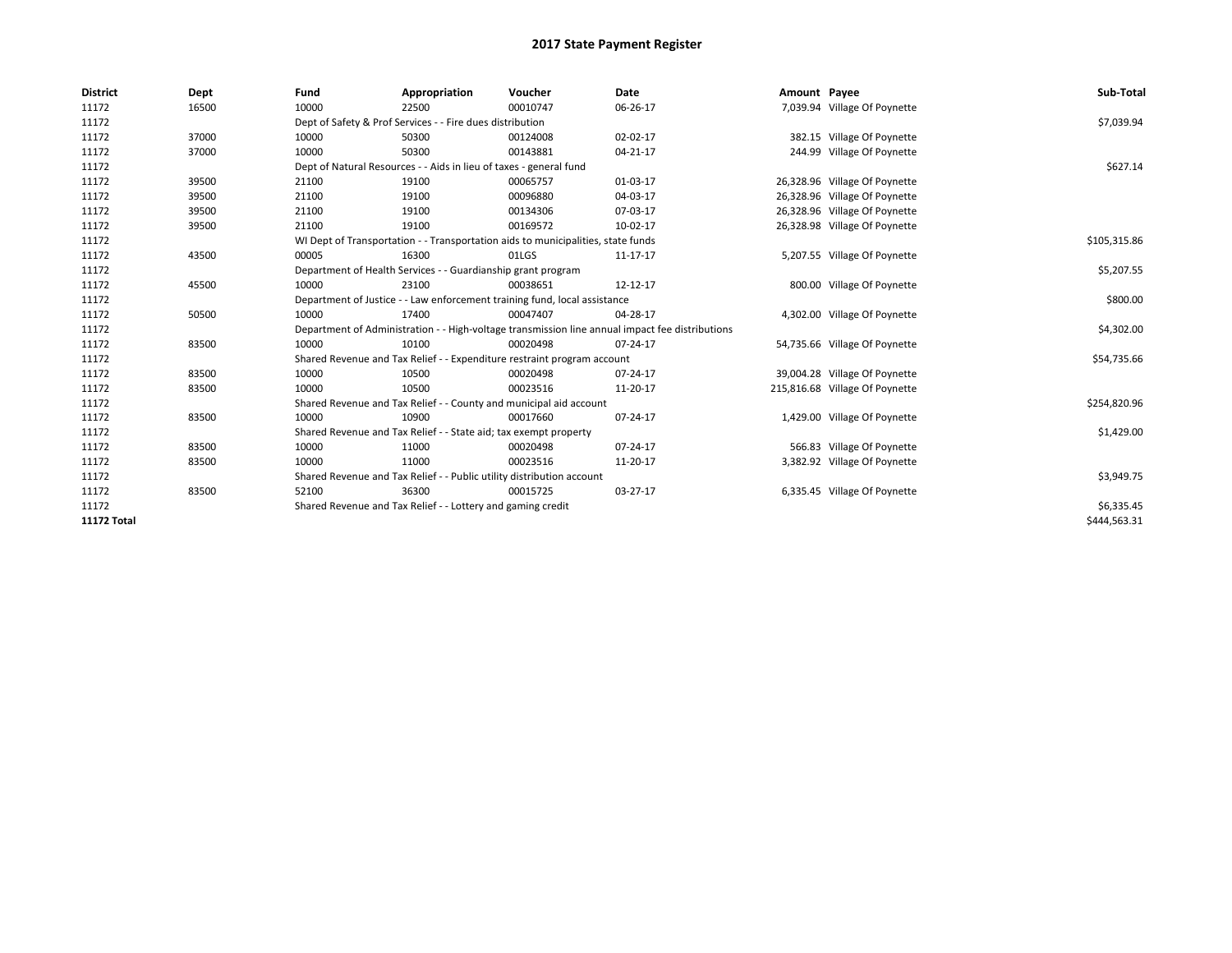| <b>District</b>    | Dept  | Fund                                                                             | Appropriation                                                             | Voucher      | <b>Date</b>                                                                                     | Amount Payee |                                | Sub-Total    |
|--------------------|-------|----------------------------------------------------------------------------------|---------------------------------------------------------------------------|--------------|-------------------------------------------------------------------------------------------------|--------------|--------------------------------|--------------|
| 11172              | 16500 | 10000                                                                            | 22500                                                                     | 00010747     | 06-26-17                                                                                        |              | 7,039.94 Village Of Poynette   |              |
| 11172              |       |                                                                                  | Dept of Safety & Prof Services - - Fire dues distribution                 |              |                                                                                                 |              |                                | \$7,039.94   |
| 11172              | 37000 | 10000                                                                            | 50300                                                                     | 00124008     | 02-02-17                                                                                        |              | 382.15 Village Of Poynette     |              |
| 11172              | 37000 | 10000                                                                            | 50300                                                                     | 00143881     | 04-21-17                                                                                        |              | 244.99 Village Of Poynette     |              |
| 11172              |       | Dept of Natural Resources - - Aids in lieu of taxes - general fund               |                                                                           | \$627.14     |                                                                                                 |              |                                |              |
| 11172              | 39500 | 21100                                                                            | 19100                                                                     | 00065757     | 01-03-17                                                                                        |              | 26,328.96 Village Of Poynette  |              |
| 11172              | 39500 | 21100                                                                            | 19100                                                                     | 00096880     | 04-03-17                                                                                        |              | 26,328.96 Village Of Poynette  |              |
| 11172              | 39500 | 21100                                                                            | 19100                                                                     | 00134306     | 07-03-17                                                                                        |              | 26,328.96 Village Of Poynette  |              |
| 11172              | 39500 | 21100                                                                            | 19100                                                                     | 00169572     | 10-02-17                                                                                        |              | 26,328.98 Village Of Poynette  |              |
| 11172              |       | WI Dept of Transportation - - Transportation aids to municipalities, state funds |                                                                           | \$105,315.86 |                                                                                                 |              |                                |              |
| 11172              | 43500 | 00005                                                                            | 16300                                                                     | 01LGS        | 11-17-17                                                                                        |              | 5,207.55 Village Of Poynette   |              |
| 11172              |       |                                                                                  | Department of Health Services - - Guardianship grant program              |              |                                                                                                 |              |                                | \$5,207.55   |
| 11172              | 45500 | 10000                                                                            | 23100                                                                     | 00038651     | 12-12-17                                                                                        |              | 800.00 Village Of Poynette     |              |
| 11172              |       |                                                                                  | Department of Justice - - Law enforcement training fund, local assistance |              |                                                                                                 |              |                                | \$800.00     |
| 11172              | 50500 | 10000                                                                            | 17400                                                                     | 00047407     | 04-28-17                                                                                        |              | 4,302.00 Village Of Poynette   |              |
| 11172              |       |                                                                                  |                                                                           |              | Department of Administration - - High-voltage transmission line annual impact fee distributions |              |                                | \$4,302.00   |
| 11172              | 83500 | 10000                                                                            | 10100                                                                     | 00020498     | 07-24-17                                                                                        |              | 54,735.66 Village Of Poynette  |              |
| 11172              |       |                                                                                  | Shared Revenue and Tax Relief - - Expenditure restraint program account   |              |                                                                                                 |              |                                | \$54,735.66  |
| 11172              | 83500 | 10000                                                                            | 10500                                                                     | 00020498     | 07-24-17                                                                                        |              | 39,004.28 Village Of Poynette  |              |
| 11172              | 83500 | 10000                                                                            | 10500                                                                     | 00023516     | 11-20-17                                                                                        |              | 215,816.68 Village Of Poynette |              |
| 11172              |       |                                                                                  | Shared Revenue and Tax Relief - - County and municipal aid account        |              |                                                                                                 |              |                                | \$254,820.96 |
| 11172              | 83500 | 10000                                                                            | 10900                                                                     | 00017660     | 07-24-17                                                                                        |              | 1,429.00 Village Of Poynette   |              |
| 11172              |       |                                                                                  | Shared Revenue and Tax Relief - - State aid; tax exempt property          |              |                                                                                                 |              |                                | \$1,429.00   |
| 11172              | 83500 | 10000                                                                            | 11000                                                                     | 00020498     | 07-24-17                                                                                        |              | 566.83 Village Of Poynette     |              |
| 11172              | 83500 | 10000                                                                            | 11000                                                                     | 00023516     | 11-20-17                                                                                        |              | 3,382.92 Village Of Poynette   |              |
| 11172              |       |                                                                                  | Shared Revenue and Tax Relief - - Public utility distribution account     |              |                                                                                                 |              |                                | \$3,949.75   |
| 11172              | 83500 | 52100                                                                            | 36300                                                                     | 00015725     | 03-27-17                                                                                        |              | 6,335.45 Village Of Poynette   |              |
| 11172              |       | Shared Revenue and Tax Relief - - Lottery and gaming credit                      |                                                                           | \$6,335.45   |                                                                                                 |              |                                |              |
| <b>11172 Total</b> |       |                                                                                  |                                                                           |              |                                                                                                 |              |                                | \$444,563.31 |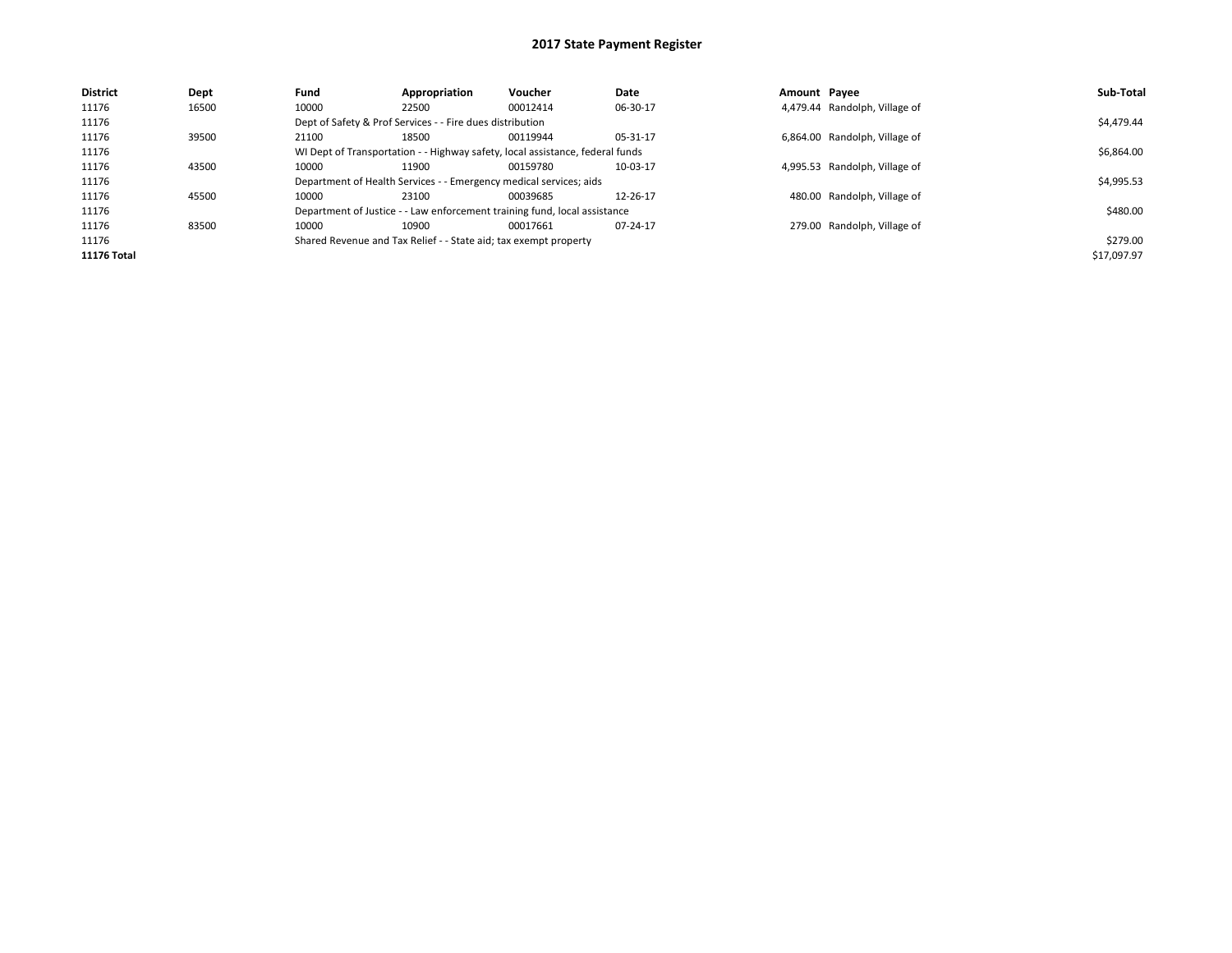| Dept  | Fund  | Appropriation | <b>Voucher</b> | Date                                                                                                                                                                                                |                                                                                                                                                            |  | Sub-Total                                                                                                                                                                     |  |  |
|-------|-------|---------------|----------------|-----------------------------------------------------------------------------------------------------------------------------------------------------------------------------------------------------|------------------------------------------------------------------------------------------------------------------------------------------------------------|--|-------------------------------------------------------------------------------------------------------------------------------------------------------------------------------|--|--|
| 16500 | 10000 | 22500         | 00012414       | 06-30-17                                                                                                                                                                                            |                                                                                                                                                            |  |                                                                                                                                                                               |  |  |
|       |       |               |                |                                                                                                                                                                                                     |                                                                                                                                                            |  | \$4,479.44                                                                                                                                                                    |  |  |
| 39500 | 21100 | 18500         | 00119944       | 05-31-17                                                                                                                                                                                            |                                                                                                                                                            |  |                                                                                                                                                                               |  |  |
|       |       |               |                |                                                                                                                                                                                                     |                                                                                                                                                            |  |                                                                                                                                                                               |  |  |
| 43500 | 10000 | 11900         | 00159780       | 10-03-17                                                                                                                                                                                            |                                                                                                                                                            |  |                                                                                                                                                                               |  |  |
|       |       |               |                |                                                                                                                                                                                                     |                                                                                                                                                            |  | \$4,995.53                                                                                                                                                                    |  |  |
| 45500 | 10000 | 23100         | 00039685       | 12-26-17                                                                                                                                                                                            |                                                                                                                                                            |  |                                                                                                                                                                               |  |  |
|       |       |               |                |                                                                                                                                                                                                     |                                                                                                                                                            |  | \$480.00                                                                                                                                                                      |  |  |
| 83500 | 10000 | 10900         | 00017661       | 07-24-17                                                                                                                                                                                            |                                                                                                                                                            |  |                                                                                                                                                                               |  |  |
|       |       |               |                |                                                                                                                                                                                                     |                                                                                                                                                            |  | \$279.00                                                                                                                                                                      |  |  |
|       |       |               |                |                                                                                                                                                                                                     |                                                                                                                                                            |  | \$17,097.97                                                                                                                                                                   |  |  |
|       |       |               |                | Dept of Safety & Prof Services - - Fire dues distribution<br>Department of Health Services - - Emergency medical services; aids<br>Shared Revenue and Tax Relief - - State aid; tax exempt property | WI Dept of Transportation - - Highway safety, local assistance, federal funds<br>Department of Justice - - Law enforcement training fund, local assistance |  | Amount Pavee<br>4,479.44 Randolph, Village of<br>6,864.00 Randolph, Village of<br>4,995.53 Randolph, Village of<br>480.00 Randolph, Village of<br>279.00 Randolph, Village of |  |  |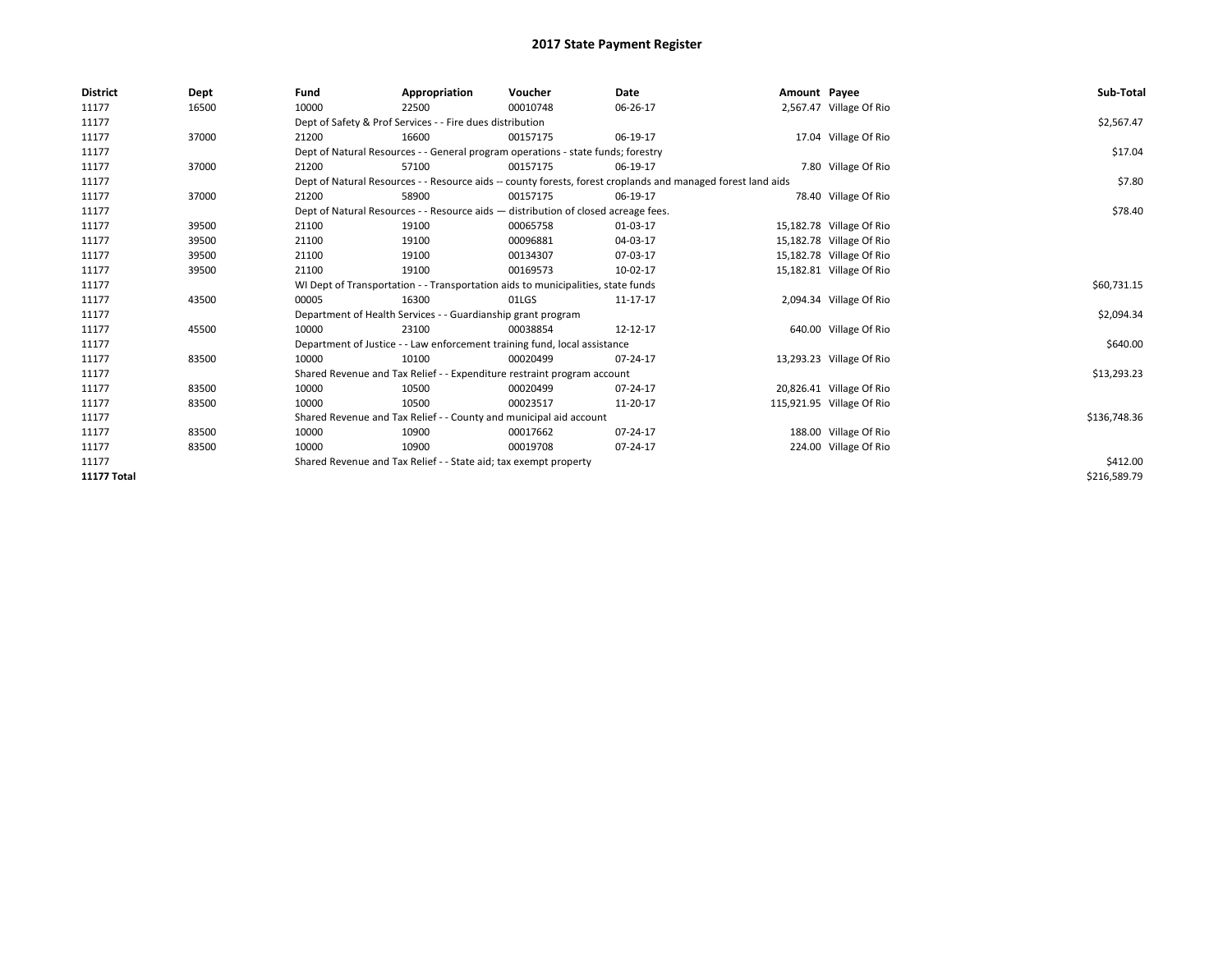| <b>District</b>    | Dept  | Fund                                                                             | Appropriation                                                                      | Voucher     | Date                                                                                                         | Amount Payee |                           | Sub-Total    |  |  |  |
|--------------------|-------|----------------------------------------------------------------------------------|------------------------------------------------------------------------------------|-------------|--------------------------------------------------------------------------------------------------------------|--------------|---------------------------|--------------|--|--|--|
| 11177              | 16500 | 10000                                                                            | 22500                                                                              | 00010748    | 06-26-17                                                                                                     |              | 2,567.47 Village Of Rio   |              |  |  |  |
| 11177              |       |                                                                                  | Dept of Safety & Prof Services - - Fire dues distribution                          |             |                                                                                                              |              |                           | \$2,567.47   |  |  |  |
| 11177              | 37000 | 21200                                                                            | 16600                                                                              | 00157175    | 06-19-17                                                                                                     |              | 17.04 Village Of Rio      |              |  |  |  |
| 11177              |       |                                                                                  | Dept of Natural Resources - - General program operations - state funds; forestry   |             |                                                                                                              |              |                           | \$17.04      |  |  |  |
| 11177              | 37000 | 21200                                                                            | 57100                                                                              | 00157175    | 06-19-17                                                                                                     |              | 7.80 Village Of Rio       |              |  |  |  |
| 11177              |       |                                                                                  |                                                                                    |             | Dept of Natural Resources - - Resource aids -- county forests, forest croplands and managed forest land aids |              |                           | \$7.80       |  |  |  |
| 11177              | 37000 | 21200                                                                            | 58900                                                                              | 00157175    | 06-19-17                                                                                                     |              | 78.40 Village Of Rio      |              |  |  |  |
| 11177              |       |                                                                                  | Dept of Natural Resources - - Resource aids - distribution of closed acreage fees. |             |                                                                                                              |              |                           |              |  |  |  |
| 11177              | 39500 | 21100                                                                            | 19100                                                                              | 00065758    | 01-03-17                                                                                                     |              | 15,182.78 Village Of Rio  |              |  |  |  |
| 11177              | 39500 | 21100                                                                            | 19100                                                                              | 00096881    | 04-03-17                                                                                                     |              | 15,182.78 Village Of Rio  |              |  |  |  |
| 11177              | 39500 | 21100                                                                            | 19100                                                                              | 00134307    | 07-03-17                                                                                                     |              | 15,182.78 Village Of Rio  |              |  |  |  |
| 11177              | 39500 | 21100                                                                            | 19100                                                                              | 00169573    | 10-02-17                                                                                                     |              | 15,182.81 Village Of Rio  |              |  |  |  |
| 11177              |       | WI Dept of Transportation - - Transportation aids to municipalities, state funds |                                                                                    | \$60,731.15 |                                                                                                              |              |                           |              |  |  |  |
| 11177              | 43500 | 00005                                                                            | 16300                                                                              | 01LGS       | 11-17-17                                                                                                     |              | 2,094.34 Village Of Rio   |              |  |  |  |
| 11177              |       |                                                                                  | Department of Health Services - - Guardianship grant program                       |             |                                                                                                              |              |                           | \$2,094.34   |  |  |  |
| 11177              | 45500 | 10000                                                                            | 23100                                                                              | 00038854    | 12-12-17                                                                                                     |              | 640.00 Village Of Rio     |              |  |  |  |
| 11177              |       |                                                                                  | Department of Justice - - Law enforcement training fund, local assistance          |             |                                                                                                              |              |                           | \$640.00     |  |  |  |
| 11177              | 83500 | 10000                                                                            | 10100                                                                              | 00020499    | 07-24-17                                                                                                     |              | 13,293.23 Village Of Rio  |              |  |  |  |
| 11177              |       |                                                                                  | Shared Revenue and Tax Relief - - Expenditure restraint program account            |             |                                                                                                              |              |                           | \$13,293.23  |  |  |  |
| 11177              | 83500 | 10000                                                                            | 10500                                                                              | 00020499    | $07 - 24 - 17$                                                                                               |              | 20,826.41 Village Of Rio  |              |  |  |  |
| 11177              | 83500 | 10000                                                                            | 10500                                                                              | 00023517    | 11-20-17                                                                                                     |              | 115,921.95 Village Of Rio |              |  |  |  |
| 11177              |       |                                                                                  | Shared Revenue and Tax Relief - - County and municipal aid account                 |             |                                                                                                              |              |                           | \$136,748.36 |  |  |  |
| 11177              | 83500 | 10000                                                                            | 10900                                                                              | 00017662    | 07-24-17                                                                                                     |              | 188.00 Village Of Rio     |              |  |  |  |
| 11177              | 83500 | 10000                                                                            | 10900                                                                              | 00019708    | 07-24-17                                                                                                     |              | 224.00 Village Of Rio     |              |  |  |  |
| 11177              |       | Shared Revenue and Tax Relief - - State aid; tax exempt property                 |                                                                                    | \$412.00    |                                                                                                              |              |                           |              |  |  |  |
| <b>11177 Total</b> |       |                                                                                  |                                                                                    |             |                                                                                                              |              |                           | \$216,589.79 |  |  |  |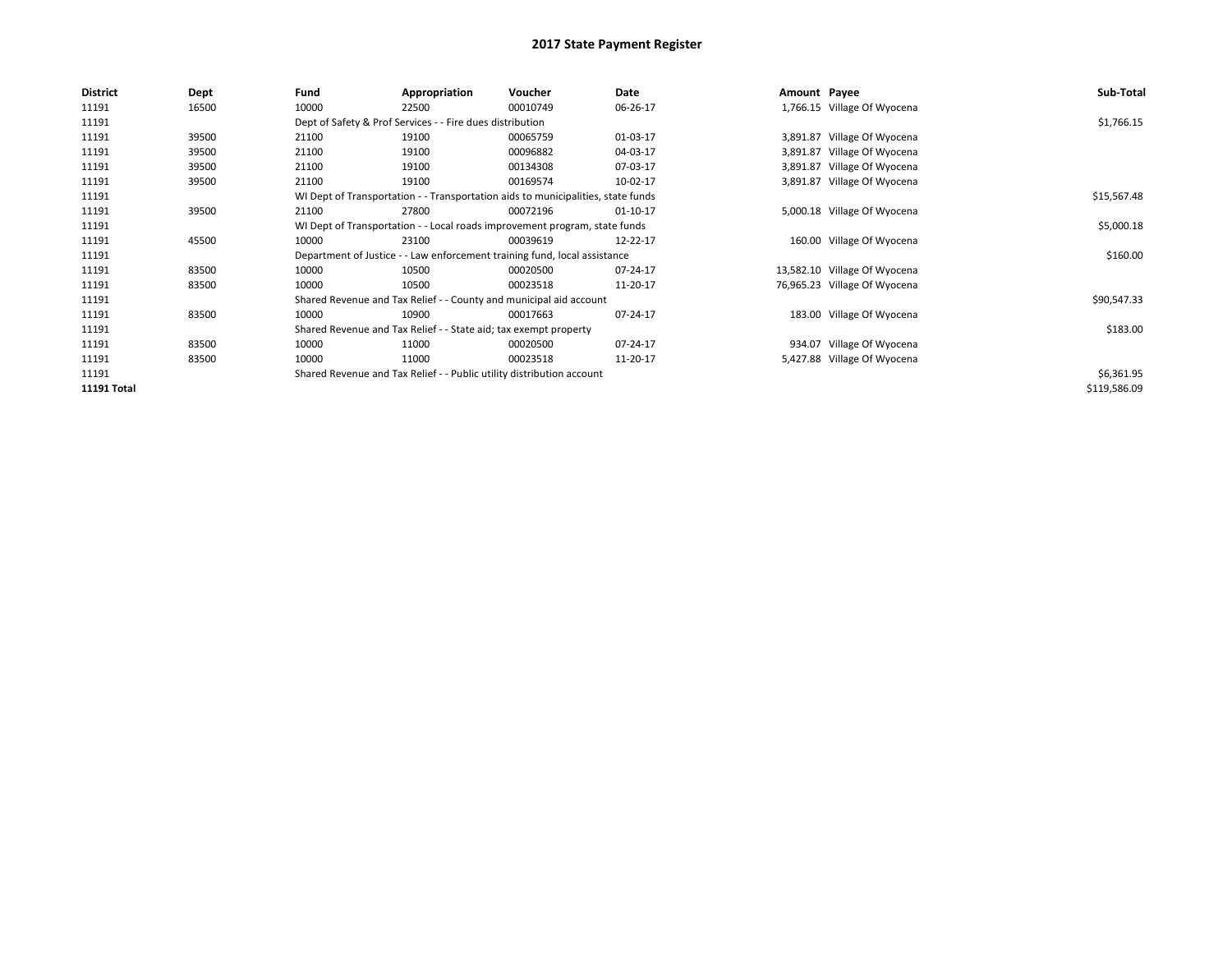| <b>District</b> | Dept  | Fund  | Appropriation                                                                    | Voucher  | Date        | Amount Payee |                              | Sub-Total    |  |  |
|-----------------|-------|-------|----------------------------------------------------------------------------------|----------|-------------|--------------|------------------------------|--------------|--|--|
| 11191           | 16500 | 10000 | 22500                                                                            | 00010749 | 06-26-17    |              | 1,766.15 Village Of Wyocena  |              |  |  |
| 11191           |       |       | Dept of Safety & Prof Services - - Fire dues distribution                        |          |             |              |                              | \$1,766.15   |  |  |
| 11191           | 39500 | 21100 | 19100                                                                            | 00065759 | 01-03-17    |              | 3,891.87 Village Of Wyocena  |              |  |  |
| 11191           | 39500 | 21100 | 19100                                                                            | 00096882 | 04-03-17    |              | 3,891.87 Village Of Wyocena  |              |  |  |
| 11191           | 39500 | 21100 | 19100                                                                            | 00134308 | 07-03-17    |              | 3,891.87 Village Of Wyocena  |              |  |  |
| 11191           | 39500 | 21100 | 19100                                                                            | 00169574 | 10-02-17    |              | 3,891.87 Village Of Wyocena  |              |  |  |
| 11191           |       |       | WI Dept of Transportation - - Transportation aids to municipalities, state funds |          | \$15,567.48 |              |                              |              |  |  |
| 11191           | 39500 | 21100 | 27800                                                                            | 00072196 | 01-10-17    |              | 5,000.18 Village Of Wyocena  |              |  |  |
| 11191           |       |       | WI Dept of Transportation - - Local roads improvement program, state funds       |          |             |              |                              |              |  |  |
| 11191           | 45500 | 10000 | 23100                                                                            | 00039619 | 12-22-17    |              | 160.00 Village Of Wyocena    |              |  |  |
| 11191           |       |       | Department of Justice - - Law enforcement training fund, local assistance        |          |             |              |                              | \$160.00     |  |  |
| 11191           | 83500 | 10000 | 10500                                                                            | 00020500 | 07-24-17    |              | 13,582.10 Village Of Wyocena |              |  |  |
| 11191           | 83500 | 10000 | 10500                                                                            | 00023518 | 11-20-17    |              | 76,965.23 Village Of Wyocena |              |  |  |
| 11191           |       |       | Shared Revenue and Tax Relief - - County and municipal aid account               |          |             |              |                              | \$90,547.33  |  |  |
| 11191           | 83500 | 10000 | 10900                                                                            | 00017663 | 07-24-17    |              | 183.00 Village Of Wyocena    |              |  |  |
| 11191           |       |       | Shared Revenue and Tax Relief - - State aid; tax exempt property                 |          |             |              |                              | \$183.00     |  |  |
| 11191           | 83500 | 10000 | 11000                                                                            | 00020500 | 07-24-17    |              | 934.07 Village Of Wyocena    |              |  |  |
| 11191           | 83500 | 10000 | 11000                                                                            | 00023518 | 11-20-17    |              | 5,427.88 Village Of Wyocena  |              |  |  |
| 11191           |       |       | Shared Revenue and Tax Relief - - Public utility distribution account            |          |             |              |                              | \$6,361.95   |  |  |
| 11191 Total     |       |       |                                                                                  |          |             |              |                              | \$119,586.09 |  |  |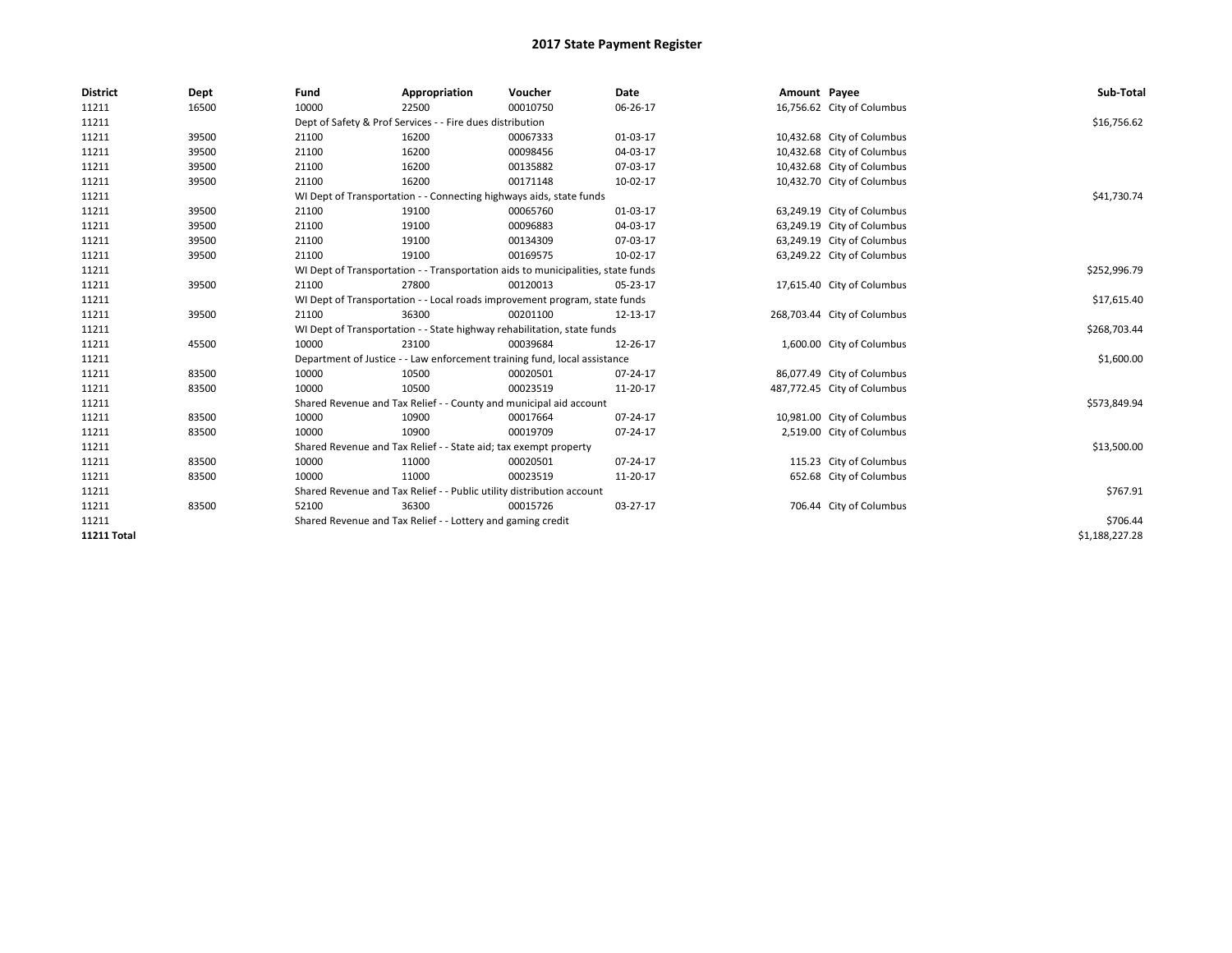| <b>District</b> | Dept  | Fund                                                                       | Appropriation                                                         | Voucher                                                                          | <b>Date</b> | Amount Payee |                             | Sub-Total      |
|-----------------|-------|----------------------------------------------------------------------------|-----------------------------------------------------------------------|----------------------------------------------------------------------------------|-------------|--------------|-----------------------------|----------------|
| 11211           | 16500 | 10000                                                                      | 22500                                                                 | 00010750                                                                         | 06-26-17    |              | 16,756.62 City of Columbus  |                |
| 11211           |       |                                                                            | Dept of Safety & Prof Services - - Fire dues distribution             |                                                                                  |             |              |                             | \$16,756.62    |
| 11211           | 39500 | 21100                                                                      | 16200                                                                 | 00067333                                                                         | 01-03-17    |              | 10,432.68 City of Columbus  |                |
| 11211           | 39500 | 21100                                                                      | 16200                                                                 | 00098456                                                                         | 04-03-17    |              | 10,432.68 City of Columbus  |                |
| 11211           | 39500 | 21100                                                                      | 16200                                                                 | 00135882                                                                         | 07-03-17    |              | 10,432.68 City of Columbus  |                |
| 11211           | 39500 | 21100                                                                      | 16200                                                                 | 00171148                                                                         | 10-02-17    |              | 10,432.70 City of Columbus  |                |
| 11211           |       |                                                                            | WI Dept of Transportation - - Connecting highways aids, state funds   |                                                                                  |             |              |                             | \$41,730.74    |
| 11211           | 39500 | 21100                                                                      | 19100                                                                 | 00065760                                                                         | 01-03-17    |              | 63,249.19 City of Columbus  |                |
| 11211           | 39500 | 21100                                                                      | 19100                                                                 | 00096883                                                                         | 04-03-17    |              | 63,249.19 City of Columbus  |                |
| 11211           | 39500 | 21100                                                                      | 19100                                                                 | 00134309                                                                         | 07-03-17    |              | 63,249.19 City of Columbus  |                |
| 11211           | 39500 | 21100                                                                      | 19100                                                                 | 00169575                                                                         | 10-02-17    |              | 63,249.22 City of Columbus  |                |
| 11211           |       |                                                                            |                                                                       | WI Dept of Transportation - - Transportation aids to municipalities, state funds |             |              |                             | \$252,996.79   |
| 11211           | 39500 | 21100                                                                      | 27800                                                                 | 00120013                                                                         | 05-23-17    |              | 17,615.40 City of Columbus  |                |
| 11211           |       | WI Dept of Transportation - - Local roads improvement program, state funds |                                                                       | \$17,615.40                                                                      |             |              |                             |                |
| 11211           | 39500 | 21100                                                                      | 36300                                                                 | 00201100                                                                         | 12-13-17    |              | 268,703.44 City of Columbus |                |
| 11211           |       | WI Dept of Transportation - - State highway rehabilitation, state funds    |                                                                       | \$268,703.44                                                                     |             |              |                             |                |
| 11211           | 45500 | 10000                                                                      | 23100                                                                 | 00039684                                                                         | 12-26-17    |              | 1,600.00 City of Columbus   |                |
| 11211           |       |                                                                            |                                                                       | Department of Justice - - Law enforcement training fund, local assistance        |             |              |                             | \$1,600.00     |
| 11211           | 83500 | 10000                                                                      | 10500                                                                 | 00020501                                                                         | 07-24-17    |              | 86,077.49 City of Columbus  |                |
| 11211           | 83500 | 10000                                                                      | 10500                                                                 | 00023519                                                                         | 11-20-17    |              | 487,772.45 City of Columbus |                |
| 11211           |       |                                                                            |                                                                       | Shared Revenue and Tax Relief - - County and municipal aid account               |             |              |                             | \$573,849.94   |
| 11211           | 83500 | 10000                                                                      | 10900                                                                 | 00017664                                                                         | 07-24-17    |              | 10,981.00 City of Columbus  |                |
| 11211           | 83500 | 10000                                                                      | 10900                                                                 | 00019709                                                                         | 07-24-17    |              | 2,519.00 City of Columbus   |                |
| 11211           |       |                                                                            | Shared Revenue and Tax Relief - - State aid; tax exempt property      |                                                                                  |             |              |                             | \$13,500.00    |
| 11211           | 83500 | 10000                                                                      | 11000                                                                 | 00020501                                                                         | 07-24-17    |              | 115.23 City of Columbus     |                |
| 11211           | 83500 | 10000                                                                      | 11000                                                                 | 00023519                                                                         | 11-20-17    |              | 652.68 City of Columbus     |                |
| 11211           |       |                                                                            | Shared Revenue and Tax Relief - - Public utility distribution account |                                                                                  |             |              |                             | \$767.91       |
| 11211           | 83500 | 52100                                                                      | 36300                                                                 | 00015726                                                                         | 03-27-17    |              | 706.44 City of Columbus     |                |
| 11211           |       |                                                                            | Shared Revenue and Tax Relief - - Lottery and gaming credit           |                                                                                  |             |              |                             | \$706.44       |
| 11211 Total     |       |                                                                            |                                                                       |                                                                                  |             |              |                             | \$1,188,227.28 |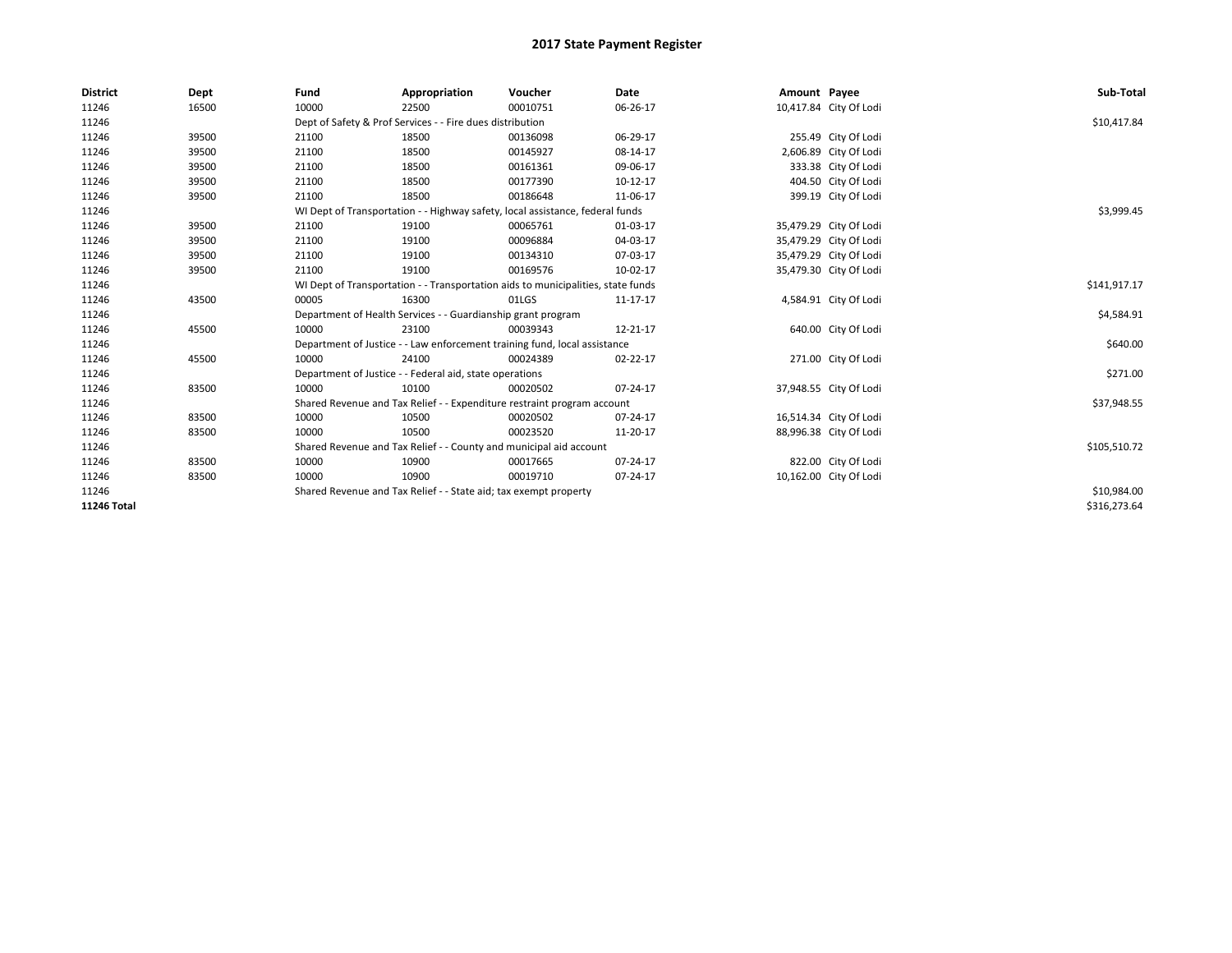| <b>District</b> | Dept  | Fund                                                                             | Appropriation                                                                 | Voucher      | Date     | Amount Payee |                        | Sub-Total    |
|-----------------|-------|----------------------------------------------------------------------------------|-------------------------------------------------------------------------------|--------------|----------|--------------|------------------------|--------------|
| 11246           | 16500 | 10000                                                                            | 22500                                                                         | 00010751     | 06-26-17 |              | 10,417.84 City Of Lodi |              |
| 11246           |       | Dept of Safety & Prof Services - - Fire dues distribution                        |                                                                               | \$10,417.84  |          |              |                        |              |
| 11246           | 39500 | 21100                                                                            | 18500                                                                         | 00136098     | 06-29-17 |              | 255.49 City Of Lodi    |              |
| 11246           | 39500 | 21100                                                                            | 18500                                                                         | 00145927     | 08-14-17 |              | 2,606.89 City Of Lodi  |              |
| 11246           | 39500 | 21100                                                                            | 18500                                                                         | 00161361     | 09-06-17 |              | 333.38 City Of Lodi    |              |
| 11246           | 39500 | 21100                                                                            | 18500                                                                         | 00177390     | 10-12-17 |              | 404.50 City Of Lodi    |              |
| 11246           | 39500 | 21100                                                                            | 18500                                                                         | 00186648     | 11-06-17 |              | 399.19 City Of Lodi    |              |
| 11246           |       |                                                                                  | WI Dept of Transportation - - Highway safety, local assistance, federal funds |              |          |              |                        | \$3,999.45   |
| 11246           | 39500 | 21100                                                                            | 19100                                                                         | 00065761     | 01-03-17 |              | 35,479.29 City Of Lodi |              |
| 11246           | 39500 | 21100                                                                            | 19100                                                                         | 00096884     | 04-03-17 |              | 35,479.29 City Of Lodi |              |
| 11246           | 39500 | 21100                                                                            | 19100                                                                         | 00134310     | 07-03-17 |              | 35,479.29 City Of Lodi |              |
| 11246           | 39500 | 21100                                                                            | 19100                                                                         | 00169576     | 10-02-17 |              | 35,479.30 City Of Lodi |              |
| 11246           |       | WI Dept of Transportation - - Transportation aids to municipalities, state funds |                                                                               | \$141,917.17 |          |              |                        |              |
| 11246           | 43500 | 00005                                                                            | 16300                                                                         | 01LGS        | 11-17-17 |              | 4,584.91 City Of Lodi  |              |
| 11246           |       | Department of Health Services - - Guardianship grant program                     |                                                                               | \$4,584.91   |          |              |                        |              |
| 11246           | 45500 | 10000                                                                            | 23100                                                                         | 00039343     | 12-21-17 |              | 640.00 City Of Lodi    |              |
| 11246           |       | Department of Justice - - Law enforcement training fund, local assistance        |                                                                               |              |          |              |                        | \$640.00     |
| 11246           | 45500 | 10000                                                                            | 24100                                                                         | 00024389     | 02-22-17 |              | 271.00 City Of Lodi    |              |
| 11246           |       |                                                                                  | Department of Justice - - Federal aid, state operations                       |              |          |              |                        | \$271.00     |
| 11246           | 83500 | 10000                                                                            | 10100                                                                         | 00020502     | 07-24-17 |              | 37,948.55 City Of Lodi |              |
| 11246           |       |                                                                                  | Shared Revenue and Tax Relief - - Expenditure restraint program account       |              |          |              |                        | \$37,948.55  |
| 11246           | 83500 | 10000                                                                            | 10500                                                                         | 00020502     | 07-24-17 |              | 16,514.34 City Of Lodi |              |
| 11246           | 83500 | 10000                                                                            | 10500                                                                         | 00023520     | 11-20-17 |              | 88,996.38 City Of Lodi |              |
| 11246           |       |                                                                                  | Shared Revenue and Tax Relief - - County and municipal aid account            |              |          |              |                        | \$105,510.72 |
| 11246           | 83500 | 10000                                                                            | 10900                                                                         | 00017665     | 07-24-17 |              | 822.00 City Of Lodi    |              |
| 11246           | 83500 | 10000                                                                            | 10900                                                                         | 00019710     | 07-24-17 |              | 10,162.00 City Of Lodi |              |
| 11246           |       |                                                                                  | Shared Revenue and Tax Relief - - State aid; tax exempt property              |              |          |              |                        | \$10,984.00  |
| 11246 Total     |       |                                                                                  |                                                                               |              |          |              |                        | \$316,273.64 |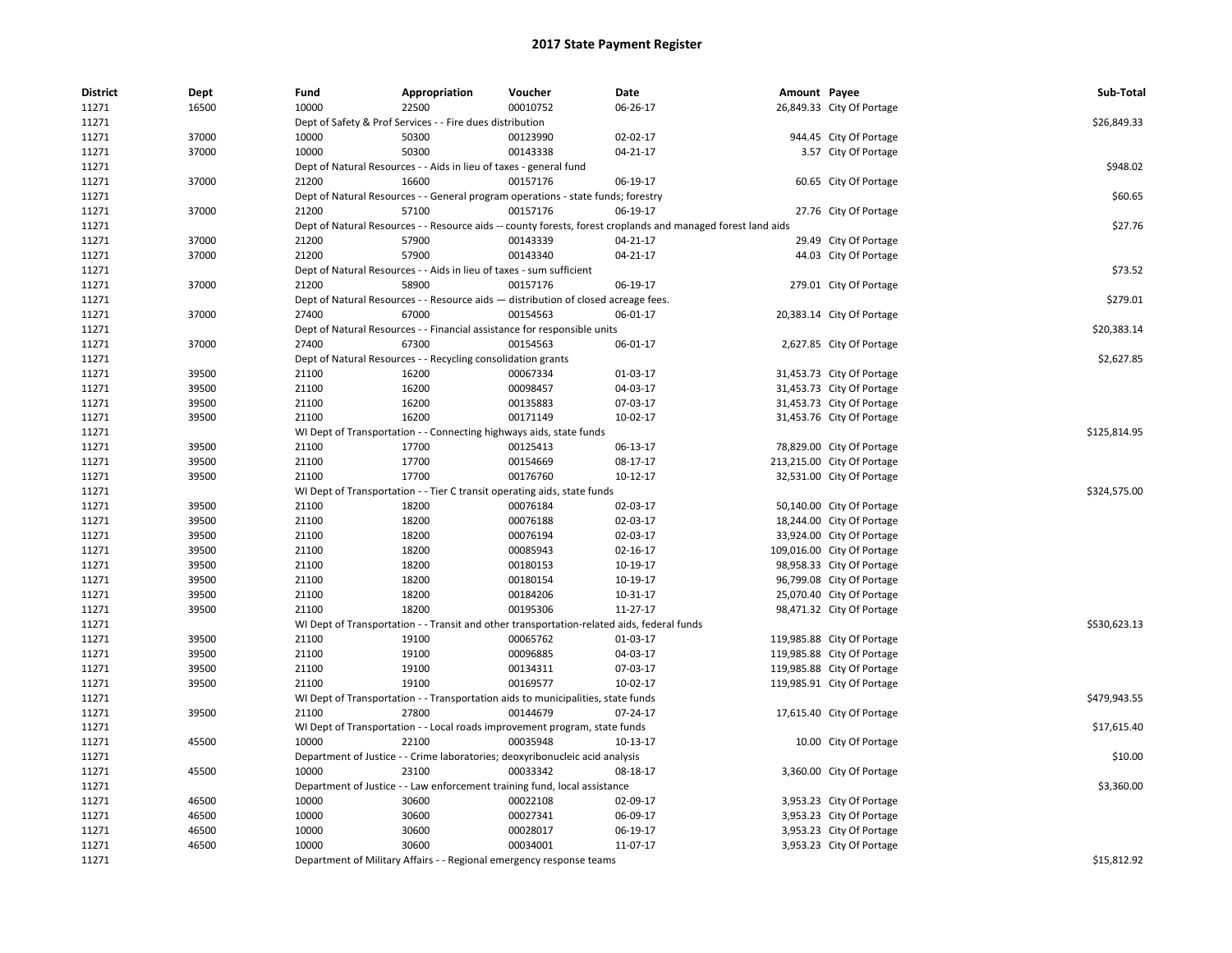| <b>District</b> | Dept  | Fund  | Appropriation                                                                                       | Voucher  | <b>Date</b>                                                                                                  | Amount Payee |                            | Sub-Total    |
|-----------------|-------|-------|-----------------------------------------------------------------------------------------------------|----------|--------------------------------------------------------------------------------------------------------------|--------------|----------------------------|--------------|
| 11271           | 16500 | 10000 | 22500                                                                                               | 00010752 | 06-26-17                                                                                                     |              | 26,849.33 City Of Portage  |              |
| 11271           |       |       | Dept of Safety & Prof Services - - Fire dues distribution                                           |          |                                                                                                              |              |                            | \$26,849.33  |
| 11271           | 37000 | 10000 | 50300                                                                                               | 00123990 | 02-02-17                                                                                                     |              | 944.45 City Of Portage     |              |
| 11271           | 37000 | 10000 | 50300                                                                                               | 00143338 | 04-21-17                                                                                                     |              | 3.57 City Of Portage       |              |
| 11271           |       |       | Dept of Natural Resources - - Aids in lieu of taxes - general fund                                  |          |                                                                                                              |              |                            | \$948.02     |
| 11271           | 37000 | 21200 | 16600                                                                                               | 00157176 | 06-19-17                                                                                                     |              | 60.65 City Of Portage      |              |
| 11271           |       |       | Dept of Natural Resources - - General program operations - state funds; forestry                    |          |                                                                                                              |              |                            | \$60.65      |
| 11271           | 37000 | 21200 | 57100                                                                                               | 00157176 | 06-19-17                                                                                                     |              | 27.76 City Of Portage      |              |
| 11271           |       |       |                                                                                                     |          | Dept of Natural Resources - - Resource aids -- county forests, forest croplands and managed forest land aids |              |                            | \$27.76      |
| 11271           | 37000 | 21200 | 57900                                                                                               | 00143339 | 04-21-17                                                                                                     |              | 29.49 City Of Portage      |              |
| 11271           | 37000 | 21200 | 57900                                                                                               | 00143340 | $04 - 21 - 17$                                                                                               |              | 44.03 City Of Portage      |              |
| 11271           |       |       | Dept of Natural Resources - - Aids in lieu of taxes - sum sufficient                                |          |                                                                                                              |              |                            | \$73.52      |
| 11271           | 37000 | 21200 | 58900                                                                                               | 00157176 | 06-19-17                                                                                                     |              | 279.01 City Of Portage     |              |
| 11271           |       |       | Dept of Natural Resources - - Resource aids - distribution of closed acreage fees.                  |          |                                                                                                              |              |                            | \$279.01     |
| 11271           | 37000 | 27400 | 67000                                                                                               | 00154563 | 06-01-17                                                                                                     |              | 20,383.14 City Of Portage  |              |
| 11271           |       |       | Dept of Natural Resources - - Financial assistance for responsible units                            |          |                                                                                                              |              |                            | \$20,383.14  |
| 11271           | 37000 | 27400 | 67300                                                                                               | 00154563 | 06-01-17                                                                                                     |              | 2,627.85 City Of Portage   |              |
| 11271           |       |       | Dept of Natural Resources - - Recycling consolidation grants                                        |          |                                                                                                              |              |                            | \$2,627.85   |
| 11271           | 39500 | 21100 | 16200                                                                                               | 00067334 | 01-03-17                                                                                                     |              | 31,453.73 City Of Portage  |              |
| 11271           | 39500 | 21100 | 16200                                                                                               | 00098457 | 04-03-17                                                                                                     |              | 31,453.73 City Of Portage  |              |
| 11271           | 39500 | 21100 | 16200                                                                                               | 00135883 | 07-03-17                                                                                                     |              | 31,453.73 City Of Portage  |              |
| 11271           | 39500 | 21100 | 16200                                                                                               | 00171149 | 10-02-17                                                                                                     |              | 31,453.76 City Of Portage  |              |
| 11271           |       |       | WI Dept of Transportation - - Connecting highways aids, state funds                                 |          |                                                                                                              |              |                            | \$125,814.95 |
| 11271           | 39500 | 21100 | 17700                                                                                               | 00125413 | 06-13-17                                                                                                     |              | 78,829.00 City Of Portage  |              |
| 11271           | 39500 | 21100 | 17700                                                                                               | 00154669 | 08-17-17                                                                                                     |              | 213,215.00 City Of Portage |              |
| 11271           | 39500 | 21100 | 17700                                                                                               | 00176760 | $10-12-17$                                                                                                   |              | 32,531.00 City Of Portage  |              |
| 11271           |       |       | WI Dept of Transportation - - Tier C transit operating aids, state funds                            |          |                                                                                                              |              |                            | \$324,575.00 |
| 11271           | 39500 | 21100 | 18200                                                                                               | 00076184 | 02-03-17                                                                                                     |              | 50,140.00 City Of Portage  |              |
| 11271           | 39500 | 21100 | 18200                                                                                               | 00076188 | 02-03-17                                                                                                     |              | 18,244.00 City Of Portage  |              |
| 11271           | 39500 | 21100 | 18200                                                                                               | 00076194 | 02-03-17                                                                                                     |              | 33,924.00 City Of Portage  |              |
| 11271           | 39500 | 21100 | 18200                                                                                               | 00085943 | 02-16-17                                                                                                     |              | 109,016.00 City Of Portage |              |
| 11271           | 39500 | 21100 | 18200                                                                                               | 00180153 | 10-19-17                                                                                                     |              | 98,958.33 City Of Portage  |              |
| 11271           | 39500 | 21100 | 18200                                                                                               | 00180154 | 10-19-17                                                                                                     |              | 96,799.08 City Of Portage  |              |
| 11271           | 39500 | 21100 | 18200                                                                                               | 00184206 | 10-31-17                                                                                                     |              |                            |              |
|                 |       |       | 18200                                                                                               | 00195306 | 11-27-17                                                                                                     |              | 25,070.40 City Of Portage  |              |
| 11271<br>11271  | 39500 | 21100 |                                                                                                     |          |                                                                                                              |              | 98,471.32 City Of Portage  | \$530,623.13 |
| 11271           | 39500 | 21100 | WI Dept of Transportation - - Transit and other transportation-related aids, federal funds<br>19100 | 00065762 | 01-03-17                                                                                                     |              | 119,985.88 City Of Portage |              |
|                 |       |       |                                                                                                     |          |                                                                                                              |              |                            |              |
| 11271           | 39500 | 21100 | 19100                                                                                               | 00096885 | 04-03-17                                                                                                     |              | 119,985.88 City Of Portage |              |
| 11271           | 39500 | 21100 | 19100                                                                                               | 00134311 | 07-03-17                                                                                                     |              | 119,985.88 City Of Portage |              |
| 11271           | 39500 | 21100 | 19100                                                                                               | 00169577 | 10-02-17                                                                                                     |              | 119,985.91 City Of Portage |              |
| 11271           |       |       | WI Dept of Transportation - - Transportation aids to municipalities, state funds                    |          |                                                                                                              |              |                            | \$479,943.55 |
| 11271           | 39500 | 21100 | 27800                                                                                               | 00144679 | 07-24-17                                                                                                     |              | 17,615.40 City Of Portage  |              |
| 11271           |       |       | WI Dept of Transportation - - Local roads improvement program, state funds                          |          |                                                                                                              |              |                            | \$17,615.40  |
| 11271           | 45500 | 10000 | 22100                                                                                               | 00035948 | 10-13-17                                                                                                     |              | 10.00 City Of Portage      |              |
| 11271           |       |       | Department of Justice - - Crime laboratories; deoxyribonucleic acid analysis                        |          |                                                                                                              |              |                            | \$10.00      |
| 11271           | 45500 | 10000 | 23100                                                                                               | 00033342 | 08-18-17                                                                                                     |              | 3,360.00 City Of Portage   |              |
| 11271           |       |       | Department of Justice - - Law enforcement training fund, local assistance                           |          |                                                                                                              |              |                            | \$3,360.00   |
| 11271           | 46500 | 10000 | 30600                                                                                               | 00022108 | 02-09-17                                                                                                     |              | 3,953.23 City Of Portage   |              |
| 11271           | 46500 | 10000 | 30600                                                                                               | 00027341 | 06-09-17                                                                                                     |              | 3,953.23 City Of Portage   |              |
| 11271           | 46500 | 10000 | 30600                                                                                               | 00028017 | 06-19-17                                                                                                     |              | 3,953.23 City Of Portage   |              |
| 11271           | 46500 | 10000 | 30600                                                                                               | 00034001 | 11-07-17                                                                                                     |              | 3,953.23 City Of Portage   |              |
| 11271           |       |       | Department of Military Affairs - - Regional emergency response teams                                |          |                                                                                                              |              |                            | \$15,812.92  |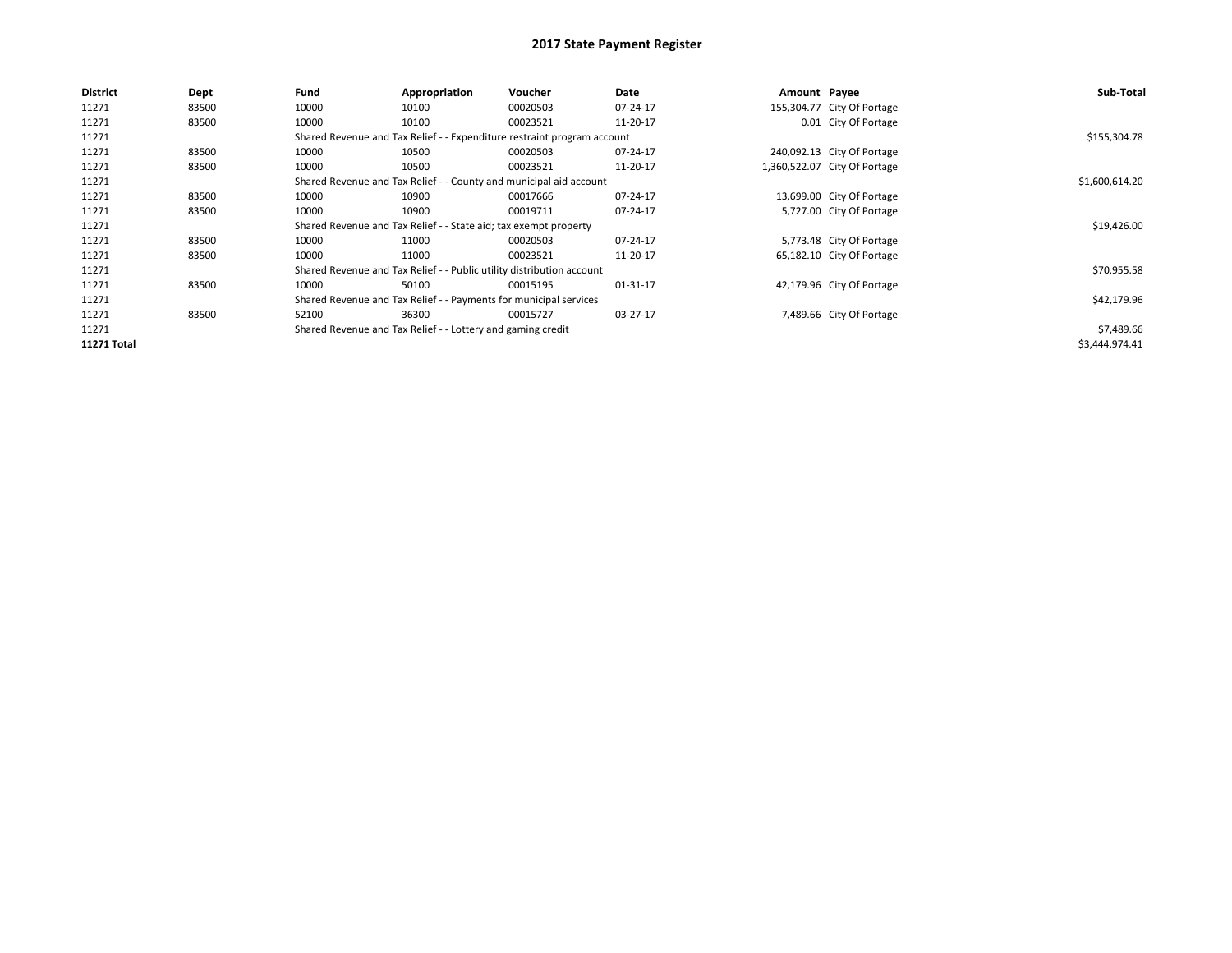| <b>District</b>    | <b>Dept</b> | Fund                                                              | Appropriation                                                         | Voucher                                                                 | Date     | Amount Payee |                              | Sub-Total      |
|--------------------|-------------|-------------------------------------------------------------------|-----------------------------------------------------------------------|-------------------------------------------------------------------------|----------|--------------|------------------------------|----------------|
| 11271              | 83500       | 10000                                                             | 10100                                                                 | 00020503                                                                | 07-24-17 |              | 155,304.77 City Of Portage   |                |
| 11271              | 83500       | 10000                                                             | 10100                                                                 | 00023521                                                                | 11-20-17 |              | 0.01 City Of Portage         |                |
| 11271              |             |                                                                   |                                                                       | Shared Revenue and Tax Relief - - Expenditure restraint program account |          |              |                              | \$155,304.78   |
| 11271              | 83500       | 10000                                                             | 10500                                                                 | 00020503                                                                | 07-24-17 |              | 240,092.13 City Of Portage   |                |
| 11271              | 83500       | 10000                                                             | 10500                                                                 | 00023521                                                                | 11-20-17 |              | 1,360,522.07 City Of Portage |                |
| 11271              |             |                                                                   |                                                                       | Shared Revenue and Tax Relief - - County and municipal aid account      |          |              |                              | \$1,600,614.20 |
| 11271              | 83500       | 10000                                                             | 10900                                                                 | 00017666                                                                | 07-24-17 |              | 13,699.00 City Of Portage    |                |
| 11271              | 83500       | 10000                                                             | 10900                                                                 | 00019711                                                                | 07-24-17 |              | 5,727.00 City Of Portage     |                |
| 11271              |             |                                                                   | Shared Revenue and Tax Relief - - State aid; tax exempt property      |                                                                         |          |              |                              | \$19,426.00    |
| 11271              | 83500       | 10000                                                             | 11000                                                                 | 00020503                                                                | 07-24-17 |              | 5,773.48 City Of Portage     |                |
| 11271              | 83500       | 10000                                                             | 11000                                                                 | 00023521                                                                | 11-20-17 |              | 65,182.10 City Of Portage    |                |
| 11271              |             |                                                                   | Shared Revenue and Tax Relief - - Public utility distribution account |                                                                         |          |              |                              | \$70,955.58    |
| 11271              | 83500       | 10000                                                             | 50100                                                                 | 00015195                                                                | 01-31-17 |              | 42,179.96 City Of Portage    |                |
| 11271              |             | Shared Revenue and Tax Relief - - Payments for municipal services |                                                                       |                                                                         |          |              |                              |                |
| 11271              | 83500       | 52100                                                             | 36300                                                                 | 00015727                                                                | 03-27-17 |              | 7,489.66 City Of Portage     |                |
| 11271              |             |                                                                   | Shared Revenue and Tax Relief - - Lottery and gaming credit           |                                                                         |          |              |                              | \$7,489.66     |
| <b>11271 Total</b> |             |                                                                   |                                                                       |                                                                         |          |              |                              | \$3,444,974.41 |